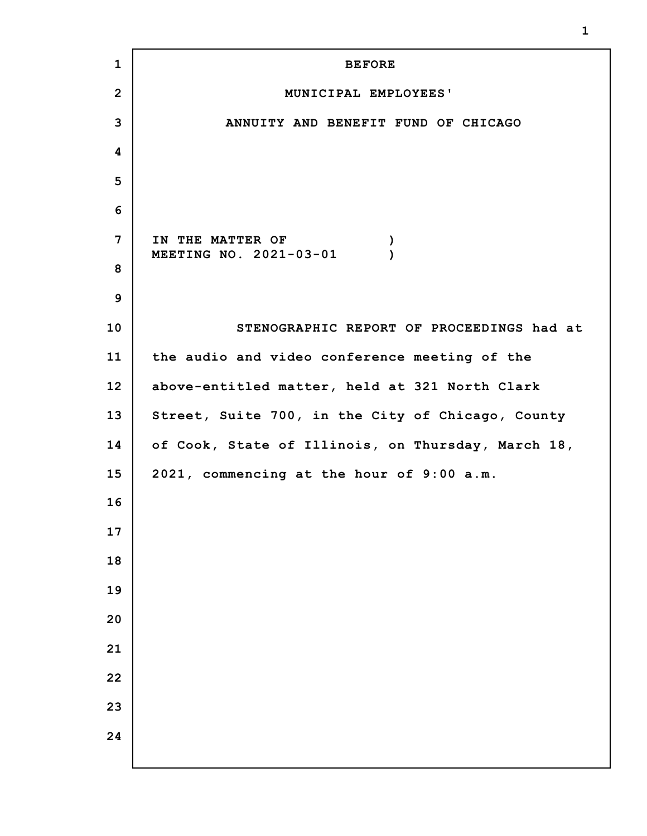**BEFORE MUNICIPAL EMPLOYEES' ANNUITY AND BENEFIT FUND OF CHICAGO IN THE MATTER OF ) MEETING NO. 2021-03-01 ) STENOGRAPHIC REPORT OF PROCEEDINGS had at the audio and video conference meeting of the above-entitled matter, held at 321 North Clark Street, Suite 700, in the City of Chicago, County of Cook, State of Illinois, on Thursday, March 18, 2021, commencing at the hour of 9:00 a.m.**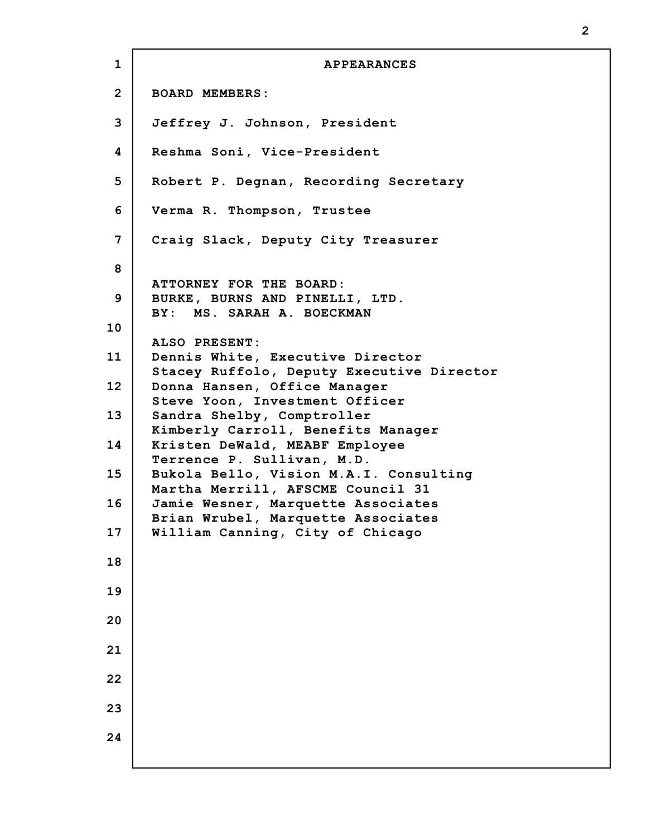**1 2 3 4 5 6 7 8 9 10 11 12 13 14 15 16 17 18 19 20 21 22 23 24 APPEARANCES BOARD MEMBERS: Jeffrey J. Johnson, President Reshma Soni, Vice-President Robert P. Degnan, Recording Secretary Verma R. Thompson, Trustee Craig Slack, Deputy City Treasurer ATTORNEY FOR THE BOARD: BURKE, BURNS AND PINELLI, LTD. BY: MS. SARAH A. BOECKMAN ALSO PRESENT: Dennis White, Executive Director Stacey Ruffolo, Deputy Executive Director Donna Hansen, Office Manager Steve Yoon, Investment Officer Sandra Shelby, Comptroller Kimberly Carroll, Benefits Manager Kristen DeWald, MEABF Employee Terrence P. Sullivan, M.D. Bukola Bello, Vision M.A.I. Consulting Martha Merrill, AFSCME Council 31 Jamie Wesner, Marquette Associates Brian Wrubel, Marquette Associates William Canning, City of Chicago**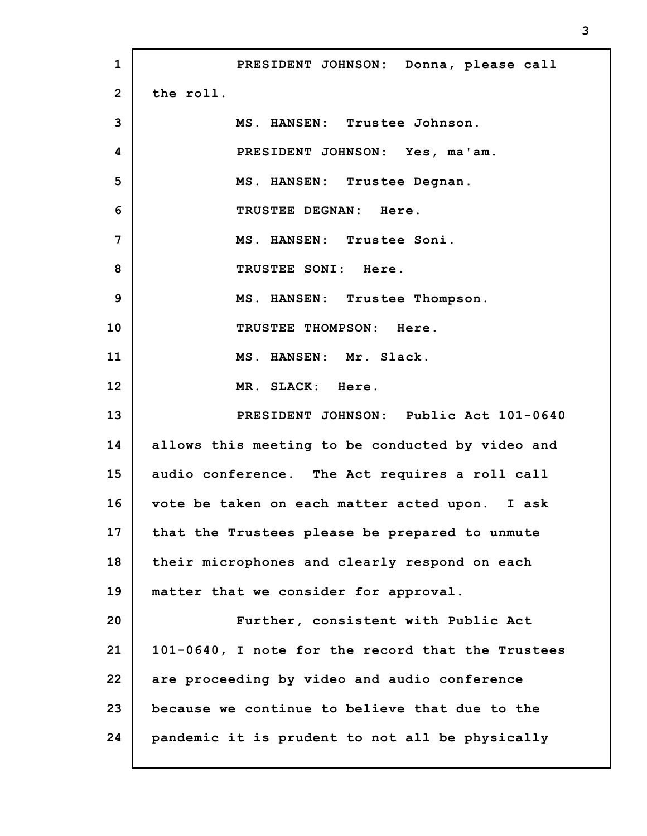**1 2 3 4 5 6 7 8 9 10 11 12 13 14 15 16 17 18 19 20 21 22 23 24 PRESIDENT JOHNSON: Donna, please call the roll. MS. HANSEN: Trustee Johnson. PRESIDENT JOHNSON: Yes, ma'am. MS. HANSEN: Trustee Degnan. TRUSTEE DEGNAN: Here. MS. HANSEN: Trustee Soni. TRUSTEE SONI: Here. MS. HANSEN: Trustee Thompson. TRUSTEE THOMPSON: Here. MS. HANSEN: Mr. Slack. MR. SLACK: Here. PRESIDENT JOHNSON: Public Act 101-0640 allows this meeting to be conducted by video and audio conference. The Act requires a roll call vote be taken on each matter acted upon. I ask that the Trustees please be prepared to unmute their microphones and clearly respond on each matter that we consider for approval. Further, consistent with Public Act 101-0640, I note for the record that the Trustees are proceeding by video and audio conference because we continue to believe that due to the pandemic it is prudent to not all be physically**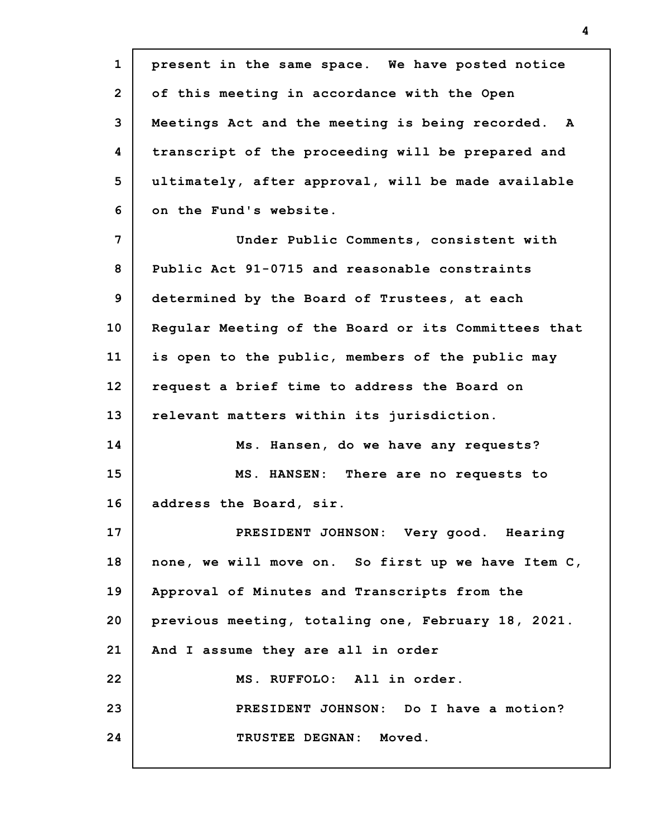| present in the same space. We have posted notice    |
|-----------------------------------------------------|
| of this meeting in accordance with the Open         |
| Meetings Act and the meeting is being recorded. A   |
| transcript of the proceeding will be prepared and   |
| ultimately, after approval, will be made available  |
| on the Fund's website.                              |
| Under Public Comments, consistent with              |
| Public Act 91-0715 and reasonable constraints       |
| determined by the Board of Trustees, at each        |
| Reqular Meeting of the Board or its Committees that |
| is open to the public, members of the public may    |
| request a brief time to address the Board on        |
| relevant matters within its jurisdiction.           |
| Ms. Hansen, do we have any requests?                |
| MS. HANSEN: There are no requests to                |
| address the Board, sir.                             |
| PRESIDENT JOHNSON: Very good. Hearing               |
| none, we will move on. So first up we have Item C,  |
| Approval of Minutes and Transcripts from the        |
| previous meeting, totaling one, February 18, 2021.  |
| And I assume they are all in order                  |
| MS. RUFFOLO: All in order.                          |
| PRESIDENT JOHNSON: Do I have a motion?              |
| TRUSTEE DEGNAN: Moved.                              |
|                                                     |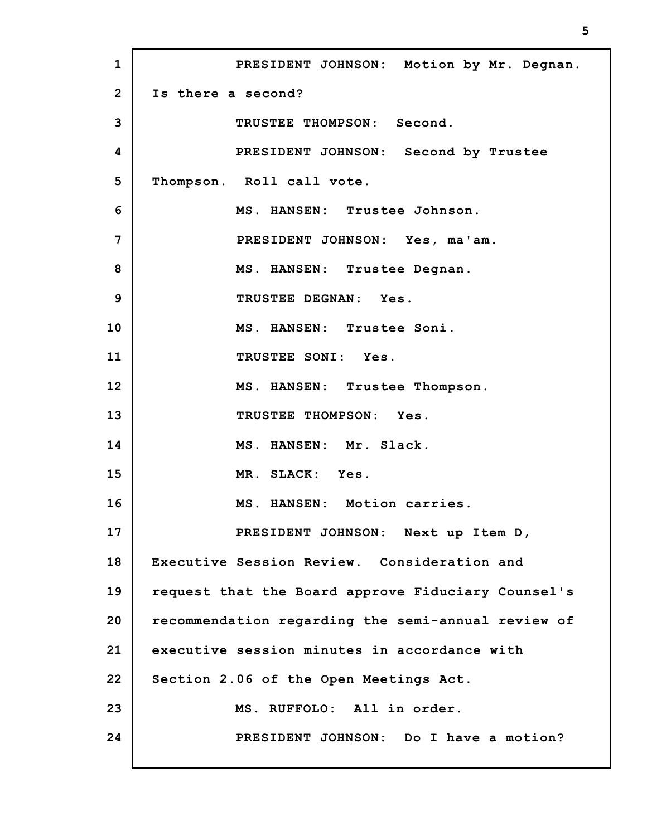**1 2 3 4 5 6 7 8 9 10 11 12 13 14 15 16 17 18 19 20 21 22 23 24 PRESIDENT JOHNSON: Motion by Mr. Degnan. Is there a second? TRUSTEE THOMPSON: Second. PRESIDENT JOHNSON: Second by Trustee Thompson. Roll call vote. MS. HANSEN: Trustee Johnson. PRESIDENT JOHNSON: Yes, ma'am. MS. HANSEN: Trustee Degnan. TRUSTEE DEGNAN: Yes. MS. HANSEN: Trustee Soni. TRUSTEE SONI: Yes. MS. HANSEN: Trustee Thompson. TRUSTEE THOMPSON: Yes. MS. HANSEN: Mr. Slack. MR. SLACK: Yes. MS. HANSEN: Motion carries. PRESIDENT JOHNSON: Next up Item D, Executive Session Review. Consideration and request that the Board approve Fiduciary Counsel's recommendation regarding the semi-annual review of executive session minutes in accordance with Section 2.06 of the Open Meetings Act. MS. RUFFOLO: All in order. PRESIDENT JOHNSON: Do I have a motion?**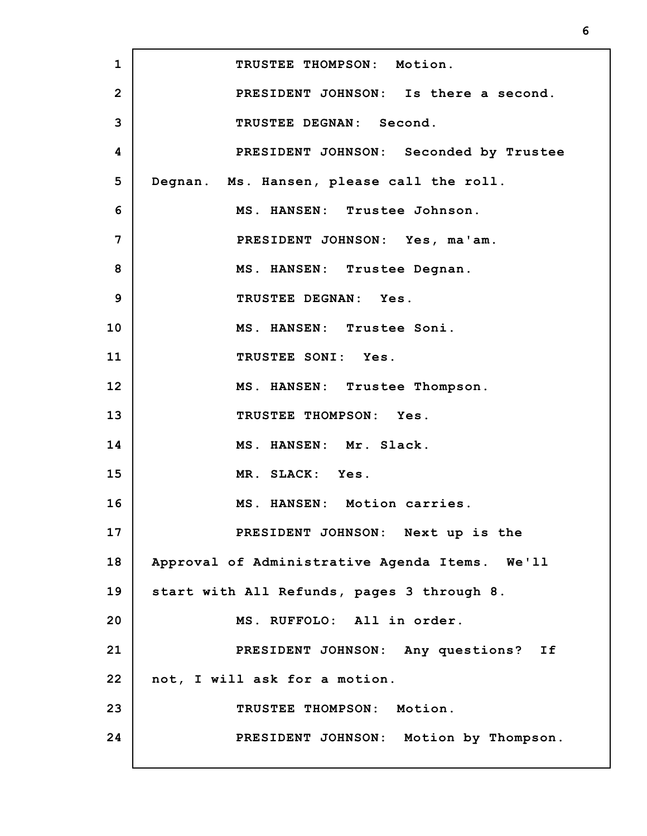| $\mathbf{1}$   | TRUSTEE THOMPSON: Motion.                      |
|----------------|------------------------------------------------|
| $\overline{2}$ | PRESIDENT JOHNSON: Is there a second.          |
| 3              | TRUSTEE DEGNAN: Second.                        |
| 4              | PRESIDENT JOHNSON: Seconded by Trustee         |
| 5              | Degnan. Ms. Hansen, please call the roll.      |
| 6              | MS. HANSEN: Trustee Johnson.                   |
| 7              | PRESIDENT JOHNSON: Yes, ma'am.                 |
| 8              | MS. HANSEN: Trustee Degnan.                    |
| 9              | TRUSTEE DEGNAN: Yes.                           |
| 10             | MS. HANSEN: Trustee Soni.                      |
| 11             | TRUSTEE SONI: Yes.                             |
| 12             | MS. HANSEN: Trustee Thompson.                  |
| 13             | TRUSTEE THOMPSON: Yes.                         |
| 14             | MS. HANSEN: Mr. Slack.                         |
| 15             | MR. SLACK: Yes.                                |
| 16             | MS. HANSEN: Motion carries.                    |
| 17             | PRESIDENT JOHNSON: Next up is the              |
| 18             | Approval of Administrative Agenda Items. We'll |
| 19             | start with All Refunds, pages 3 through 8.     |
| 20             | MS. RUFFOLO: All in order.                     |
| 21             | PRESIDENT JOHNSON: Any questions? If           |
| 22             | not, I will ask for a motion.                  |
| 23             | TRUSTEE THOMPSON: Motion.                      |
| 24             | PRESIDENT JOHNSON: Motion by Thompson.         |
|                |                                                |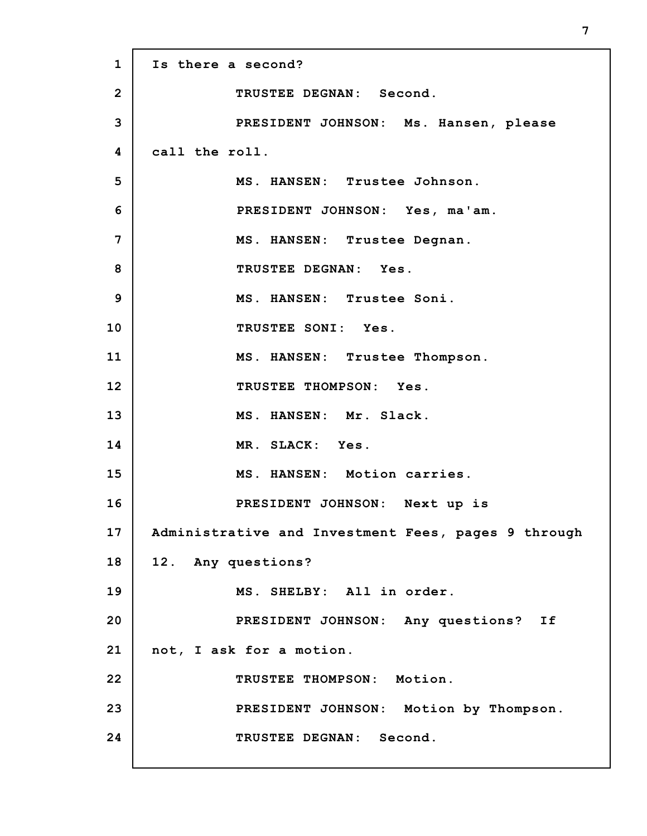**1 2 3 4 5 6 7 8 9 10 11 12 13 14 15 16 17 18 19 20 21 22 23 24 Is there a second? TRUSTEE DEGNAN: Second. PRESIDENT JOHNSON: Ms. Hansen, please call the roll. MS. HANSEN: Trustee Johnson. PRESIDENT JOHNSON: Yes, ma'am. MS. HANSEN: Trustee Degnan. TRUSTEE DEGNAN: Yes. MS. HANSEN: Trustee Soni. TRUSTEE SONI: Yes. MS. HANSEN: Trustee Thompson. TRUSTEE THOMPSON: Yes. MS. HANSEN: Mr. Slack. MR. SLACK: Yes. MS. HANSEN: Motion carries. PRESIDENT JOHNSON: Next up is Administrative and Investment Fees, pages 9 through 12. Any questions? MS. SHELBY: All in order. PRESIDENT JOHNSON: Any questions? If not, I ask for a motion. TRUSTEE THOMPSON: Motion. PRESIDENT JOHNSON: Motion by Thompson. TRUSTEE DEGNAN: Second.**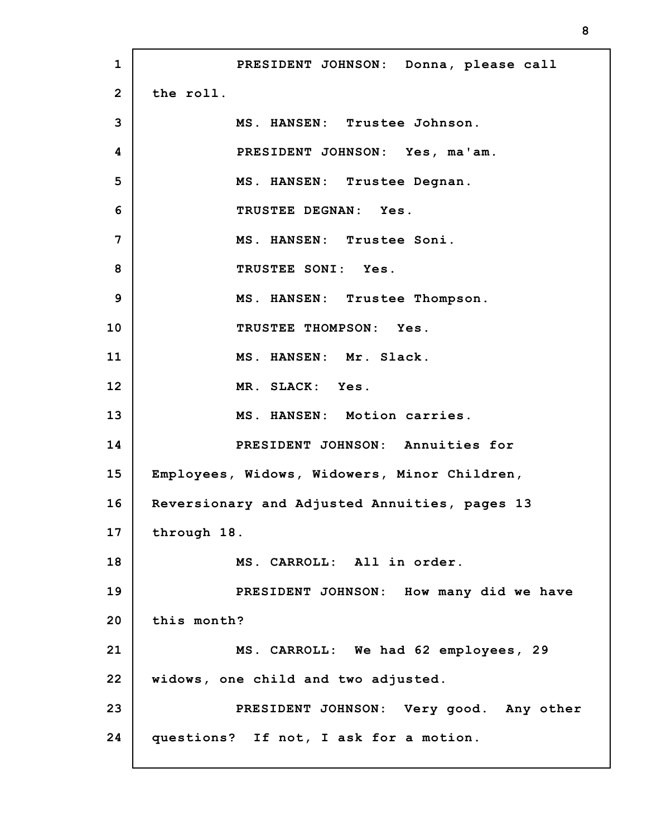**1 2 3 4 5 6 7 8 9 10 11 12 13 14 15 16 17 18 19 20 21 22 23 24 PRESIDENT JOHNSON: Donna, please call the roll. MS. HANSEN: Trustee Johnson. PRESIDENT JOHNSON: Yes, ma'am. MS. HANSEN: Trustee Degnan. TRUSTEE DEGNAN: Yes. MS. HANSEN: Trustee Soni. TRUSTEE SONI: Yes. MS. HANSEN: Trustee Thompson. TRUSTEE THOMPSON: Yes. MS. HANSEN: Mr. Slack. MR. SLACK: Yes. MS. HANSEN: Motion carries. PRESIDENT JOHNSON: Annuities for Employees, Widows, Widowers, Minor Children, Reversionary and Adjusted Annuities, pages 13 through 18. MS. CARROLL: All in order. PRESIDENT JOHNSON: How many did we have this month? MS. CARROLL: We had 62 employees, 29 widows, one child and two adjusted. PRESIDENT JOHNSON: Very good. Any other questions? If not, I ask for a motion.**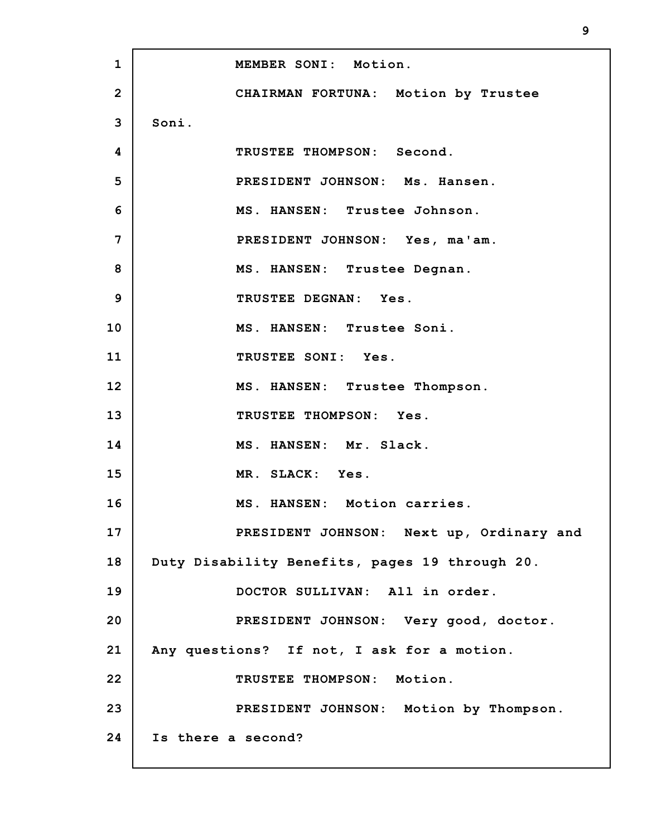| $\mathbf{1}$ | MEMBER SONI: Motion.                           |
|--------------|------------------------------------------------|
| $\mathbf{2}$ | CHAIRMAN FORTUNA: Motion by Trustee            |
| 3            | Soni.                                          |
| 4            | TRUSTEE THOMPSON: Second.                      |
| 5            | PRESIDENT JOHNSON: Ms. Hansen.                 |
| 6            | MS. HANSEN: Trustee Johnson.                   |
| 7            | PRESIDENT JOHNSON: Yes, ma'am.                 |
| 8            | MS. HANSEN: Trustee Degnan.                    |
| 9            | TRUSTEE DEGNAN: Yes.                           |
| 10           | MS. HANSEN: Trustee Soni.                      |
| 11           | TRUSTEE SONI: Yes.                             |
| 12           | MS. HANSEN: Trustee Thompson.                  |
| 13           | TRUSTEE THOMPSON: Yes.                         |
| 14           | MS. HANSEN: Mr. Slack.                         |
| 15           | MR. SLACK: Yes.                                |
| 16           | MS. HANSEN: Motion carries.                    |
| 17           | PRESIDENT JOHNSON: Next up, Ordinary and       |
| 18           | Duty Disability Benefits, pages 19 through 20. |
| 19           | DOCTOR SULLIVAN: All in order.                 |
| 20           | PRESIDENT JOHNSON: Very good, doctor.          |
| 21           | Any questions? If not, I ask for a motion.     |
| 22           | TRUSTEE THOMPSON: Motion.                      |
| 23           | PRESIDENT JOHNSON: Motion by Thompson.         |
| 24           | Is there a second?                             |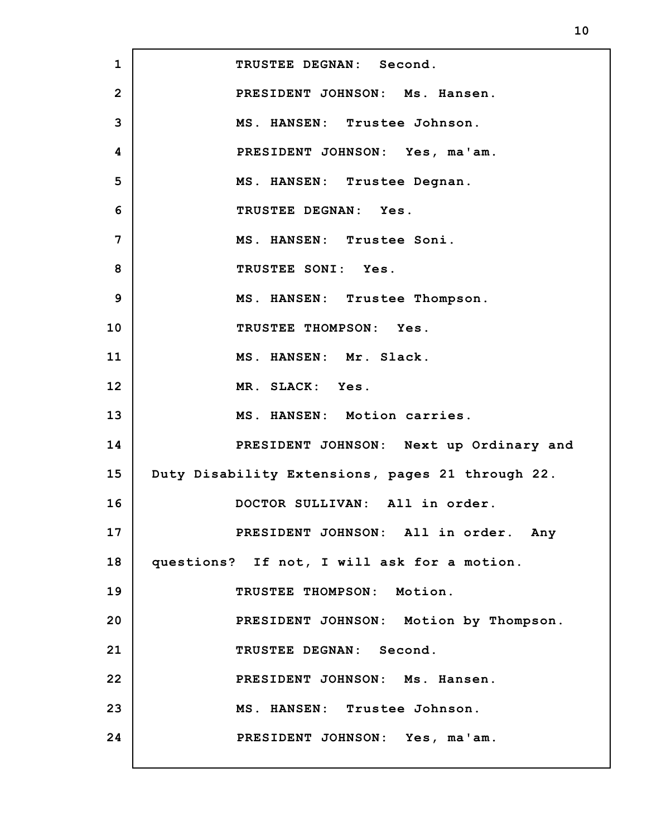**1 2 3 4 5 6 7 8 9 10 11 12 13 14 15 16 17 18 19 20 21 22 23 24 TRUSTEE DEGNAN: Second. PRESIDENT JOHNSON: Ms. Hansen. MS. HANSEN: Trustee Johnson. PRESIDENT JOHNSON: Yes, ma'am. MS. HANSEN: Trustee Degnan. TRUSTEE DEGNAN: Yes. MS. HANSEN: Trustee Soni. TRUSTEE SONI: Yes. MS. HANSEN: Trustee Thompson. TRUSTEE THOMPSON: Yes. MS. HANSEN: Mr. Slack. MR. SLACK: Yes. MS. HANSEN: Motion carries. PRESIDENT JOHNSON: Next up Ordinary and Duty Disability Extensions, pages 21 through 22. DOCTOR SULLIVAN: All in order. PRESIDENT JOHNSON: All in order. Any questions? If not, I will ask for a motion. TRUSTEE THOMPSON: Motion. PRESIDENT JOHNSON: Motion by Thompson. TRUSTEE DEGNAN: Second. PRESIDENT JOHNSON: Ms. Hansen. MS. HANSEN: Trustee Johnson. PRESIDENT JOHNSON: Yes, ma'am.**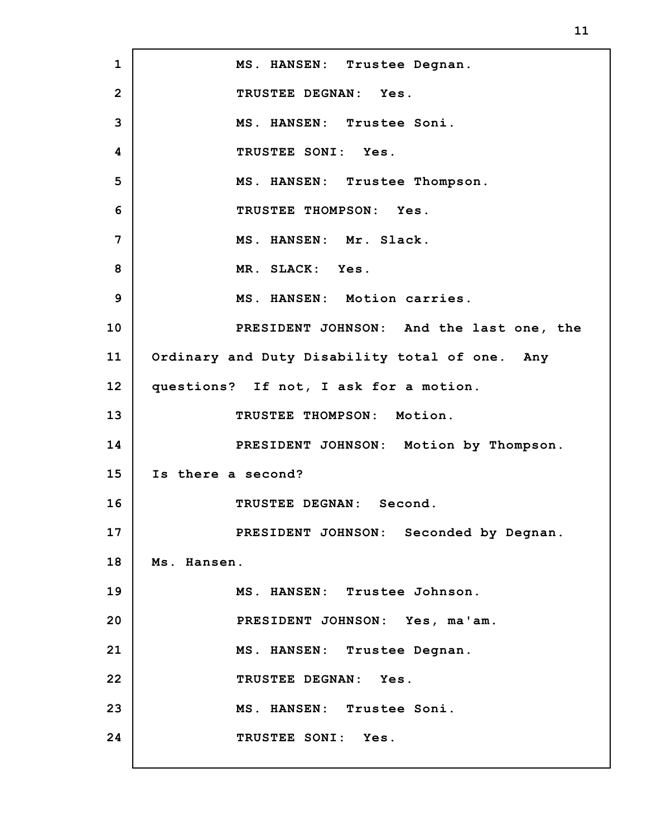**1 2 3 4 5 6 7 8 9 10 11 12 13 14 15 16 17 18 19 20 21 22 23 24 MS. HANSEN: Trustee Degnan. TRUSTEE DEGNAN: Yes. MS. HANSEN: Trustee Soni. TRUSTEE SONI: Yes. MS. HANSEN: Trustee Thompson. TRUSTEE THOMPSON: Yes. MS. HANSEN: Mr. Slack. MR. SLACK: Yes. MS. HANSEN: Motion carries. PRESIDENT JOHNSON: And the last one, the Ordinary and Duty Disability total of one. Any questions? If not, I ask for a motion. TRUSTEE THOMPSON: Motion. PRESIDENT JOHNSON: Motion by Thompson. Is there a second? TRUSTEE DEGNAN: Second. PRESIDENT JOHNSON: Seconded by Degnan. Ms. Hansen. MS. HANSEN: Trustee Johnson. PRESIDENT JOHNSON: Yes, ma'am. MS. HANSEN: Trustee Degnan. TRUSTEE DEGNAN: Yes. MS. HANSEN: Trustee Soni. TRUSTEE SONI: Yes.**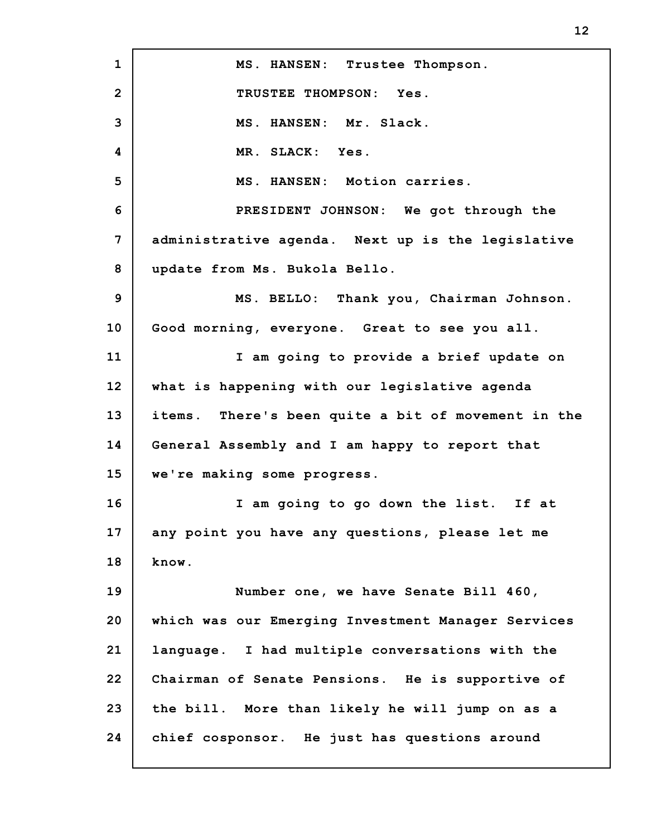**1 2 3 4 5 6 7 8 9 10 11 12 13 14 15 16 17 18 19 20 21 22 23 24 MS. HANSEN: Trustee Thompson. TRUSTEE THOMPSON: Yes. MS. HANSEN: Mr. Slack. MR. SLACK: Yes. MS. HANSEN: Motion carries. PRESIDENT JOHNSON: We got through the administrative agenda. Next up is the legislative update from Ms. Bukola Bello. MS. BELLO: Thank you, Chairman Johnson. Good morning, everyone. Great to see you all. I am going to provide a brief update on what is happening with our legislative agenda items. There's been quite a bit of movement in the General Assembly and I am happy to report that we're making some progress. I am going to go down the list. If at any point you have any questions, please let me know. Number one, we have Senate Bill 460, which was our Emerging Investment Manager Services language. I had multiple conversations with the Chairman of Senate Pensions. He is supportive of the bill. More than likely he will jump on as a chief cosponsor. He just has questions around**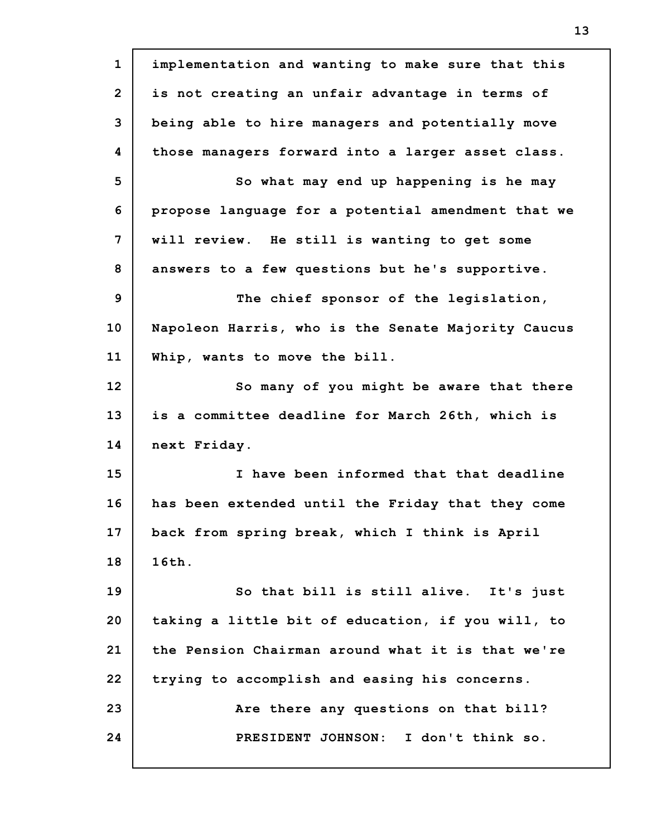**1 2 3 4 5 6 7 8 9 10 11 12 13 14 15 16 17 18 19 20 21 22 23 24 implementation and wanting to make sure that this is not creating an unfair advantage in terms of being able to hire managers and potentially move those managers forward into a larger asset class. So what may end up happening is he may propose language for a potential amendment that we will review. He still is wanting to get some answers to a few questions but he's supportive. The chief sponsor of the legislation, Napoleon Harris, who is the Senate Majority Caucus Whip, wants to move the bill. So many of you might be aware that there is a committee deadline for March 26th, which is next Friday. I have been informed that that deadline has been extended until the Friday that they come back from spring break, which I think is April 16th. So that bill is still alive. It's just taking a little bit of education, if you will, to the Pension Chairman around what it is that we're trying to accomplish and easing his concerns. Are there any questions on that bill? PRESIDENT JOHNSON: I don't think so.**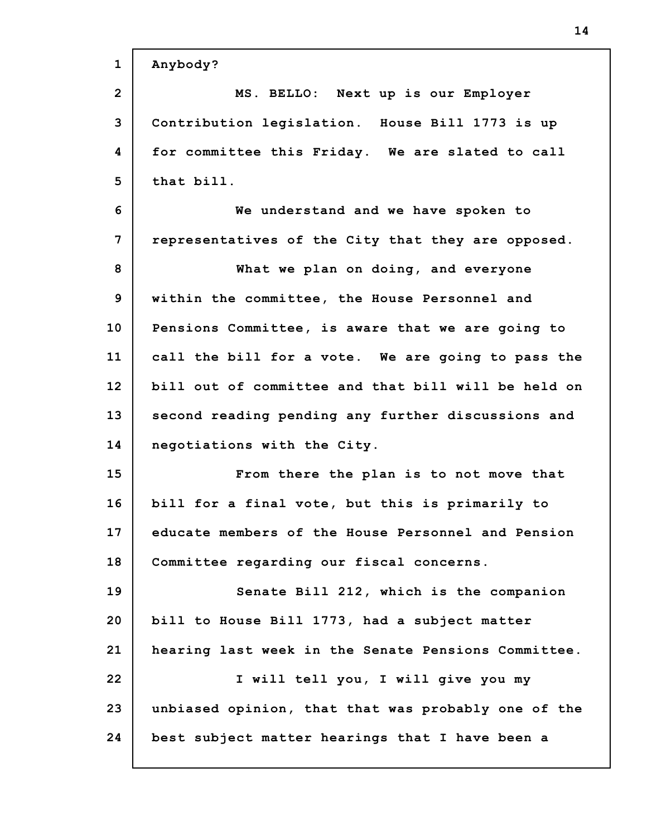| $\mathbf{1}$   | Anybody?                                            |
|----------------|-----------------------------------------------------|
| $\overline{2}$ | MS. BELLO: Next up is our Employer                  |
| 3              | Contribution legislation. House Bill 1773 is up     |
| 4              | for committee this Friday. We are slated to call    |
| 5              | that bill.                                          |
| 6              | We understand and we have spoken to                 |
| 7              | representatives of the City that they are opposed.  |
| 8              | What we plan on doing, and everyone                 |
| 9              | within the committee, the House Personnel and       |
| 10             | Pensions Committee, is aware that we are going to   |
| 11             | call the bill for a vote. We are going to pass the  |
| 12             | bill out of committee and that bill will be held on |
| 13             | second reading pending any further discussions and  |
| 14             | negotiations with the City.                         |
| 15             | From there the plan is to not move that             |
| 16             | bill for a final vote, but this is primarily to     |
| 17             | educate members of the House Personnel and Pension  |
| 18             | Committee regarding our fiscal concerns.            |
| 19             | Senate Bill 212, which is the companion             |
| 20             | bill to House Bill 1773, had a subject matter       |
| 21             | hearing last week in the Senate Pensions Committee. |
| 22             | I will tell you, I will give you my                 |
| 23             | unbiased opinion, that that was probably one of the |
| 24             | best subject matter hearings that I have been a     |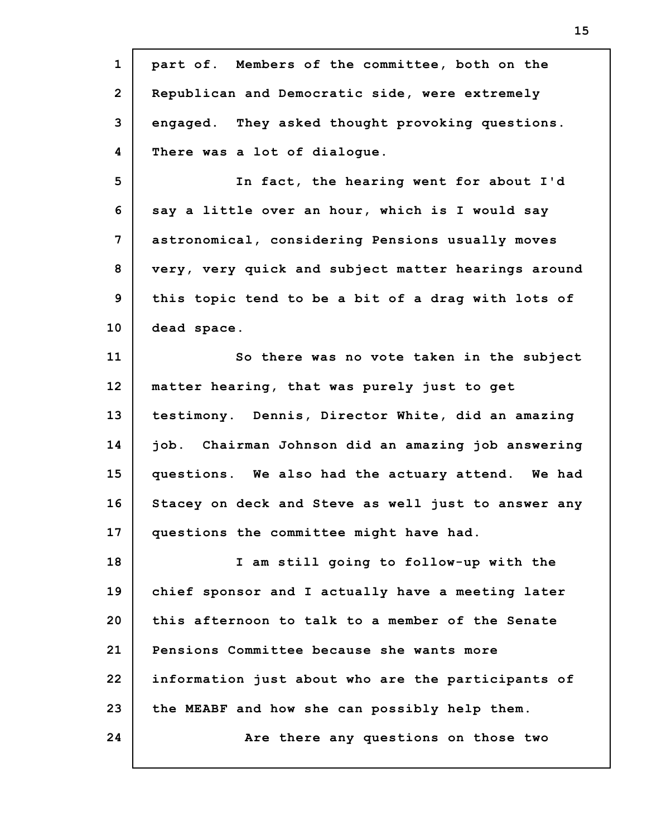| $\mathbf{1}$   | part of. Members of the committee, both on the      |
|----------------|-----------------------------------------------------|
| $\overline{2}$ | Republican and Democratic side, were extremely      |
| 3              | engaged. They asked thought provoking questions.    |
| 4              | There was a lot of dialogue.                        |
| 5              | In fact, the hearing went for about I'd             |
| 6              | say a little over an hour, which is I would say     |
| 7              | astronomical, considering Pensions usually moves    |
| 8              | very, very quick and subject matter hearings around |
| 9              | this topic tend to be a bit of a drag with lots of  |
| 10             | dead space.                                         |
| 11             | So there was no vote taken in the subject           |
| 12             | matter hearing, that was purely just to get         |
| 13             | testimony. Dennis, Director White, did an amazing   |
| 14             | job. Chairman Johnson did an amazing job answering  |
| 15             | questions. We also had the actuary attend. We had   |
| 16             | Stacey on deck and Steve as well just to answer any |
| 17             | questions the committee might have had.             |
| 18             | I am still going to follow-up with the              |
| 19             | chief sponsor and I actually have a meeting later   |
| 20             | this afternoon to talk to a member of the Senate    |
| 21             | Pensions Committee because she wants more           |
| 22             | information just about who are the participants of  |
| 23             | the MEABF and how she can possibly help them.       |
| 24             | Are there any questions on those two                |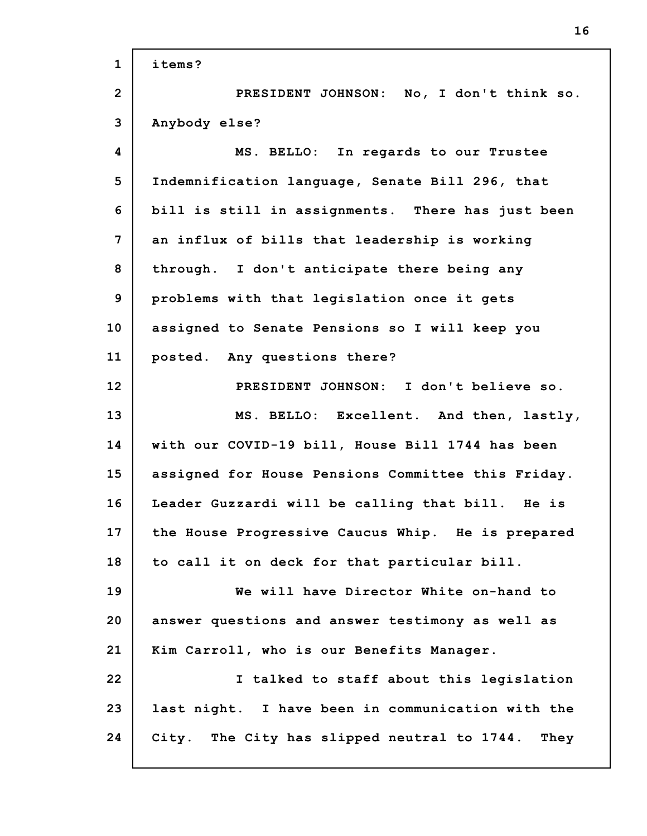| $\mathbf{1}$   | items?                                              |
|----------------|-----------------------------------------------------|
| $\overline{2}$ | PRESIDENT JOHNSON: No, I don't think so.            |
| 3              | Anybody else?                                       |
| 4              | MS. BELLO: In regards to our Trustee                |
| 5              | Indemnification language, Senate Bill 296, that     |
| 6              | bill is still in assignments. There has just been   |
| 7              | an influx of bills that leadership is working       |
| 8              | through. I don't anticipate there being any         |
| 9              | problems with that legislation once it gets         |
| 10             | assigned to Senate Pensions so I will keep you      |
| 11             | posted. Any questions there?                        |
| 12             | PRESIDENT JOHNSON: I don't believe so.              |
| 13             | MS. BELLO: Excellent. And then, lastly,             |
| 14             | with our COVID-19 bill, House Bill 1744 has been    |
| 15             | assigned for House Pensions Committee this Friday.  |
| 16             | Leader Guzzardi will be calling that bill. He is    |
| 17             | the House Progressive Caucus Whip. He is prepared   |
| 18             | to call it on deck for that particular bill.        |
| 19             | We will have Director White on-hand to              |
| 20             | answer questions and answer testimony as well as    |
| 21             | Kim Carroll, who is our Benefits Manager.           |
| 22             | I talked to staff about this legislation            |
| 23             | last night. I have been in communication with the   |
| 24             | City. The City has slipped neutral to 1744.<br>They |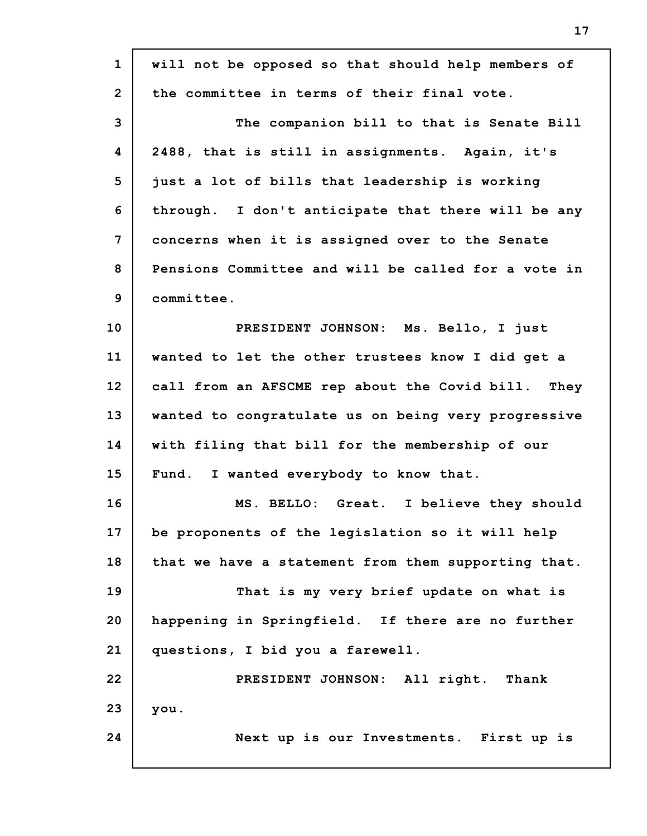| $\mathbf{1}$   | will not be opposed so that should help members of  |
|----------------|-----------------------------------------------------|
| $\overline{2}$ | the committee in terms of their final vote.         |
| 3              | The companion bill to that is Senate Bill           |
| 4              | 2488, that is still in assignments. Again, it's     |
| 5              | just a lot of bills that leadership is working      |
| 6              | through. I don't anticipate that there will be any  |
| $\overline{7}$ | concerns when it is assigned over to the Senate     |
| 8              | Pensions Committee and will be called for a vote in |
| 9              | committee.                                          |
| 10             | PRESIDENT JOHNSON: Ms. Bello, I just                |
| 11             | wanted to let the other trustees know I did get a   |
| 12             | call from an AFSCME rep about the Covid bill. They  |
| 13             | wanted to congratulate us on being very progressive |
| 14             | with filing that bill for the membership of our     |
| 15             | I wanted everybody to know that.<br>Fund.           |
| 16             | MS. BELLO: Great. I believe they should             |
| 17             | be proponents of the legislation so it will help    |
| 18             | that we have a statement from them supporting that. |
| 19             | That is my very brief update on what is             |
| 20             | happening in Springfield. If there are no further   |
| 21             | questions, I bid you a farewell.                    |
| 22             | PRESIDENT JOHNSON: All right. Thank                 |
| 23             | you.                                                |
| 24             | Next up is our Investments. First up is             |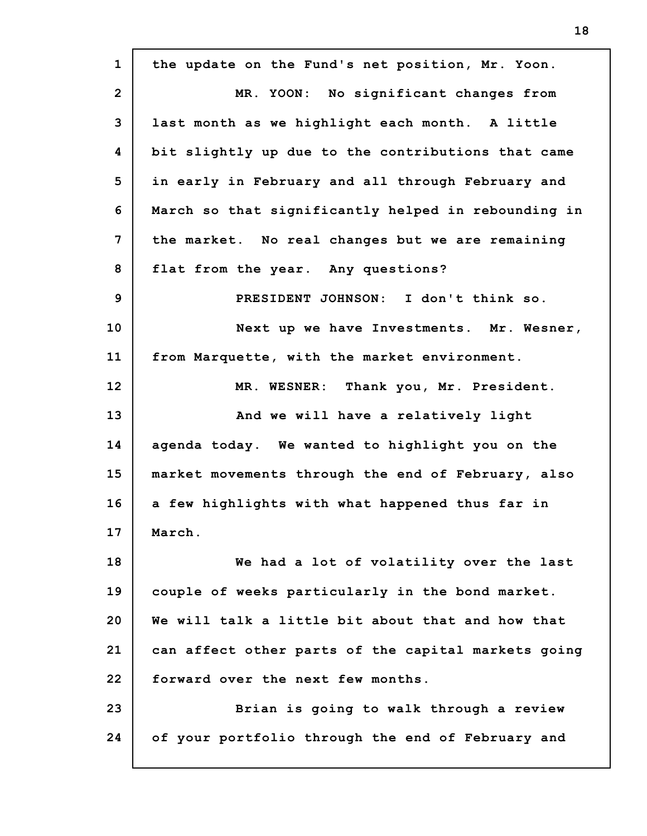**1 2 3 4 5 6 7 8 9 10 11 12 13 14 15 16 17 18 19 20 21 22 23 24 the update on the Fund's net position, Mr. Yoon. MR. YOON: No significant changes from last month as we highlight each month. A little bit slightly up due to the contributions that came in early in February and all through February and March so that significantly helped in rebounding in the market. No real changes but we are remaining flat from the year. Any questions? PRESIDENT JOHNSON: I don't think so. Next up we have Investments. Mr. Wesner, from Marquette, with the market environment. MR. WESNER: Thank you, Mr. President. And we will have a relatively light agenda today. We wanted to highlight you on the market movements through the end of February, also a few highlights with what happened thus far in March. We had a lot of volatility over the last couple of weeks particularly in the bond market. We will talk a little bit about that and how that can affect other parts of the capital markets going forward over the next few months. Brian is going to walk through a review of your portfolio through the end of February and**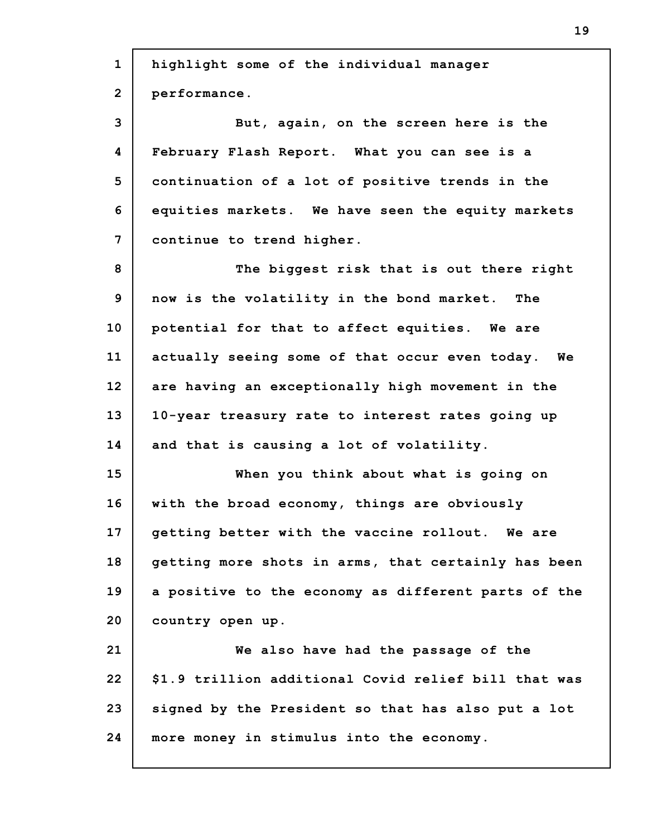| $\mathbf{1}$            | highlight some of the individual manager             |
|-------------------------|------------------------------------------------------|
| $\overline{2}$          | performance.                                         |
| 3                       | But, again, on the screen here is the                |
| $\overline{\mathbf{4}}$ | February Flash Report. What you can see is a         |
| 5                       | continuation of a lot of positive trends in the      |
| 6                       | equities markets. We have seen the equity markets    |
| $\overline{7}$          | continue to trend higher.                            |
| 8                       | The biggest risk that is out there right             |
| 9                       | now is the volatility in the bond market. The        |
| 10                      | potential for that to affect equities. We are        |
| 11                      | actually seeing some of that occur even today. We    |
| 12                      | are having an exceptionally high movement in the     |
| 13                      | 10-year treasury rate to interest rates going up     |
| 14                      | and that is causing a lot of volatility.             |
| 15                      | When you think about what is going on                |
| 16                      | with the broad economy, things are obviously         |
| 17                      | getting better with the vaccine rollout. We are      |
| 18                      | getting more shots in arms, that certainly has been  |
| 19                      | a positive to the economy as different parts of the  |
| 20                      | country open up.                                     |
| 21                      | We also have had the passage of the                  |
| 22                      | \$1.9 trillion additional Covid relief bill that was |
| 23                      | signed by the President so that has also put a lot   |
| 24                      | more money in stimulus into the economy.             |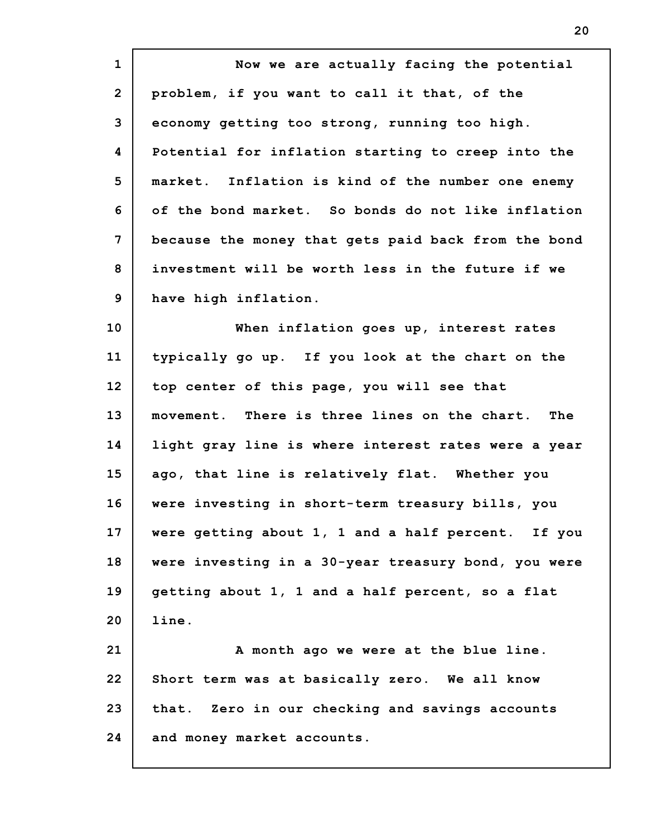| $\mathbf{1}$   | Now we are actually facing the potential            |
|----------------|-----------------------------------------------------|
| $\overline{2}$ | problem, if you want to call it that, of the        |
| 3              | economy getting too strong, running too high.       |
| 4              | Potential for inflation starting to creep into the  |
| 5              | market. Inflation is kind of the number one enemy   |
| 6              | of the bond market. So bonds do not like inflation  |
| 7              | because the money that gets paid back from the bond |
| 8              | investment will be worth less in the future if we   |
| 9              | have high inflation.                                |
| 10             | When inflation goes up, interest rates              |
| 11             | typically go up. If you look at the chart on the    |
| 12             | top center of this page, you will see that          |
| 13             | movement. There is three lines on the chart.<br>The |
| 14             | light gray line is where interest rates were a year |
| 15             | ago, that line is relatively flat. Whether you      |
| 16             | were investing in short-term treasury bills, you    |
| 17             | were getting about 1, 1 and a half percent. If you  |
| 18             | were investing in a 30-year treasury bond, you were |
| 19             | getting about 1, 1 and a half percent, so a flat    |
| 20             | line.                                               |
| 21             | A month ago we were at the blue line.               |
| 22             | Short term was at basically zero. We all know       |
| 23             | that. Zero in our checking and savings accounts     |
| 24             |                                                     |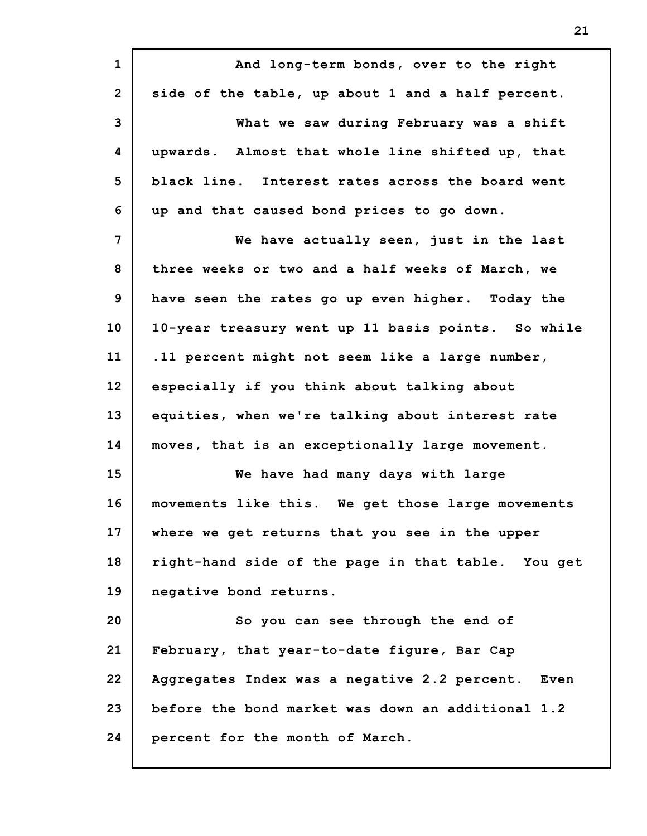**1 2 3 4 5 6 7 8 9 10 11 12 13 14 15 16 17 18 19 20 21 22 23 24 And long-term bonds, over to the right side of the table, up about 1 and a half percent. What we saw during February was a shift upwards. Almost that whole line shifted up, that black line. Interest rates across the board went up and that caused bond prices to go down. We have actually seen, just in the last three weeks or two and a half weeks of March, we have seen the rates go up even higher. Today the 10-year treasury went up 11 basis points. So while .11 percent might not seem like a large number, especially if you think about talking about equities, when we're talking about interest rate moves, that is an exceptionally large movement. We have had many days with large movements like this. We get those large movements where we get returns that you see in the upper right-hand side of the page in that table. You get negative bond returns. So you can see through the end of February, that year-to-date figure, Bar Cap Aggregates Index was a negative 2.2 percent. Even before the bond market was down an additional 1.2 percent for the month of March.**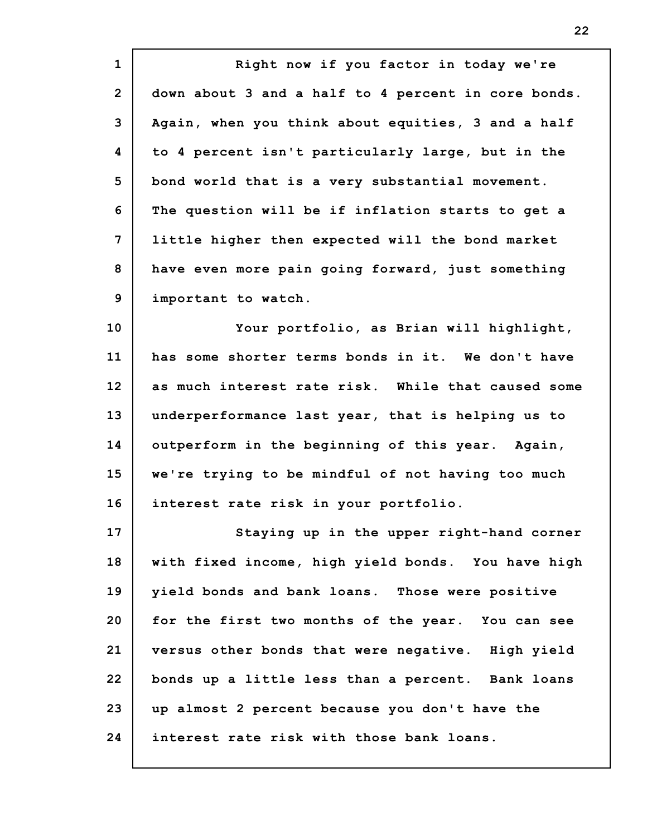**1 2 3 4 5 6 7 8 9 Right now if you factor in today we're down about 3 and a half to 4 percent in core bonds. Again, when you think about equities, 3 and a half to 4 percent isn't particularly large, but in the bond world that is a very substantial movement. The question will be if inflation starts to get a little higher then expected will the bond market have even more pain going forward, just something important to watch.**

**10 11 12 13 14 15 16 Your portfolio, as Brian will highlight, has some shorter terms bonds in it. We don't have as much interest rate risk. While that caused some underperformance last year, that is helping us to outperform in the beginning of this year. Again, we're trying to be mindful of not having too much interest rate risk in your portfolio.**

**17 18 19 20 21 22 23 24 Staying up in the upper right-hand corner with fixed income, high yield bonds. You have high yield bonds and bank loans. Those were positive for the first two months of the year. You can see versus other bonds that were negative. High yield bonds up a little less than a percent. Bank loans up almost 2 percent because you don't have the interest rate risk with those bank loans.**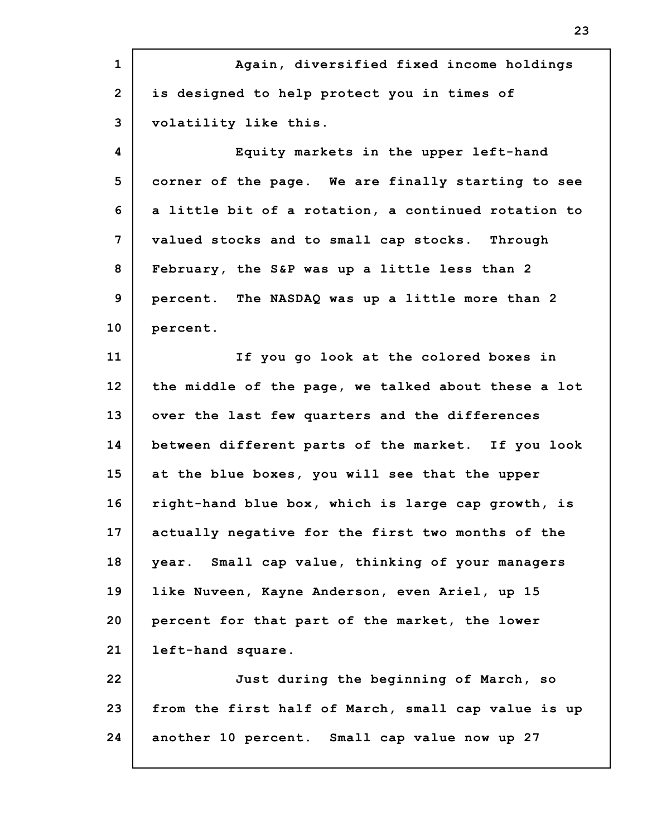**1 2 3 4 5 6 7 8 9 10 11 12 13 14 15 16 17 18 19 20 21 22 23 24 Again, diversified fixed income holdings is designed to help protect you in times of volatility like this. Equity markets in the upper left-hand corner of the page. We are finally starting to see a little bit of a rotation, a continued rotation to valued stocks and to small cap stocks. Through February, the S&P was up a little less than 2 percent. The NASDAQ was up a little more than 2 percent. If you go look at the colored boxes in the middle of the page, we talked about these a lot over the last few quarters and the differences between different parts of the market. If you look at the blue boxes, you will see that the upper right-hand blue box, which is large cap growth, is actually negative for the first two months of the year. Small cap value, thinking of your managers like Nuveen, Kayne Anderson, even Ariel, up 15 percent for that part of the market, the lower left-hand square. Just during the beginning of March, so from the first half of March, small cap value is up another 10 percent. Small cap value now up 27**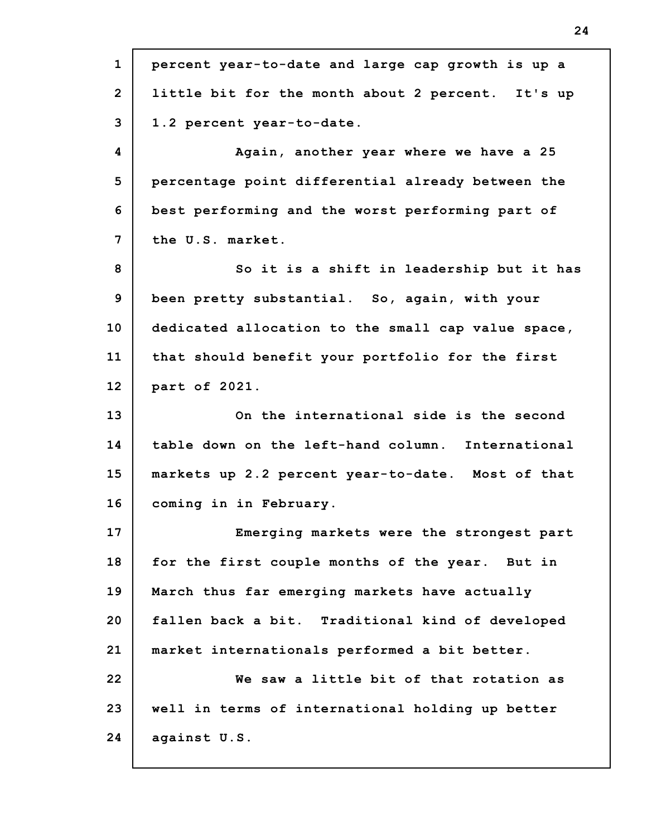**1 2 3 4 5 6 7 8 9 10 11 12 13 14 15 16 17 18 19 20 21 22 23 24 percent year-to-date and large cap growth is up a little bit for the month about 2 percent. It's up 1.2 percent year-to-date. Again, another year where we have a 25 percentage point differential already between the best performing and the worst performing part of the U.S. market. So it is a shift in leadership but it has been pretty substantial. So, again, with your dedicated allocation to the small cap value space, that should benefit your portfolio for the first part of 2021. On the international side is the second table down on the left-hand column. International markets up 2.2 percent year-to-date. Most of that coming in in February. Emerging markets were the strongest part for the first couple months of the year. But in March thus far emerging markets have actually fallen back a bit. Traditional kind of developed market internationals performed a bit better. We saw a little bit of that rotation as well in terms of international holding up better against U.S.**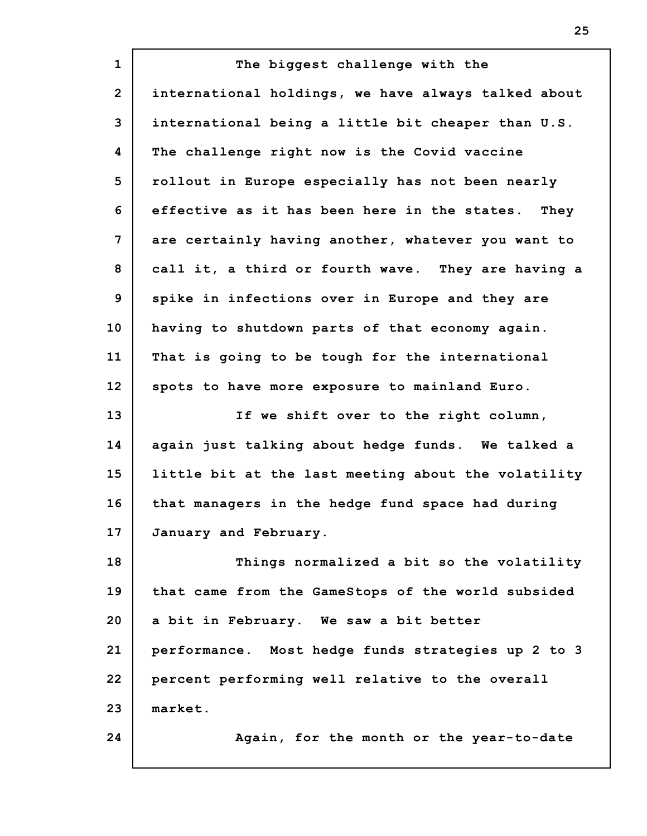**1 2 3 4 5 6 7 8 9 10 11 12 13 14 15 16 17 18 19 20 21 22 23 24 The biggest challenge with the international holdings, we have always talked about international being a little bit cheaper than U.S. The challenge right now is the Covid vaccine rollout in Europe especially has not been nearly effective as it has been here in the states. They are certainly having another, whatever you want to call it, a third or fourth wave. They are having a spike in infections over in Europe and they are having to shutdown parts of that economy again. That is going to be tough for the international spots to have more exposure to mainland Euro. If we shift over to the right column, again just talking about hedge funds. We talked a little bit at the last meeting about the volatility that managers in the hedge fund space had during January and February. Things normalized a bit so the volatility that came from the GameStops of the world subsided a bit in February. We saw a bit better performance. Most hedge funds strategies up 2 to 3 percent performing well relative to the overall market. Again, for the month or the year-to-date**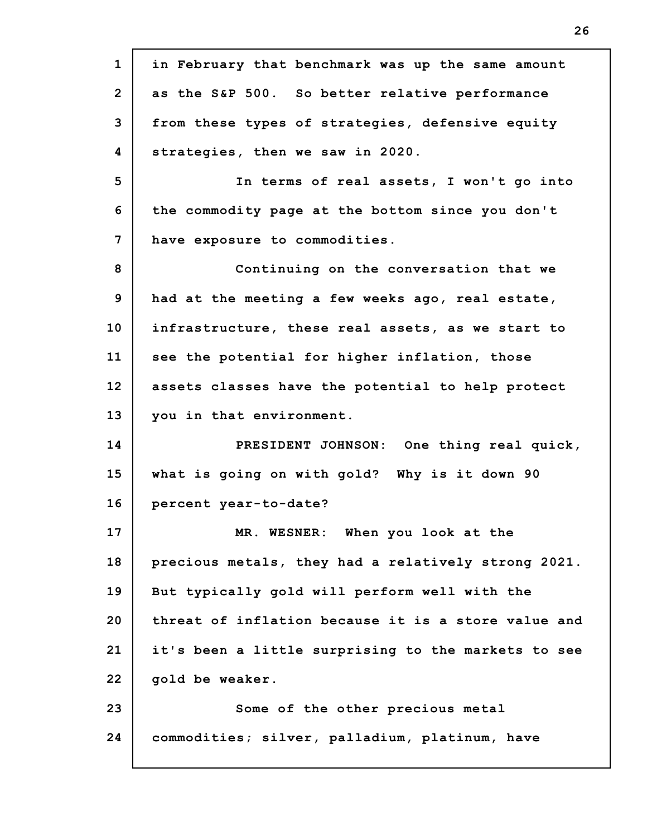**1 2 3 4 5 6 7 8 9 10 11 12 13 14 15 16 17 18 19 20 21 22 23 24 in February that benchmark was up the same amount as the S&P 500. So better relative performance from these types of strategies, defensive equity strategies, then we saw in 2020. In terms of real assets, I won't go into the commodity page at the bottom since you don't have exposure to commodities. Continuing on the conversation that we had at the meeting a few weeks ago, real estate, infrastructure, these real assets, as we start to see the potential for higher inflation, those assets classes have the potential to help protect you in that environment. PRESIDENT JOHNSON: One thing real quick, what is going on with gold? Why is it down 90 percent year-to-date? MR. WESNER: When you look at the precious metals, they had a relatively strong 2021. But typically gold will perform well with the threat of inflation because it is a store value and it's been a little surprising to the markets to see gold be weaker. Some of the other precious metal commodities; silver, palladium, platinum, have**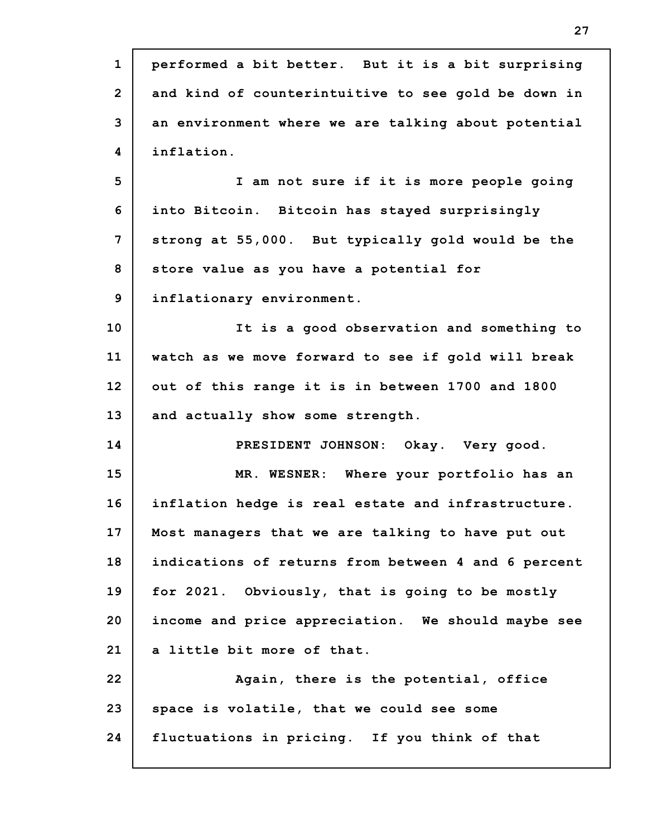| $\mathbf{1}$   | performed a bit better. But it is a bit surprising  |
|----------------|-----------------------------------------------------|
| $\overline{2}$ | and kind of counterintuitive to see gold be down in |
| 3              | an environment where we are talking about potential |
| 4              | inflation.                                          |
| 5              | I am not sure if it is more people going            |
| 6              | into Bitcoin. Bitcoin has stayed surprisingly       |
| 7              | strong at 55,000. But typically gold would be the   |
| 8              | store value as you have a potential for             |
| 9              | inflationary environment.                           |
| 10             | It is a good observation and something to           |
| 11             | watch as we move forward to see if gold will break  |
| 12             | out of this range it is in between 1700 and 1800    |
| 13             | and actually show some strength.                    |
| 14             | PRESIDENT JOHNSON: Okay. Very good.                 |
| 15             | MR. WESNER: Where your portfolio has an             |
| 16             | inflation hedge is real estate and infrastructure.  |
| 17             | Most managers that we are talking to have put out   |
| 18             | indications of returns from between 4 and 6 percent |
| 19             | for 2021. Obviously, that is going to be mostly     |
| 20             | income and price appreciation. We should maybe see  |
| 21             | a little bit more of that.                          |
| 22             | Again, there is the potential, office               |
| 23             | space is volatile, that we could see some           |
| 24             | fluctuations in pricing. If you think of that       |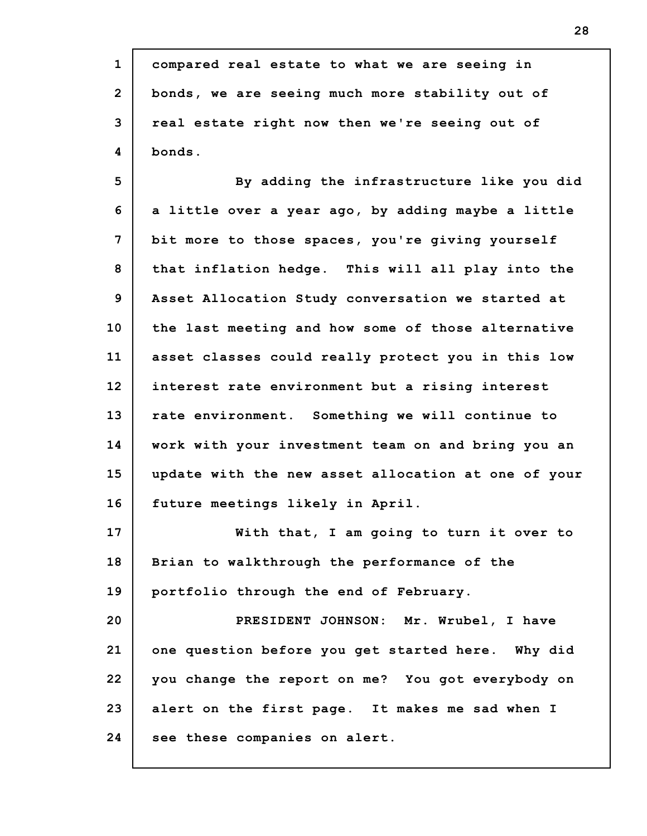| $\mathbf{1}$   | compared real estate to what we are seeing in       |
|----------------|-----------------------------------------------------|
| $\overline{2}$ | bonds, we are seeing much more stability out of     |
| 3              | real estate right now then we're seeing out of      |
| 4              | bonds.                                              |
| 5              | By adding the infrastructure like you did           |
| 6              | a little over a year ago, by adding maybe a little  |
| 7              | bit more to those spaces, you're giving yourself    |
| 8              | that inflation hedge. This will all play into the   |
| 9              | Asset Allocation Study conversation we started at   |
| 10             | the last meeting and how some of those alternative  |
| 11             | asset classes could really protect you in this low  |
| 12             | interest rate environment but a rising interest     |
| 13             | rate environment. Something we will continue to     |
| 14             | work with your investment team on and bring you an  |
| 15             | update with the new asset allocation at one of your |
| 16             | future meetings likely in April.                    |
| 17             | With that, I am going to turn it over to            |
| 18             | Brian to walkthrough the performance of the         |
| 19             | portfolio through the end of February.              |
| 20             | PRESIDENT JOHNSON: Mr. Wrubel, I have               |
| 21             | one question before you get started here. Why did   |
| 22             | you change the report on me? You got everybody on   |
| 23             | alert on the first page. It makes me sad when I     |
| 24             | see these companies on alert.                       |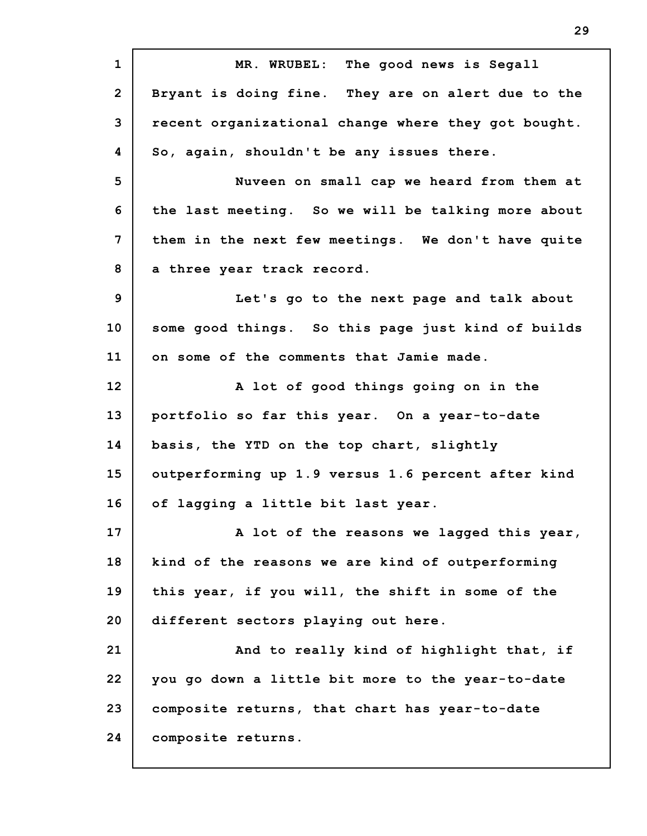**1 2 3 4 5 6 7 8 9 10 11 12 13 14 15 16 17 18 19 20 21 22 23 24 MR. WRUBEL: The good news is Segall Bryant is doing fine. They are on alert due to the recent organizational change where they got bought. So, again, shouldn't be any issues there. Nuveen on small cap we heard from them at the last meeting. So we will be talking more about them in the next few meetings. We don't have quite a three year track record. Let's go to the next page and talk about some good things. So this page just kind of builds on some of the comments that Jamie made. A lot of good things going on in the portfolio so far this year. On a year-to-date basis, the YTD on the top chart, slightly outperforming up 1.9 versus 1.6 percent after kind of lagging a little bit last year. A lot of the reasons we lagged this year, kind of the reasons we are kind of outperforming this year, if you will, the shift in some of the different sectors playing out here. And to really kind of highlight that, if you go down a little bit more to the year-to-date composite returns, that chart has year-to-date composite returns.**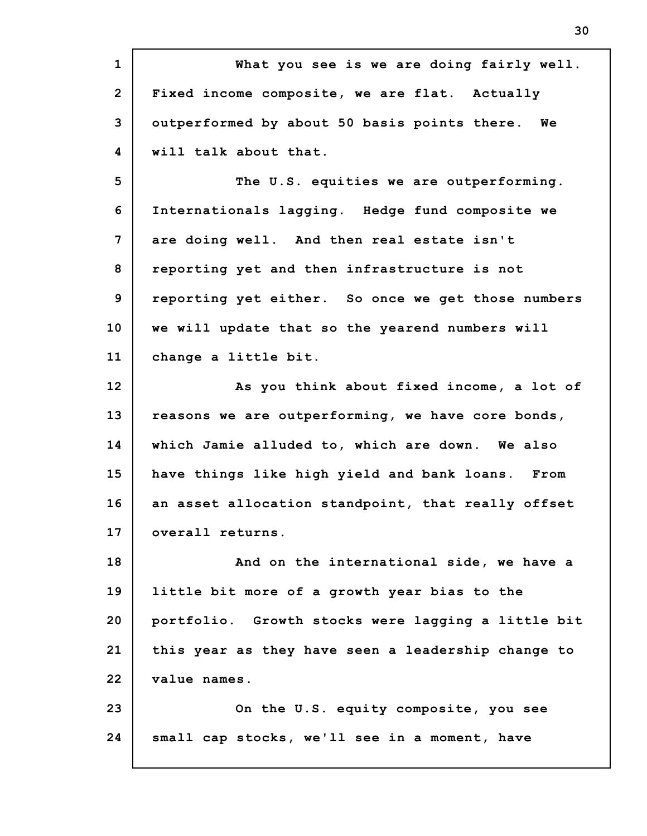**1 2 3 4 5 6 7 8 9 10 11 12 13 14 15 16 17 18 19 20 21 22 23 24 What you see is we are doing fairly well. Fixed income composite, we are flat. Actually outperformed by about 50 basis points there. We will talk about that. The U.S. equities we are outperforming. Internationals lagging. Hedge fund composite we are doing well. And then real estate isn't reporting yet and then infrastructure is not reporting yet either. So once we get those numbers we will update that so the yearend numbers will change a little bit. As you think about fixed income, a lot of reasons we are outperforming, we have core bonds, which Jamie alluded to, which are down. We also have things like high yield and bank loans. From an asset allocation standpoint, that really offset overall returns. And on the international side, we have a little bit more of a growth year bias to the portfolio. Growth stocks were lagging a little bit this year as they have seen a leadership change to value names. On the U.S. equity composite, you see small cap stocks, we'll see in a moment, have**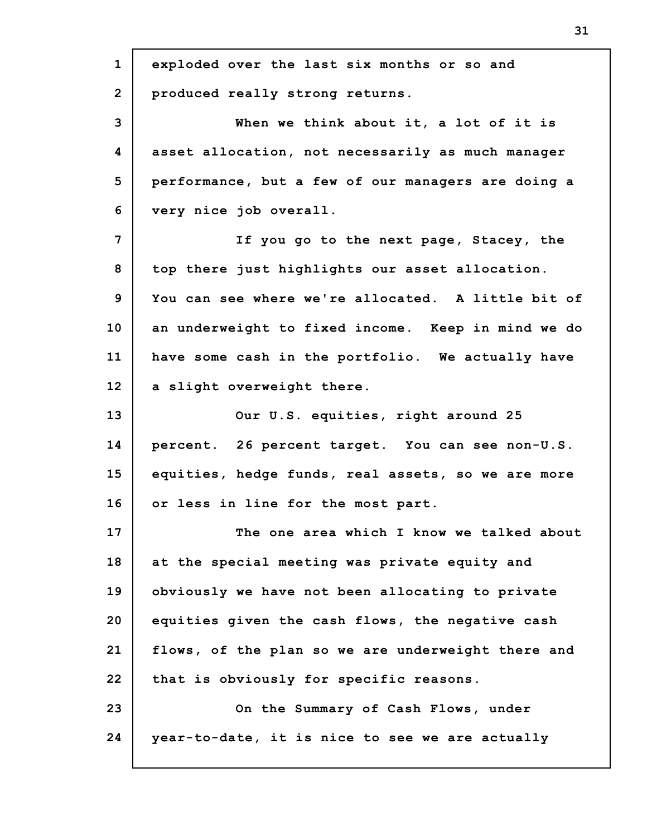| $\mathbf{1}$   | exploded over the last six months or so and        |
|----------------|----------------------------------------------------|
| $\overline{2}$ | produced really strong returns.                    |
| 3              | When we think about it, a lot of it is             |
| 4              | asset allocation, not necessarily as much manager  |
| 5              | performance, but a few of our managers are doing a |
| 6              | very nice job overall.                             |
| 7              | If you go to the next page, Stacey, the            |
| 8              | top there just highlights our asset allocation.    |
| 9              | You can see where we're allocated. A little bit of |
| 10             | an underweight to fixed income. Keep in mind we do |
| 11             | have some cash in the portfolio. We actually have  |
| 12             | a slight overweight there.                         |
| 13             | Our U.S. equities, right around 25                 |
| 14             | percent. 26 percent target. You can see non-U.S.   |
| 15             | equities, hedge funds, real assets, so we are more |
| 16             | or less in line for the most part.                 |
| 17             | The one area which I know we talked about          |
| 18             | at the special meeting was private equity and      |
| 19             | obviously we have not been allocating to private   |
| 20             | equities given the cash flows, the negative cash   |
| 21             | flows, of the plan so we are underweight there and |
| 22             | that is obviously for specific reasons.            |
| 23             | On the Summary of Cash Flows, under                |
| 24             | year-to-date, it is nice to see we are actually    |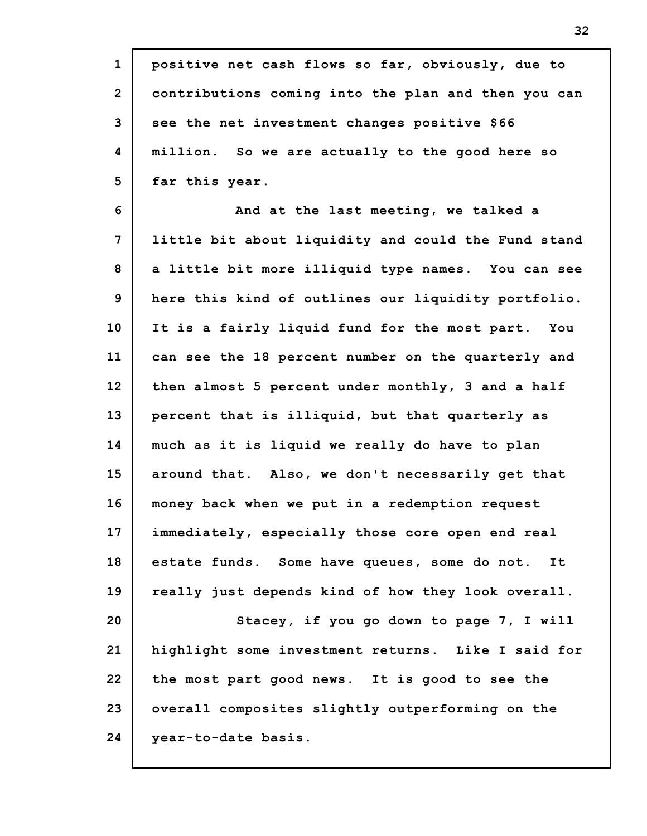| $\mathbf{1}$   | positive net cash flows so far, obviously, due to   |
|----------------|-----------------------------------------------------|
| $\overline{2}$ | contributions coming into the plan and then you can |
| 3              | see the net investment changes positive \$66        |
| 4              | million. So we are actually to the good here so     |
| 5              | far this year.                                      |
| 6              | And at the last meeting, we talked a                |
| 7              | little bit about liquidity and could the Fund stand |
| 8              | a little bit more illiquid type names. You can see  |
| 9              | here this kind of outlines our liquidity portfolio. |
| 10             | It is a fairly liquid fund for the most part. You   |
| 11             | can see the 18 percent number on the quarterly and  |
| 12             | then almost 5 percent under monthly, 3 and a half   |
| 13             | percent that is illiquid, but that quarterly as     |
| 14             | much as it is liquid we really do have to plan      |
| 15             | around that. Also, we don't necessarily get that    |
| 16             | money back when we put in a redemption request      |
| 17             | immediately, especially those core open end real    |
| 18             | estate funds. Some have queues, some do not. It     |
| 19             | really just depends kind of how they look overall.  |
| 20             | Stacey, if you go down to page 7, I will            |
| 21             | highlight some investment returns. Like I said for  |
| 22             | the most part good news. It is good to see the      |
| 23             | overall composites slightly outperforming on the    |
| 24             | year-to-date basis.                                 |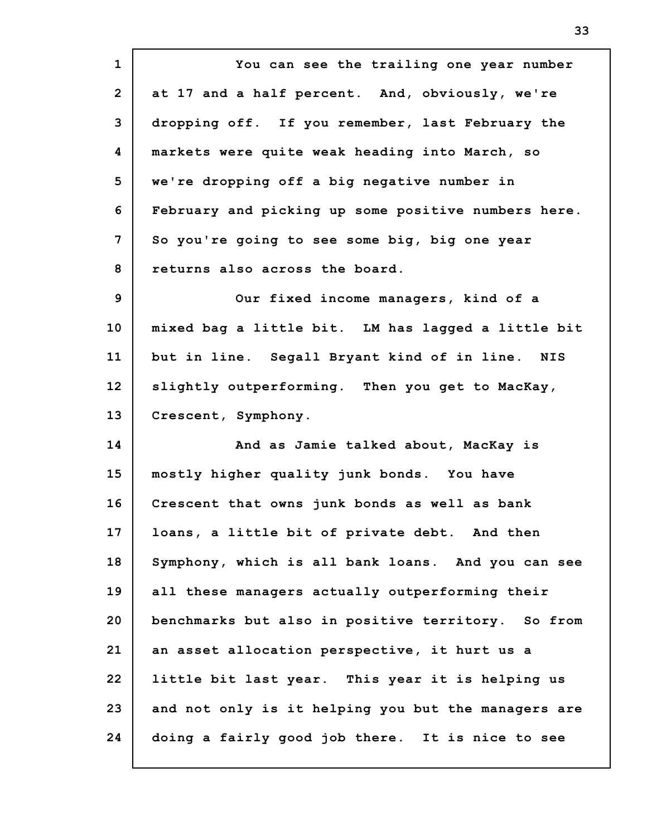**1 2 3 4 5 6 7 8 9 10 11 12 13 14 15 16 17 18 19 20 21 22 23 24 You can see the trailing one year number at 17 and a half percent. And, obviously, we're dropping off. If you remember, last February the markets were quite weak heading into March, so we're dropping off a big negative number in February and picking up some positive numbers here. So you're going to see some big, big one year returns also across the board. Our fixed income managers, kind of a mixed bag a little bit. LM has lagged a little bit but in line. Segall Bryant kind of in line. NIS slightly outperforming. Then you get to MacKay, Crescent, Symphony. And as Jamie talked about, MacKay is mostly higher quality junk bonds. You have Crescent that owns junk bonds as well as bank loans, a little bit of private debt. And then Symphony, which is all bank loans. And you can see all these managers actually outperforming their benchmarks but also in positive territory. So from an asset allocation perspective, it hurt us a little bit last year. This year it is helping us and not only is it helping you but the managers are doing a fairly good job there. It is nice to see**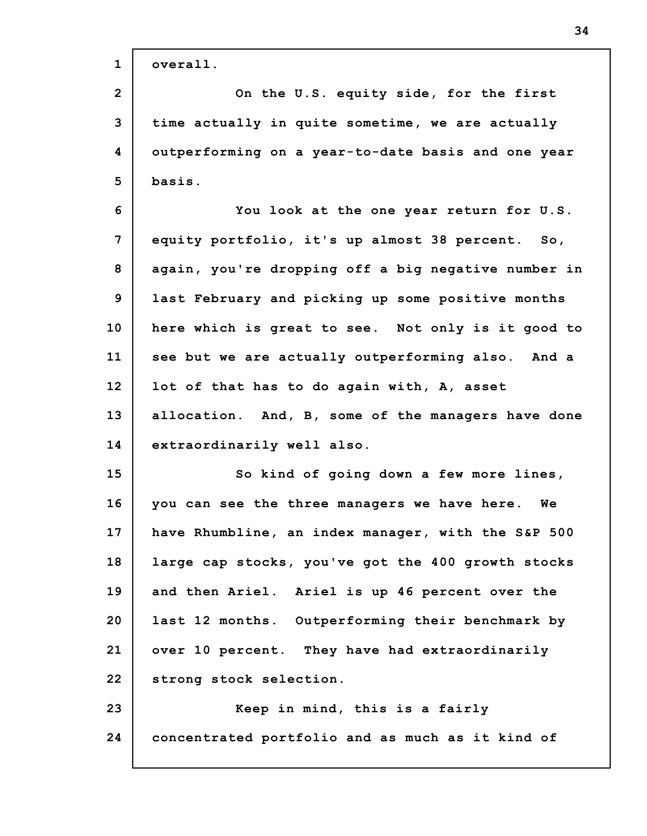| $\mathbf{1}$ | overall.                                            |
|--------------|-----------------------------------------------------|
| $\mathbf{2}$ | On the U.S. equity side, for the first              |
| 3            | time actually in quite sometime, we are actually    |
| 4            | outperforming on a year-to-date basis and one year  |
| 5            | basis.                                              |
| 6            | You look at the one year return for U.S.            |
| 7            | equity portfolio, it's up almost 38 percent. So,    |
| 8            | again, you're dropping off a big negative number in |
| 9            | last February and picking up some positive months   |
| 10           | here which is great to see. Not only is it good to  |
| 11           | see but we are actually outperforming also. And a   |
| 12           | lot of that has to do again with, A, asset          |
| 13           | allocation. And, B, some of the managers have done  |
| 14           | extraordinarily well also.                          |
| 15           | So kind of going down a few more lines,             |
| 16           | you can see the three managers we have here. We     |
| 17           | have Rhumbline, an index manager, with the S&P 500  |
| 18           | large cap stocks, you've got the 400 growth stocks  |
| 19           | and then Ariel. Ariel is up 46 percent over the     |
| 20           | last 12 months. Outperforming their benchmark by    |
| 21           | over 10 percent. They have had extraordinarily      |
| 22           | strong stock selection.                             |
| 23           | Keep in mind, this is a fairly                      |
| 24           | concentrated portfolio and as much as it kind of    |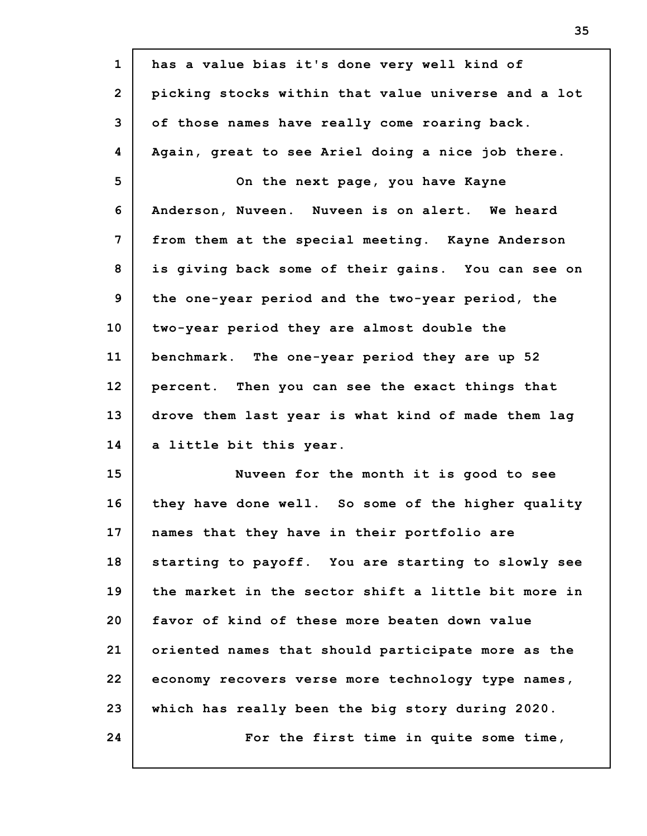| $\mathbf{1}$   | has a value bias it's done very well kind of        |
|----------------|-----------------------------------------------------|
| $\overline{2}$ | picking stocks within that value universe and a lot |
| 3              | of those names have really come roaring back.       |
| 4              | Again, great to see Ariel doing a nice job there.   |
| 5              | On the next page, you have Kayne                    |
| 6              | Anderson, Nuveen. Nuveen is on alert. We heard      |
| 7              | from them at the special meeting. Kayne Anderson    |
| 8              | is giving back some of their gains. You can see on  |
| 9              | the one-year period and the two-year period, the    |
| 10             | two-year period they are almost double the          |
| 11             | benchmark. The one-year period they are up 52       |
| 12             | percent. Then you can see the exact things that     |
| 13             | drove them last year is what kind of made them lag  |
| 14             | a little bit this year.                             |
| 15             | Nuveen for the month it is good to see              |
| 16             | they have done well. So some of the higher quality  |
| 17             | names that they have in their portfolio are         |
| 18             | starting to payoff. You are starting to slowly see  |
| 19             | the market in the sector shift a little bit more in |
| 20             | favor of kind of these more beaten down value       |
| 21             | oriented names that should participate more as the  |
| 22             | economy recovers verse more technology type names,  |
| 23             | which has really been the big story during 2020.    |
| 24             | For the first time in quite some time,              |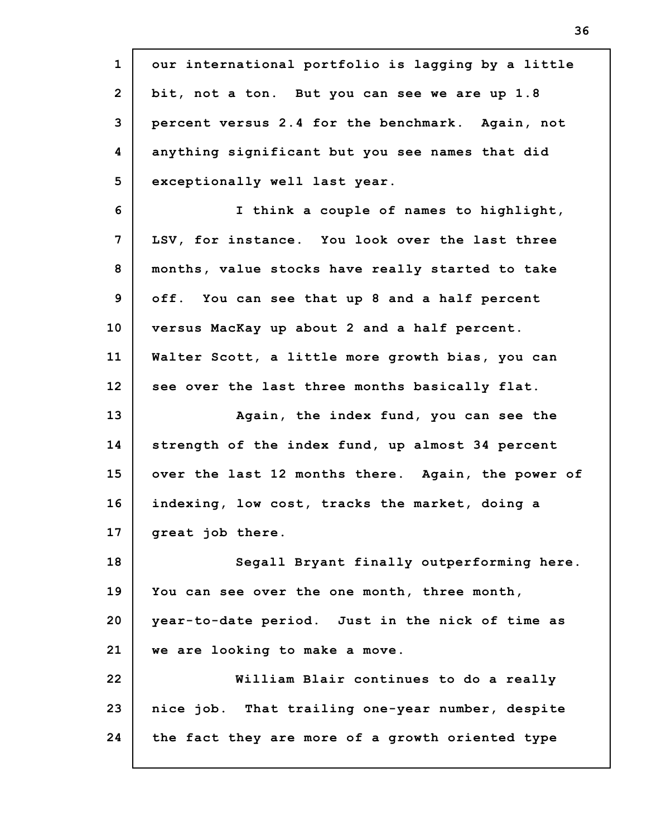**1 2 3 4 5 6 7 8 9 10 11 12 13 14 15 16 17 18 19 20 21 22 23 24 our international portfolio is lagging by a little bit, not a ton. But you can see we are up 1.8 percent versus 2.4 for the benchmark. Again, not anything significant but you see names that did exceptionally well last year. I think a couple of names to highlight, LSV, for instance. You look over the last three months, value stocks have really started to take off. You can see that up 8 and a half percent versus MacKay up about 2 and a half percent. Walter Scott, a little more growth bias, you can see over the last three months basically flat. Again, the index fund, you can see the strength of the index fund, up almost 34 percent over the last 12 months there. Again, the power of indexing, low cost, tracks the market, doing a great job there. Segall Bryant finally outperforming here. You can see over the one month, three month, year-to-date period. Just in the nick of time as we are looking to make a move. William Blair continues to do a really nice job. That trailing one-year number, despite the fact they are more of a growth oriented type**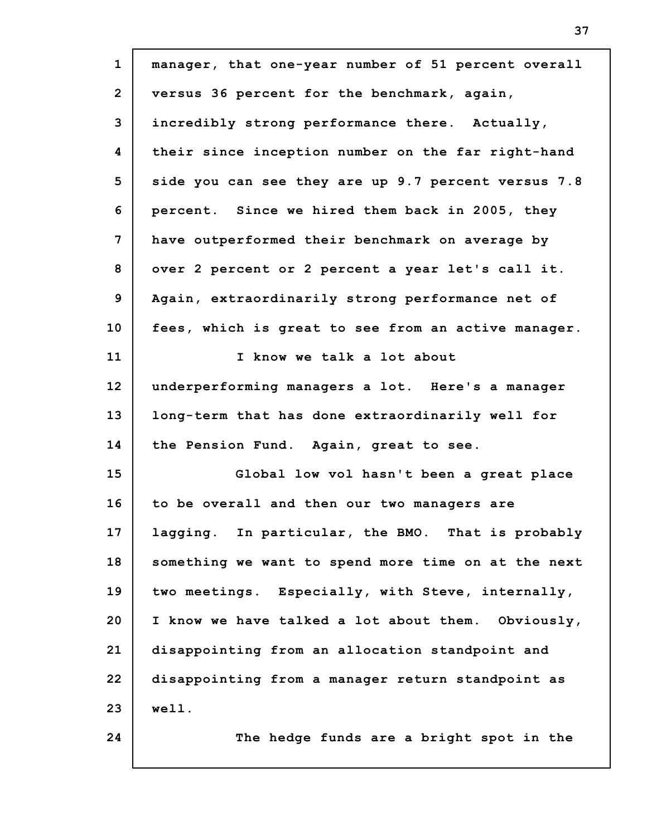| $\mathbf{1}$   | manager, that one-year number of 51 percent overall |
|----------------|-----------------------------------------------------|
| $\overline{2}$ | versus 36 percent for the benchmark, again,         |
| 3              | incredibly strong performance there. Actually,      |
| 4              | their since inception number on the far right-hand  |
| 5              | side you can see they are up 9.7 percent versus 7.8 |
| 6              | percent. Since we hired them back in 2005, they     |
| 7              | have outperformed their benchmark on average by     |
| 8              | over 2 percent or 2 percent a year let's call it.   |
| 9              | Again, extraordinarily strong performance net of    |
| 10             | fees, which is great to see from an active manager. |
| 11             | I know we talk a lot about                          |
| 12             | underperforming managers a lot. Here's a manager    |
| 13             | long-term that has done extraordinarily well for    |
| 14             | the Pension Fund. Again, great to see.              |
| 15             | Global low vol hasn't been a great place            |
| 16             | to be overall and then our two managers are         |
| 17             | lagging. In particular, the BMO. That is probably   |
| 18             | something we want to spend more time on at the next |
| 19             | two meetings. Especially, with Steve, internally,   |
| 20             | I know we have talked a lot about them. Obviously,  |
| 21             | disappointing from an allocation standpoint and     |
| 22             | disappointing from a manager return standpoint as   |
| 23             | well.                                               |
| 24             | The hedge funds are a bright spot in the            |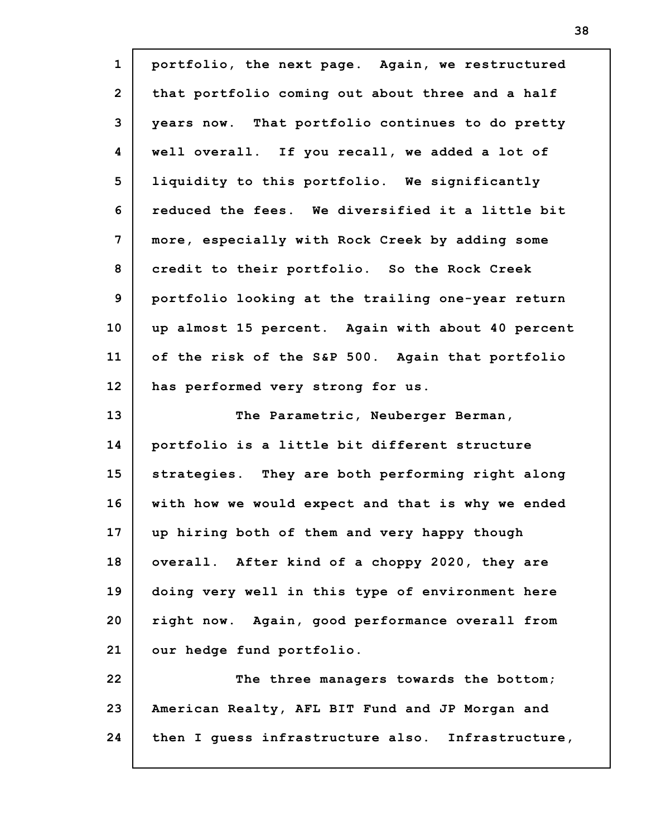| $\mathbf{1}$   | portfolio, the next page. Again, we restructured  |
|----------------|---------------------------------------------------|
| $\overline{2}$ | that portfolio coming out about three and a half  |
| 3              | years now. That portfolio continues to do pretty  |
| 4              | well overall. If you recall, we added a lot of    |
| 5              | liquidity to this portfolio. We significantly     |
| 6              | reduced the fees. We diversified it a little bit  |
| 7              | more, especially with Rock Creek by adding some   |
| 8              | credit to their portfolio. So the Rock Creek      |
| $\mathbf{9}$   | portfolio looking at the trailing one-year return |
| 10             | up almost 15 percent. Again with about 40 percent |
| 11             | of the risk of the S&P 500. Again that portfolio  |
| 12             | has performed very strong for us.                 |
|                |                                                   |
| 13             | The Parametric, Neuberger Berman,                 |
| 14             | portfolio is a little bit different structure     |
| 15             | strategies. They are both performing right along  |
| 16             | with how we would expect and that is why we ended |
| 17             | up hiring both of them and very happy though      |
| 18             | overall. After kind of a choppy 2020, they are    |
| 19             | doing very well in this type of environment here  |
| 20             | right now. Again, good performance overall from   |
| 21             | our hedge fund portfolio.                         |
| 22             | The three managers towards the bottom;            |
| 23             | American Realty, AFL BIT Fund and JP Morgan and   |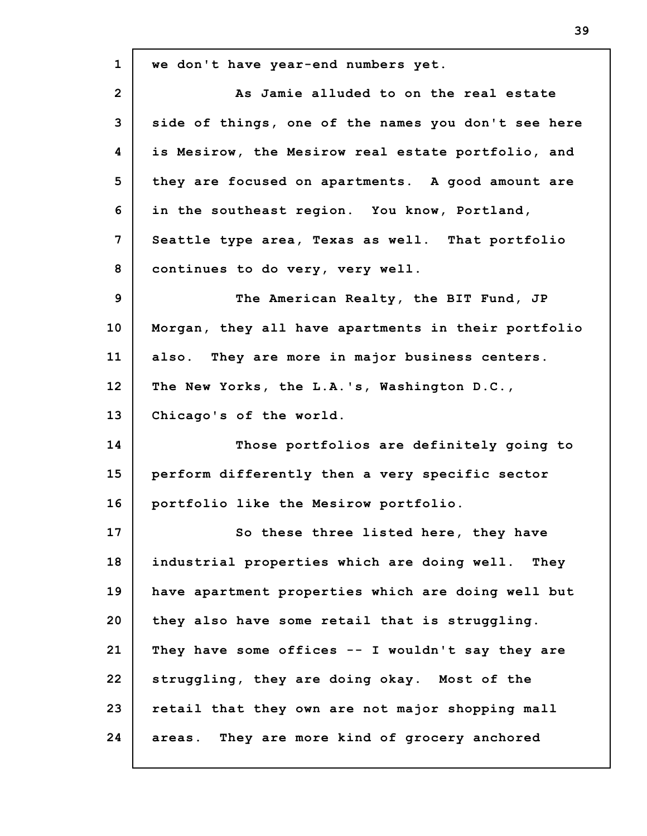| $\mathbf{1}$    | we don't have year-end numbers yet.                 |
|-----------------|-----------------------------------------------------|
| $\overline{2}$  | As Jamie alluded to on the real estate              |
| 3               | side of things, one of the names you don't see here |
| 4               | is Mesirow, the Mesirow real estate portfolio, and  |
| 5               | they are focused on apartments. A good amount are   |
| 6               | in the southeast region. You know, Portland,        |
| 7               | Seattle type area, Texas as well. That portfolio    |
| 8               | continues to do very, very well.                    |
| 9               | The American Realty, the BIT Fund, JP               |
| 10 <sub>1</sub> | Morgan, they all have apartments in their portfolio |
| 11              | also. They are more in major business centers.      |
| 12              | The New Yorks, the L.A.'s, Washington D.C.,         |
| 13              | Chicago's of the world.                             |
| 14              | Those portfolios are definitely going to            |
| 15              | perform differently then a very specific sector     |
| 16              | portfolio like the Mesirow portfolio.               |
| 17              | So these three listed here, they have               |
| 18              | industrial properties which are doing well.<br>They |
| 19              | have apartment properties which are doing well but  |
| 20              | they also have some retail that is struggling.      |
| 21              | They have some offices -- I wouldn't say they are   |
| 22              | struggling, they are doing okay. Most of the        |
| 23              | retail that they own are not major shopping mall    |
| 24              | areas. They are more kind of grocery anchored       |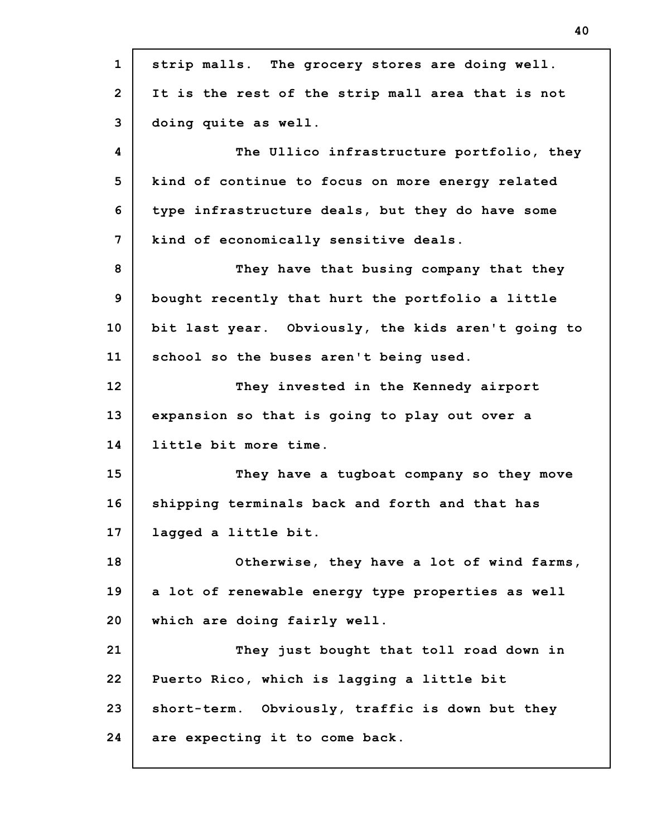| $\mathbf{1}$   | strip malls. The grocery stores are doing well.    |
|----------------|----------------------------------------------------|
| $\overline{2}$ | It is the rest of the strip mall area that is not  |
| 3              | doing quite as well.                               |
| 4              | The Ullico infrastructure portfolio, they          |
| 5              | kind of continue to focus on more energy related   |
| 6              | type infrastructure deals, but they do have some   |
| 7              | kind of economically sensitive deals.              |
| 8              | They have that busing company that they            |
| 9              | bought recently that hurt the portfolio a little   |
| 10             | bit last year. Obviously, the kids aren't going to |
| 11             | school so the buses aren't being used.             |
| 12             | They invested in the Kennedy airport               |
| 13             | expansion so that is going to play out over a      |
| 14             | little bit more time.                              |
| 15             | They have a tugboat company so they move           |
| 16             | shipping terminals back and forth and that has     |
| 17             | lagged a little bit.                               |
| 18             | Otherwise, they have a lot of wind farms,          |
| 19             | a lot of renewable energy type properties as well  |
| 20             | which are doing fairly well.                       |
| 21             | They just bought that toll road down in            |
| 22             | Puerto Rico, which is lagging a little bit         |
| 23             | short-term. Obviously, traffic is down but they    |
| 24             | are expecting it to come back.                     |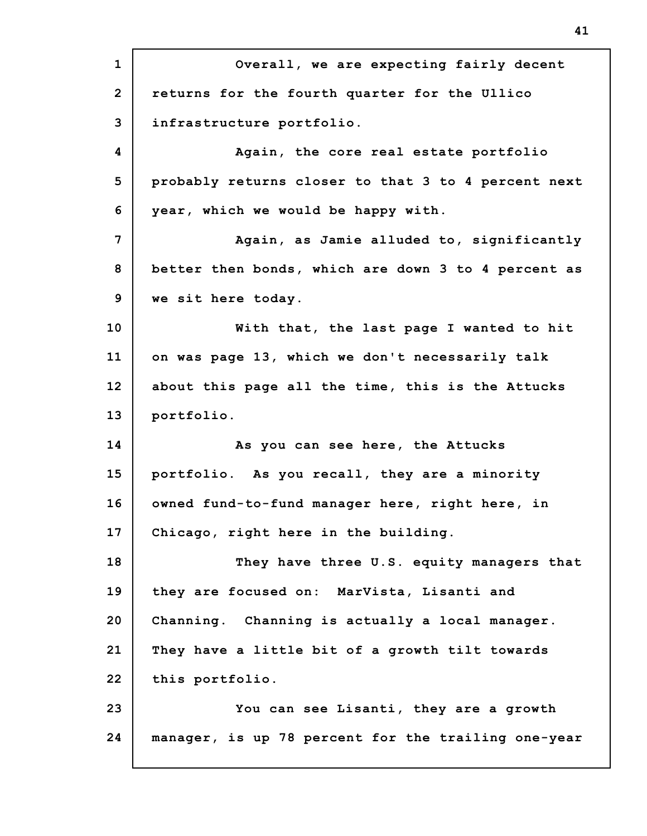**1 2 3 4 5 6 7 8 9 10 11 12 13 14 15 16 17 18 19 20 21 22 23 24 Overall, we are expecting fairly decent returns for the fourth quarter for the Ullico infrastructure portfolio. Again, the core real estate portfolio probably returns closer to that 3 to 4 percent next year, which we would be happy with. Again, as Jamie alluded to, significantly better then bonds, which are down 3 to 4 percent as we sit here today. With that, the last page I wanted to hit on was page 13, which we don't necessarily talk about this page all the time, this is the Attucks portfolio. As you can see here, the Attucks portfolio. As you recall, they are a minority owned fund-to-fund manager here, right here, in Chicago, right here in the building. They have three U.S. equity managers that they are focused on: MarVista, Lisanti and Channing. Channing is actually a local manager. They have a little bit of a growth tilt towards this portfolio. You can see Lisanti, they are a growth manager, is up 78 percent for the trailing one-year**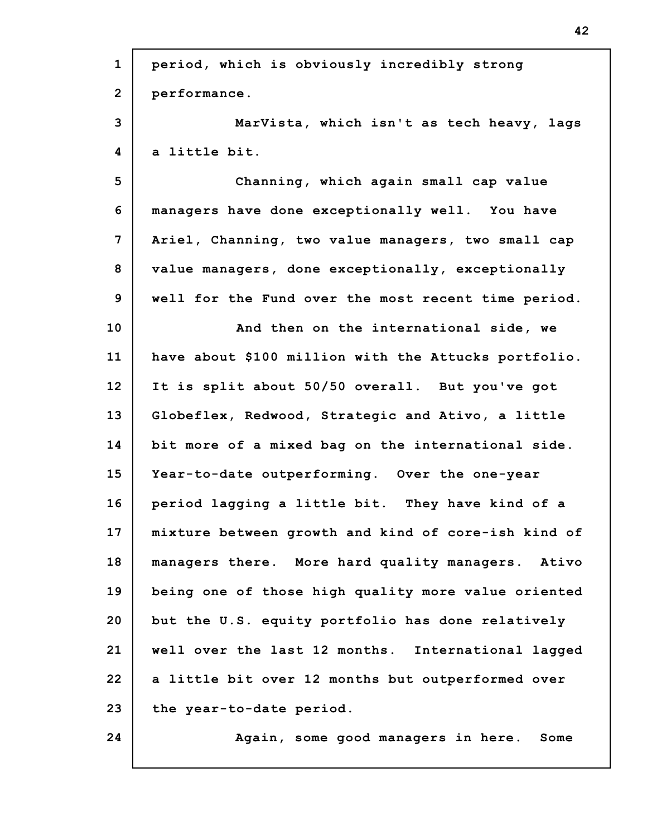| $\mathbf{1}$   | period, which is obviously incredibly strong         |
|----------------|------------------------------------------------------|
| $\overline{2}$ | performance.                                         |
| 3              | MarVista, which isn't as tech heavy, lags            |
| 4              | a little bit.                                        |
| 5              | Channing, which again small cap value                |
| 6              | managers have done exceptionally well. You have      |
| $\overline{7}$ | Ariel, Channing, two value managers, two small cap   |
| 8              | value managers, done exceptionally, exceptionally    |
| 9              | well for the Fund over the most recent time period.  |
| 10             | And then on the international side, we               |
| 11             | have about \$100 million with the Attucks portfolio. |
| 12             | It is split about 50/50 overall. But you've got      |
| 13             | Globeflex, Redwood, Strategic and Ativo, a little    |
| 14             | bit more of a mixed bag on the international side.   |
| 15             | Year-to-date outperforming. Over the one-year        |
| 16             | period lagging a little bit. They have kind of a     |
| 17             | mixture between growth and kind of core-ish kind of  |
| 18             | managers there. More hard quality managers. Ativo    |
| 19             | being one of those high quality more value oriented  |
| 20             | but the U.S. equity portfolio has done relatively    |
| 21             | well over the last 12 months. International lagged   |
| 22             | a little bit over 12 months but outperformed over    |
| 23             | the year-to-date period.                             |
| 24             | Again, some good managers in here.<br>Some           |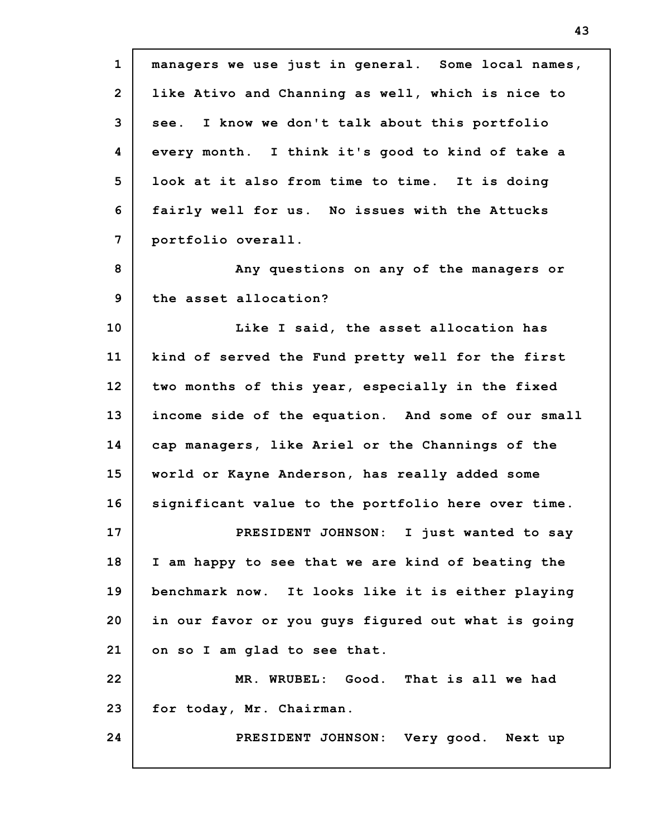**1 2 3 4 5 6 7 8 9 10 11 12 13 14 15 16 17 18 19 20 21 22 23 24 managers we use just in general. Some local names, like Ativo and Channing as well, which is nice to see. I know we don't talk about this portfolio every month. I think it's good to kind of take a look at it also from time to time. It is doing fairly well for us. No issues with the Attucks portfolio overall. Any questions on any of the managers or the asset allocation? Like I said, the asset allocation has kind of served the Fund pretty well for the first two months of this year, especially in the fixed income side of the equation. And some of our small cap managers, like Ariel or the Channings of the world or Kayne Anderson, has really added some significant value to the portfolio here over time. PRESIDENT JOHNSON: I just wanted to say I am happy to see that we are kind of beating the benchmark now. It looks like it is either playing in our favor or you guys figured out what is going on so I am glad to see that. MR. WRUBEL: Good. That is all we had for today, Mr. Chairman. PRESIDENT JOHNSON: Very good. Next up**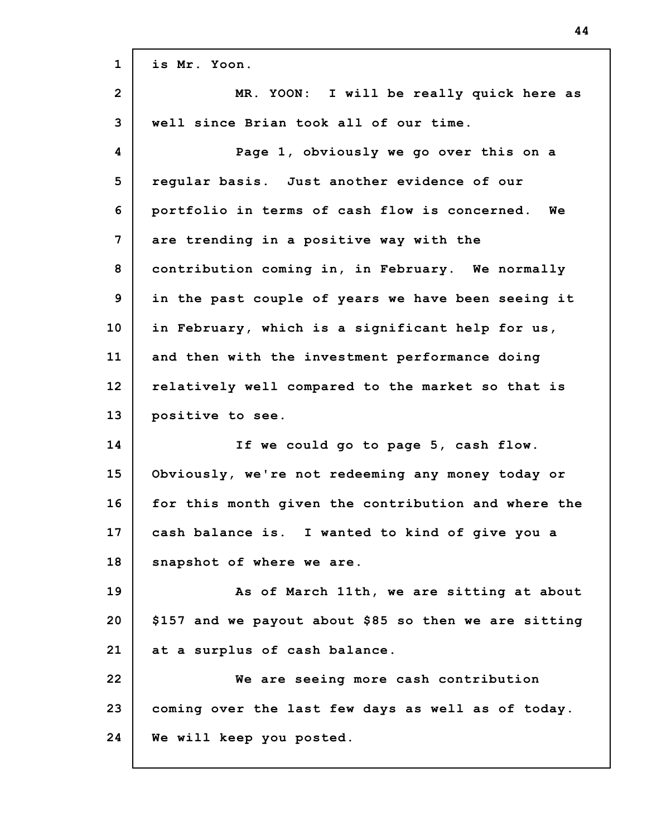| $\mathbf{1}$   | is Mr. Yoon.                                          |
|----------------|-------------------------------------------------------|
| $\overline{2}$ | MR. YOON: I will be really quick here as              |
| 3              | well since Brian took all of our time.                |
| 4              | Page 1, obviously we go over this on a                |
| 5              | regular basis. Just another evidence of our           |
| 6              | portfolio in terms of cash flow is concerned.<br>Wе   |
| 7              | are trending in a positive way with the               |
| 8              | contribution coming in, in February. We normally      |
| 9              | in the past couple of years we have been seeing it    |
| 10             | in February, which is a significant help for us,      |
| 11             | and then with the investment performance doing        |
| 12             | relatively well compared to the market so that is     |
| 13             | positive to see.                                      |
| 14             | If we could go to page 5, cash flow.                  |
| 15             | Obviously, we're not redeeming any money today or     |
| 16             | for this month given the contribution and where the   |
| 17             | cash balance is. I wanted to kind of give you a       |
| 18             | snapshot of where we are.                             |
| 19             | As of March 11th, we are sitting at about             |
| 20             | \$157 and we payout about \$85 so then we are sitting |
| 21             | at a surplus of cash balance.                         |
| 22             | We are seeing more cash contribution                  |
| 23             | coming over the last few days as well as of today.    |
| 24             | We will keep you posted.                              |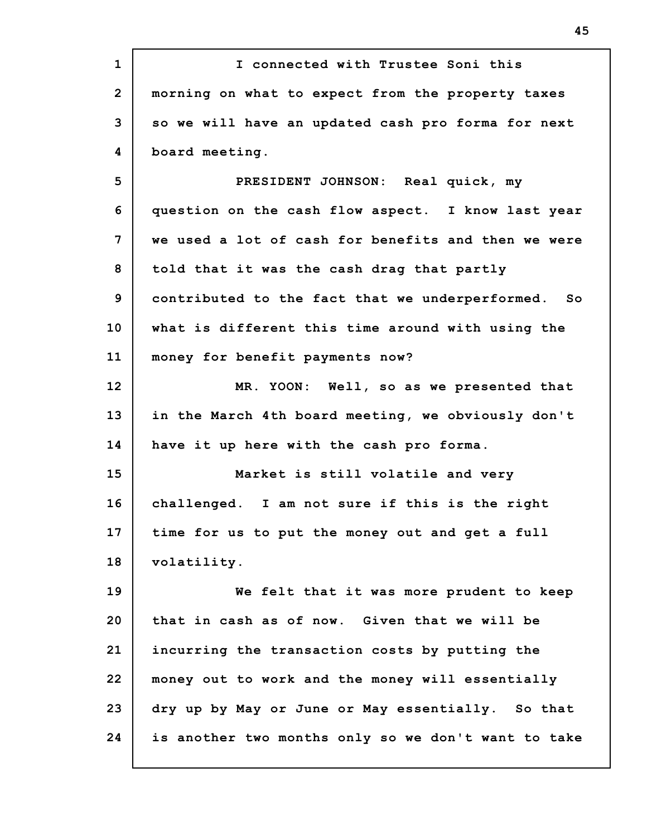| $\mathbf{1}$   | I connected with Trustee Soni this                  |
|----------------|-----------------------------------------------------|
| $\overline{2}$ | morning on what to expect from the property taxes   |
| 3              | so we will have an updated cash pro forma for next  |
| 4              | board meeting.                                      |
| 5              | PRESIDENT JOHNSON: Real quick, my                   |
| 6              | question on the cash flow aspect. I know last year  |
| 7              | we used a lot of cash for benefits and then we were |
| 8              | told that it was the cash drag that partly          |
| 9              | contributed to the fact that we underperformed. So  |
| 10             | what is different this time around with using the   |
| 11             | money for benefit payments now?                     |
| 12             | MR. YOON: Well, so as we presented that             |
| 13             | in the March 4th board meeting, we obviously don't  |
| 14             | have it up here with the cash pro forma.            |
| 15             | Market is still volatile and very                   |
| 16             | challenged. I am not sure if this is the right      |
| 17             | time for us to put the money out and get a full     |
| 18             | volatility.                                         |
| 19             | We felt that it was more prudent to keep            |
| 20             | that in cash as of now. Given that we will be       |
| 21             | incurring the transaction costs by putting the      |
| 22             | money out to work and the money will essentially    |
| 23             | dry up by May or June or May essentially. So that   |
| 24             | is another two months only so we don't want to take |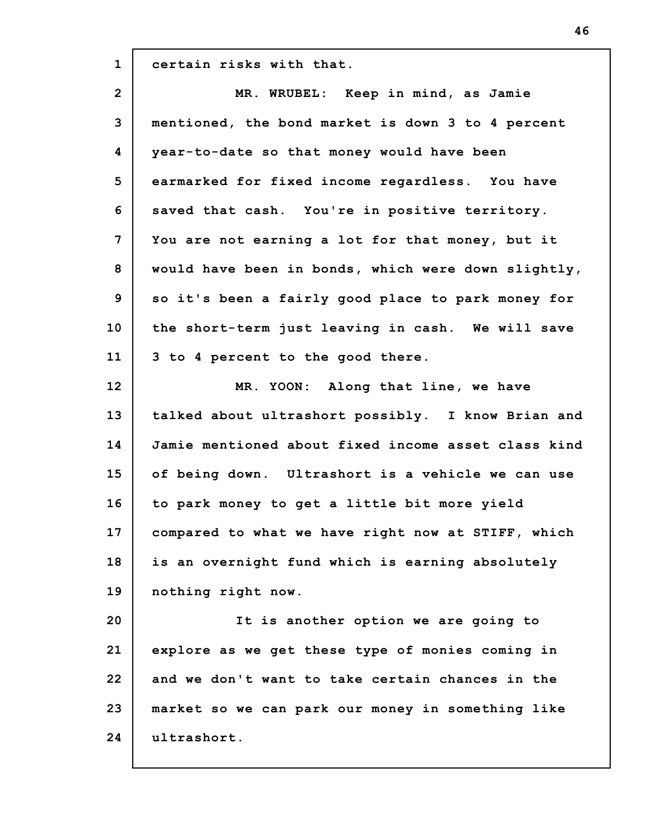**1 certain risks with that.**

| $\overline{2}$ | MR. WRUBEL: Keep in mind, as Jamie                  |
|----------------|-----------------------------------------------------|
| 3              | mentioned, the bond market is down 3 to 4 percent   |
| 4              | year-to-date so that money would have been          |
| 5              | earmarked for fixed income regardless. You have     |
| 6              | saved that cash. You're in positive territory.      |
| 7              | You are not earning a lot for that money, but it    |
| 8              | would have been in bonds, which were down slightly, |
| 9              | so it's been a fairly good place to park money for  |
| 10             | the short-term just leaving in cash. We will save   |
| 11             | 3 to 4 percent to the good there.                   |
| 12             | MR. YOON: Along that line, we have                  |
| 13             | talked about ultrashort possibly. I know Brian and  |
| 14             | Jamie mentioned about fixed income asset class kind |
| 15             | of being down. Ultrashort is a vehicle we can use   |
| 16             | to park money to get a little bit more yield        |
| 17             | compared to what we have right now at STIFF, which  |
| 18             | is an overnight fund which is earning absolutely    |
| 19             | nothing right now.                                  |
| 20             | It is another option we are going to                |
| 21             | explore as we get these type of monies coming in    |
| 22             | and we don't want to take certain chances in the    |

**23 24 market so we can park our money in something like ultrashort.**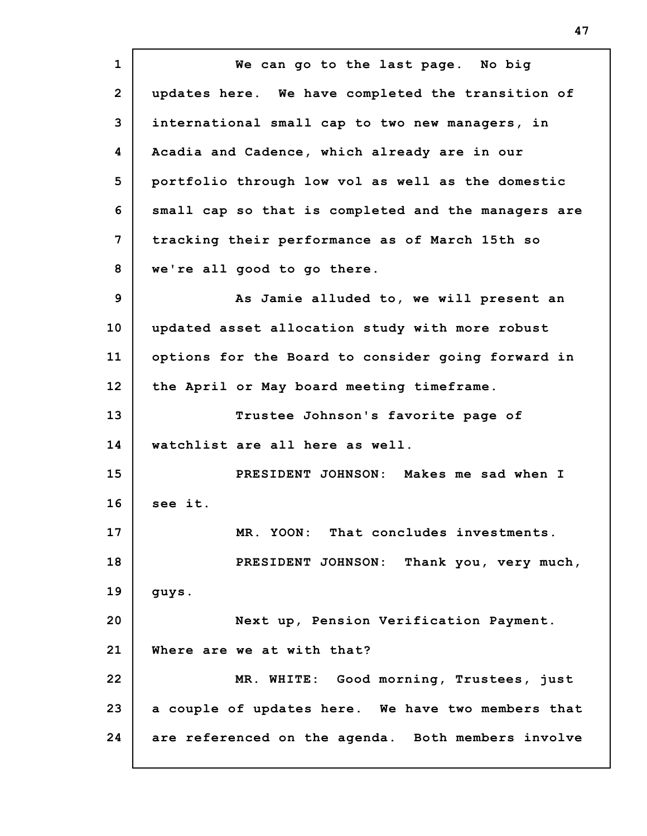**1 2 3 4 5 6 7 8 9 10 11 12 13 14 15 16 17 18 19 20 21 22 23 24 We can go to the last page. No big updates here. We have completed the transition of international small cap to two new managers, in Acadia and Cadence, which already are in our portfolio through low vol as well as the domestic small cap so that is completed and the managers are tracking their performance as of March 15th so we're all good to go there. As Jamie alluded to, we will present an updated asset allocation study with more robust options for the Board to consider going forward in the April or May board meeting timeframe. Trustee Johnson's favorite page of watchlist are all here as well. PRESIDENT JOHNSON: Makes me sad when I see it. MR. YOON: That concludes investments. PRESIDENT JOHNSON: Thank you, very much, guys. Next up, Pension Verification Payment. Where are we at with that? MR. WHITE: Good morning, Trustees, just a couple of updates here. We have two members that are referenced on the agenda. Both members involve**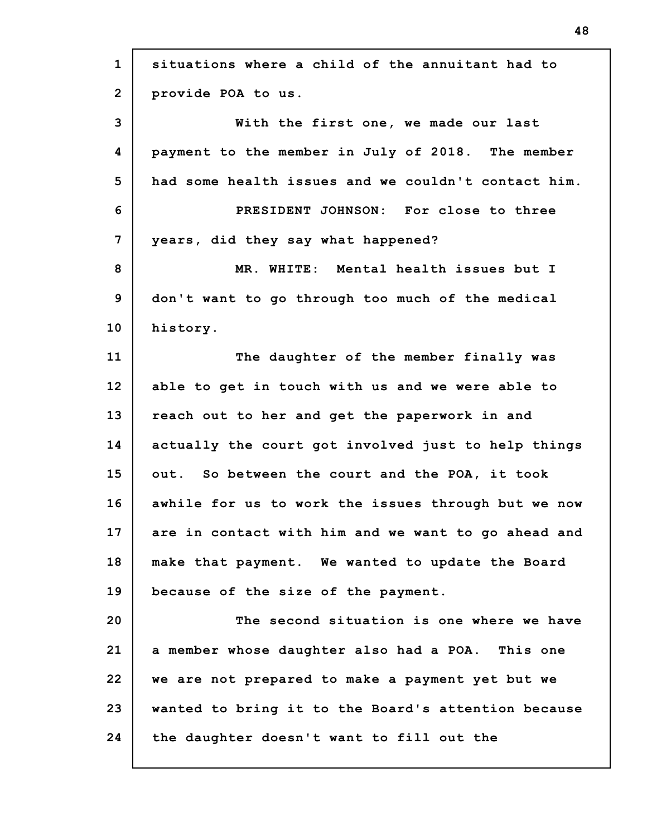| $\mathbf{1}$ | situations where a child of the annuitant had to    |
|--------------|-----------------------------------------------------|
| $\mathbf{2}$ | provide POA to us.                                  |
| 3            | With the first one, we made our last                |
| 4            | payment to the member in July of 2018. The member   |
| 5            | had some health issues and we couldn't contact him. |
| 6            | PRESIDENT JOHNSON: For close to three               |
| 7            | years, did they say what happened?                  |
| 8            | MR. WHITE: Mental health issues but I               |
| 9            | don't want to go through too much of the medical    |
| 10           | history.                                            |
| 11           | The daughter of the member finally was              |
| 12           | able to get in touch with us and we were able to    |
| 13           | reach out to her and get the paperwork in and       |
| 14           | actually the court got involved just to help things |
| 15           | out. So between the court and the POA, it took      |
| 16           | awhile for us to work the issues through but we now |
| 17           | are in contact with him and we want to go ahead and |
| 18           | make that payment. We wanted to update the Board    |
| 19           | because of the size of the payment.                 |
| 20           | The second situation is one where we have           |
| 21           | a member whose daughter also had a POA. This one    |
| 22           | we are not prepared to make a payment yet but we    |
| 23           | wanted to bring it to the Board's attention because |
| 24           | the daughter doesn't want to fill out the           |

 $\mathbf{r}$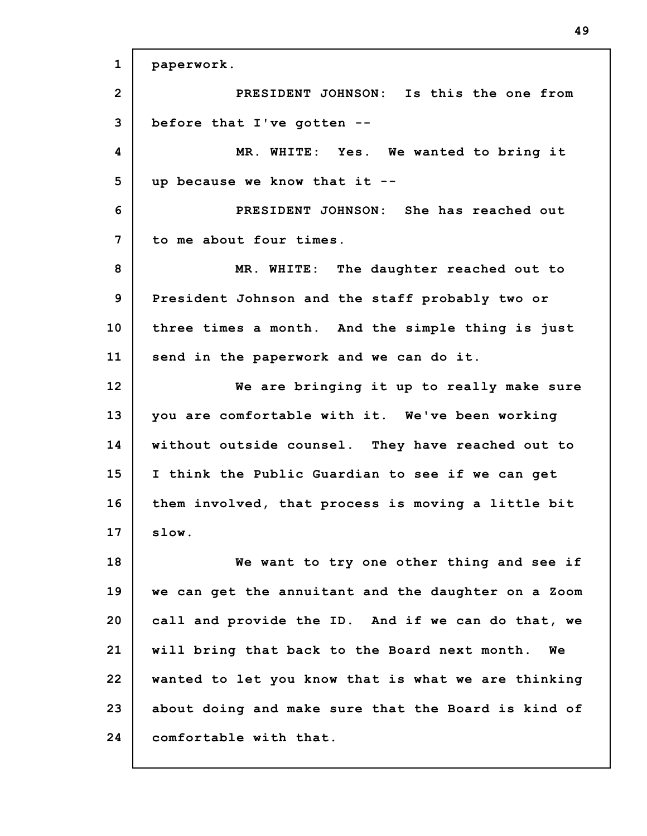**1 2 3 4 5 6 7 8 9 10 11 12 13 14 15 16 17 18 19 20 21 22 23 24 paperwork. PRESIDENT JOHNSON: Is this the one from before that I've gotten -- MR. WHITE: Yes. We wanted to bring it up because we know that it -- PRESIDENT JOHNSON: She has reached out to me about four times. MR. WHITE: The daughter reached out to President Johnson and the staff probably two or three times a month. And the simple thing is just send in the paperwork and we can do it. We are bringing it up to really make sure you are comfortable with it. We've been working without outside counsel. They have reached out to I think the Public Guardian to see if we can get them involved, that process is moving a little bit slow. We want to try one other thing and see if we can get the annuitant and the daughter on a Zoom call and provide the ID. And if we can do that, we will bring that back to the Board next month. We wanted to let you know that is what we are thinking about doing and make sure that the Board is kind of comfortable with that.**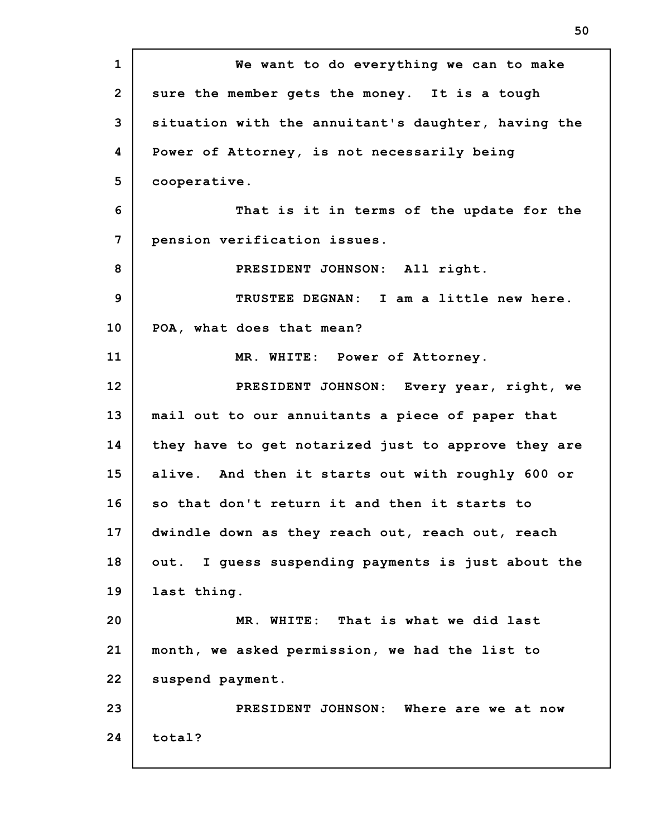**1 2 3 4 5 6 7 8 9 10 11 12 13 14 15 16 17 18 19 20 21 22 23 24 We want to do everything we can to make sure the member gets the money. It is a tough situation with the annuitant's daughter, having the Power of Attorney, is not necessarily being cooperative. That is it in terms of the update for the pension verification issues. PRESIDENT JOHNSON: All right. TRUSTEE DEGNAN: I am a little new here. POA, what does that mean? MR. WHITE: Power of Attorney. PRESIDENT JOHNSON: Every year, right, we mail out to our annuitants a piece of paper that they have to get notarized just to approve they are alive. And then it starts out with roughly 600 or so that don't return it and then it starts to dwindle down as they reach out, reach out, reach out. I guess suspending payments is just about the last thing. MR. WHITE: That is what we did last month, we asked permission, we had the list to suspend payment. PRESIDENT JOHNSON: Where are we at now total?**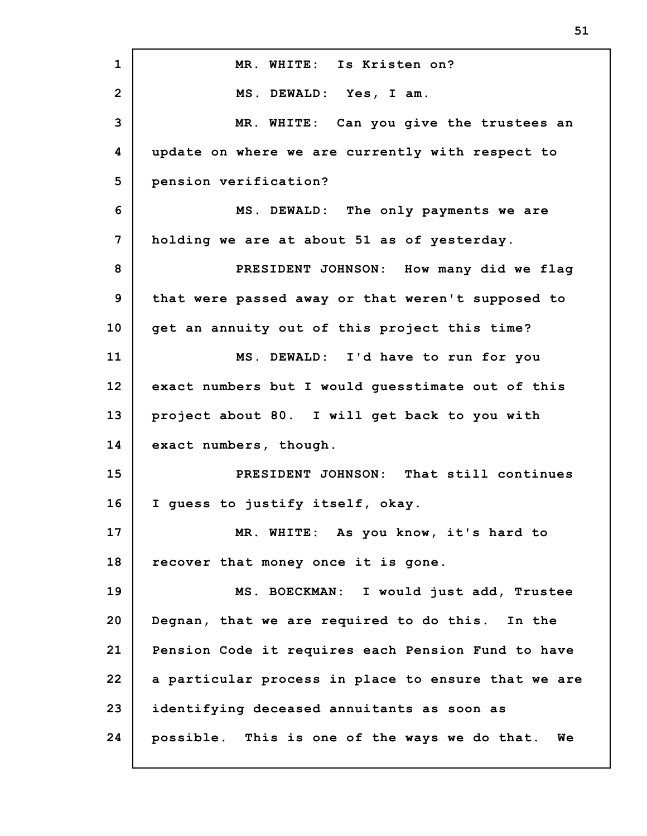| $\mathbf{1}$   | MR. WHITE: Is Kristen on?                           |
|----------------|-----------------------------------------------------|
| $\overline{2}$ | MS. DEWALD: Yes, I am.                              |
| 3              | MR. WHITE: Can you give the trustees an             |
| 4              | update on where we are currently with respect to    |
| 5              | pension verification?                               |
| 6              | MS. DEWALD: The only payments we are                |
| 7              | holding we are at about 51 as of yesterday.         |
| 8              | PRESIDENT JOHNSON: How many did we flag             |
| 9              | that were passed away or that weren't supposed to   |
| 10             | get an annuity out of this project this time?       |
| 11             | MS. DEWALD: I'd have to run for you                 |
| 12             | exact numbers but I would guesstimate out of this   |
| 13             | project about 80. I will get back to you with       |
| 14             | exact numbers, though.                              |
| 15             | PRESIDENT JOHNSON: That still continues             |
| 16             | I guess to justify itself, okay.                    |
| 17             | MR. WHITE: As you know, it's hard to                |
| 18             | recover that money once it is gone.                 |
| 19             | MS. BOECKMAN: I would just add, Trustee             |
| 20             | Degnan, that we are required to do this. In the     |
| 21             | Pension Code it requires each Pension Fund to have  |
| 22             | a particular process in place to ensure that we are |
| 23             | identifying deceased annuitants as soon as          |
| 24             | possible. This is one of the ways we do that.<br>We |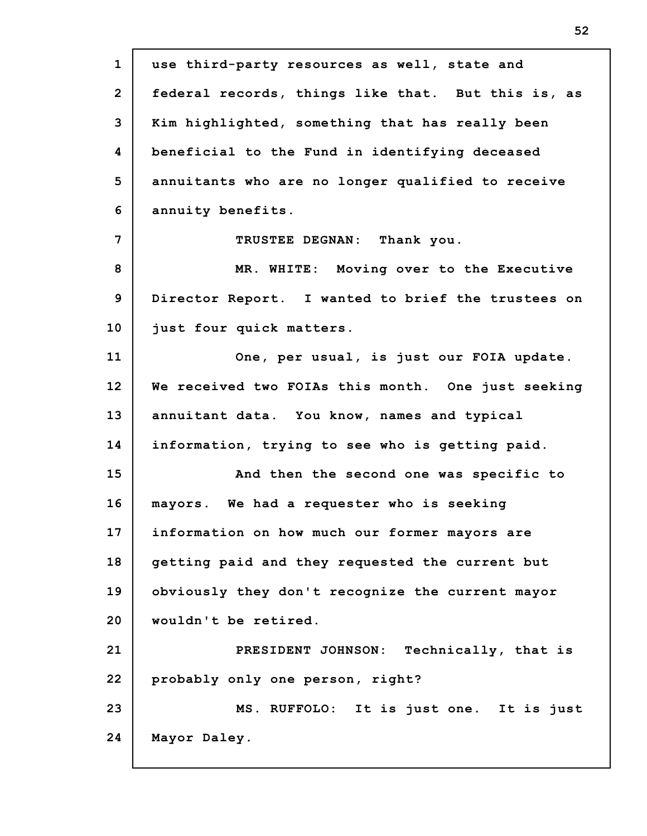**1 2 3 4 5 6 7 8 9 10 11 12 13 14 15 16 17 18 19 20 21 22 23 24 use third-party resources as well, state and federal records, things like that. But this is, as Kim highlighted, something that has really been beneficial to the Fund in identifying deceased annuitants who are no longer qualified to receive annuity benefits. TRUSTEE DEGNAN: Thank you. MR. WHITE: Moving over to the Executive Director Report. I wanted to brief the trustees on just four quick matters. One, per usual, is just our FOIA update. We received two FOIAs this month. One just seeking annuitant data. You know, names and typical information, trying to see who is getting paid. And then the second one was specific to mayors. We had a requester who is seeking information on how much our former mayors are getting paid and they requested the current but obviously they don't recognize the current mayor wouldn't be retired. PRESIDENT JOHNSON: Technically, that is probably only one person, right? MS. RUFFOLO: It is just one. It is just Mayor Daley.**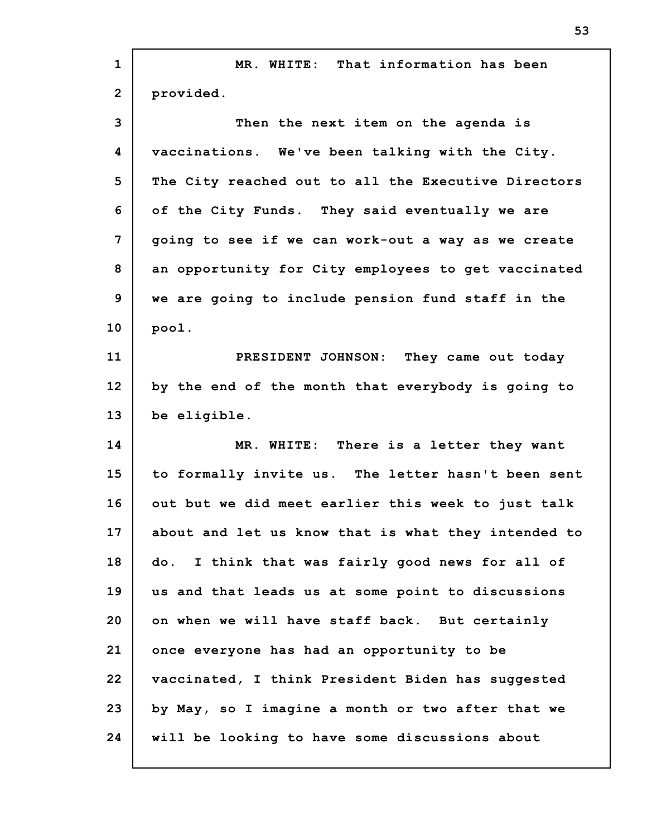| $\mathbf{1}$   | MR. WHITE: That information has been                |
|----------------|-----------------------------------------------------|
| $\overline{2}$ | provided.                                           |
| 3              | Then the next item on the agenda is                 |
| 4              | vaccinations. We've been talking with the City.     |
| 5              | The City reached out to all the Executive Directors |
| 6              | of the City Funds. They said eventually we are      |
| 7              | going to see if we can work-out a way as we create  |
| 8              | an opportunity for City employees to get vaccinated |
| 9              | we are going to include pension fund staff in the   |
| 10             | pool.                                               |
| 11             | PRESIDENT JOHNSON: They came out today              |
| 12             | by the end of the month that everybody is going to  |
| 13             | be eligible.                                        |
| 14             | MR. WHITE: There is a letter they want              |
| 15             | to formally invite us. The letter hasn't been sent  |
| 16             | out but we did meet earlier this week to just talk  |
| 17             | about and let us know that is what they intended to |
| 18             | do. I think that was fairly good news for all of    |
| 19             | us and that leads us at some point to discussions   |
| 20             | on when we will have staff back. But certainly      |
| 21             | once everyone has had an opportunity to be          |
| 22             | vaccinated, I think President Biden has suggested   |
| 23             |                                                     |
|                | by May, so I imagine a month or two after that we   |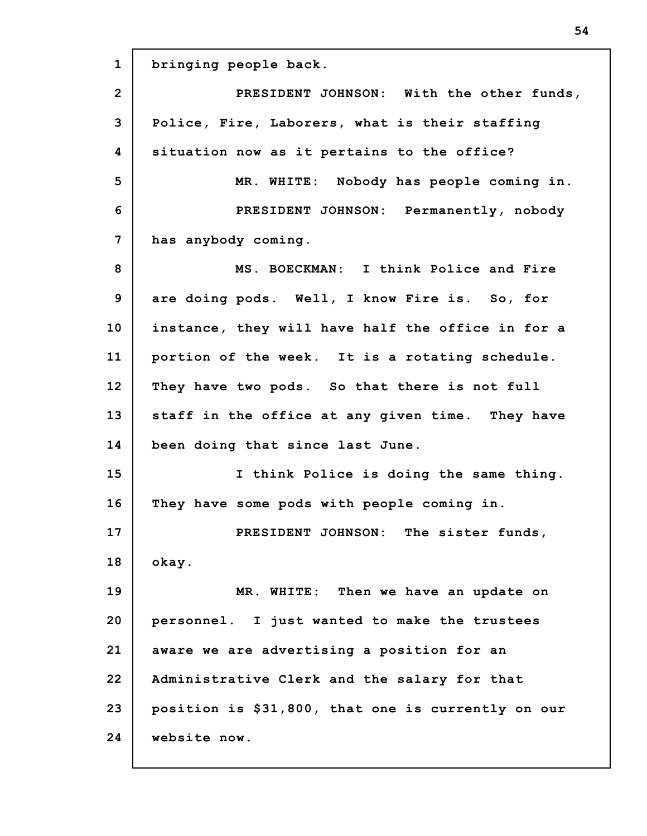**1 2 3 4 5 6 7 8 9 10 11 12 13 14 15 16 17 18 19 20 21 22 23 24 bringing people back. PRESIDENT JOHNSON: With the other funds, Police, Fire, Laborers, what is their staffing situation now as it pertains to the office? MR. WHITE: Nobody has people coming in. PRESIDENT JOHNSON: Permanently, nobody has anybody coming. MS. BOECKMAN: I think Police and Fire are doing pods. Well, I know Fire is. So, for instance, they will have half the office in for a portion of the week. It is a rotating schedule. They have two pods. So that there is not full staff in the office at any given time. They have been doing that since last June. I think Police is doing the same thing. They have some pods with people coming in. PRESIDENT JOHNSON: The sister funds, okay. MR. WHITE: Then we have an update on personnel. I just wanted to make the trustees aware we are advertising a position for an Administrative Clerk and the salary for that position is \$31,800, that one is currently on our website now.**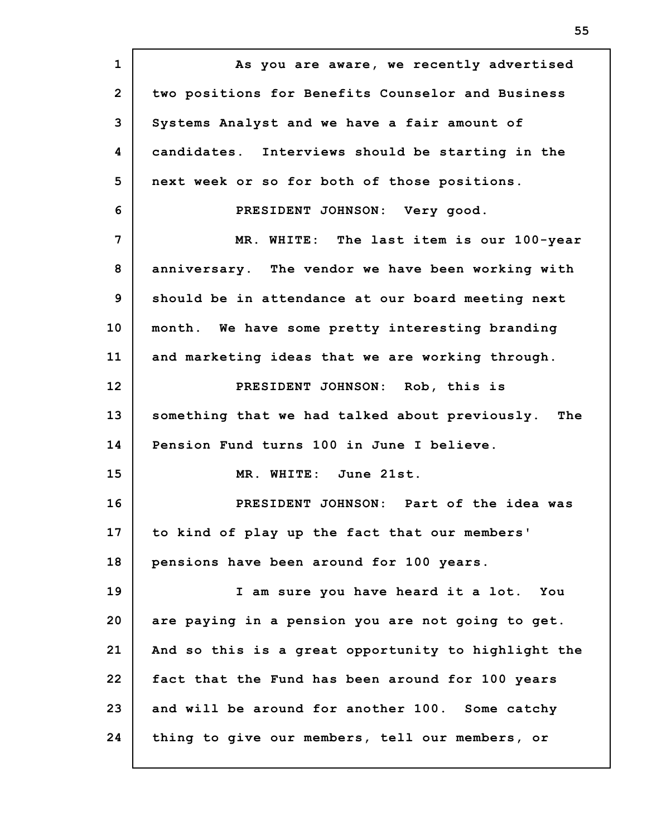**1 2 3 4 5 6 7 8 9 10 11 12 13 14 15 16 17 18 19 20 21 22 23 24 As you are aware, we recently advertised two positions for Benefits Counselor and Business Systems Analyst and we have a fair amount of candidates. Interviews should be starting in the next week or so for both of those positions. PRESIDENT JOHNSON: Very good. MR. WHITE: The last item is our 100-year anniversary. The vendor we have been working with should be in attendance at our board meeting next month. We have some pretty interesting branding and marketing ideas that we are working through. PRESIDENT JOHNSON: Rob, this is something that we had talked about previously. The Pension Fund turns 100 in June I believe. MR. WHITE: June 21st. PRESIDENT JOHNSON: Part of the idea was to kind of play up the fact that our members' pensions have been around for 100 years. I am sure you have heard it a lot. You are paying in a pension you are not going to get. And so this is a great opportunity to highlight the fact that the Fund has been around for 100 years and will be around for another 100. Some catchy thing to give our members, tell our members, or**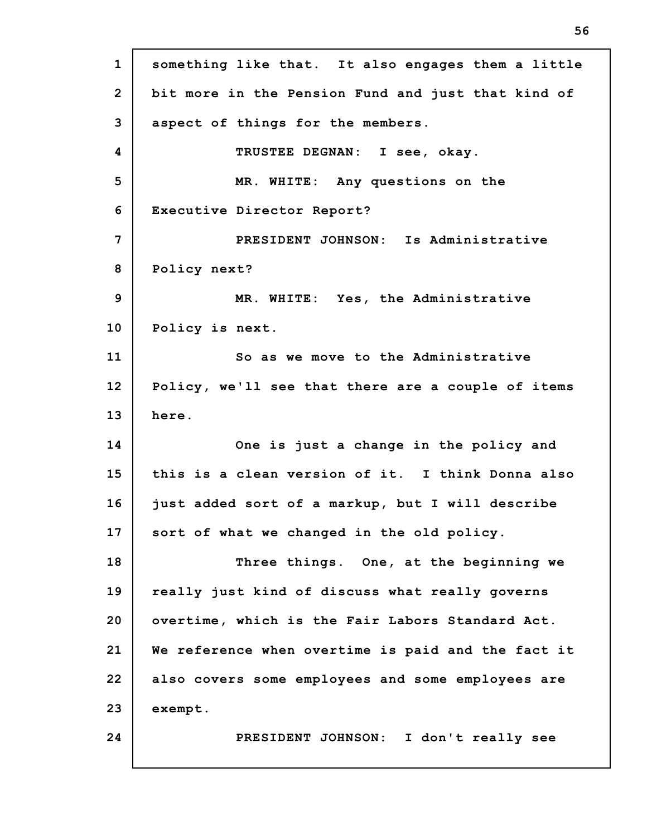**1 2 3 4 5 6 7 8 9 10 11 12 13 14 15 16 17 18 19 20 21 22 23 24 something like that. It also engages them a little bit more in the Pension Fund and just that kind of aspect of things for the members. TRUSTEE DEGNAN: I see, okay. MR. WHITE: Any questions on the Executive Director Report? PRESIDENT JOHNSON: Is Administrative Policy next? MR. WHITE: Yes, the Administrative Policy is next. So as we move to the Administrative Policy, we'll see that there are a couple of items here. One is just a change in the policy and this is a clean version of it. I think Donna also just added sort of a markup, but I will describe sort of what we changed in the old policy. Three things. One, at the beginning we really just kind of discuss what really governs overtime, which is the Fair Labors Standard Act. We reference when overtime is paid and the fact it also covers some employees and some employees are exempt. PRESIDENT JOHNSON: I don't really see**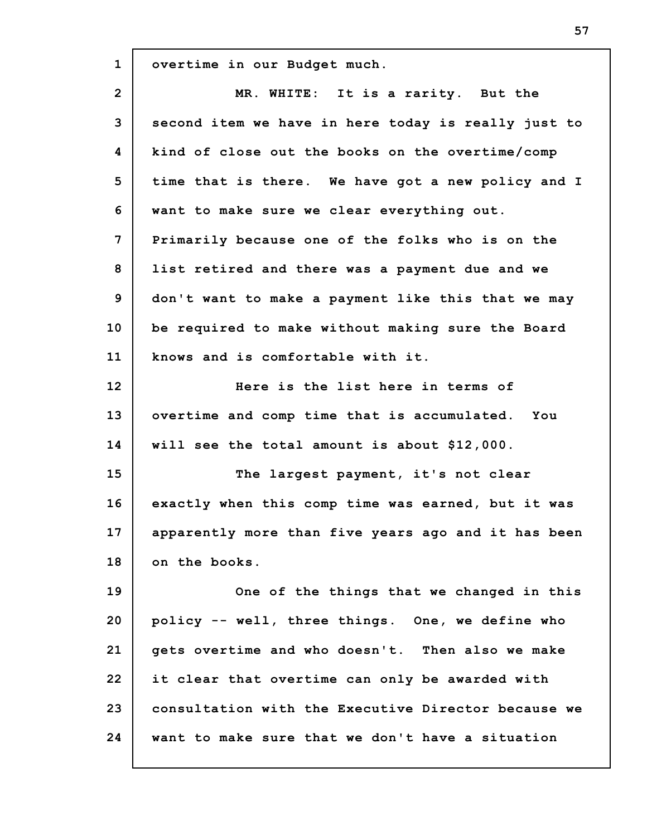**1 2 3 4 5 6 7 8 9 10 11 12 13 14 15 16 17 18 19 20 21 22 23 24 overtime in our Budget much. MR. WHITE: It is a rarity. But the second item we have in here today is really just to kind of close out the books on the overtime/comp time that is there. We have got a new policy and I want to make sure we clear everything out. Primarily because one of the folks who is on the list retired and there was a payment due and we don't want to make a payment like this that we may be required to make without making sure the Board knows and is comfortable with it. Here is the list here in terms of overtime and comp time that is accumulated. You will see the total amount is about \$12,000. The largest payment, it's not clear exactly when this comp time was earned, but it was apparently more than five years ago and it has been on the books. One of the things that we changed in this policy -- well, three things. One, we define who gets overtime and who doesn't. Then also we make it clear that overtime can only be awarded with consultation with the Executive Director because we want to make sure that we don't have a situation**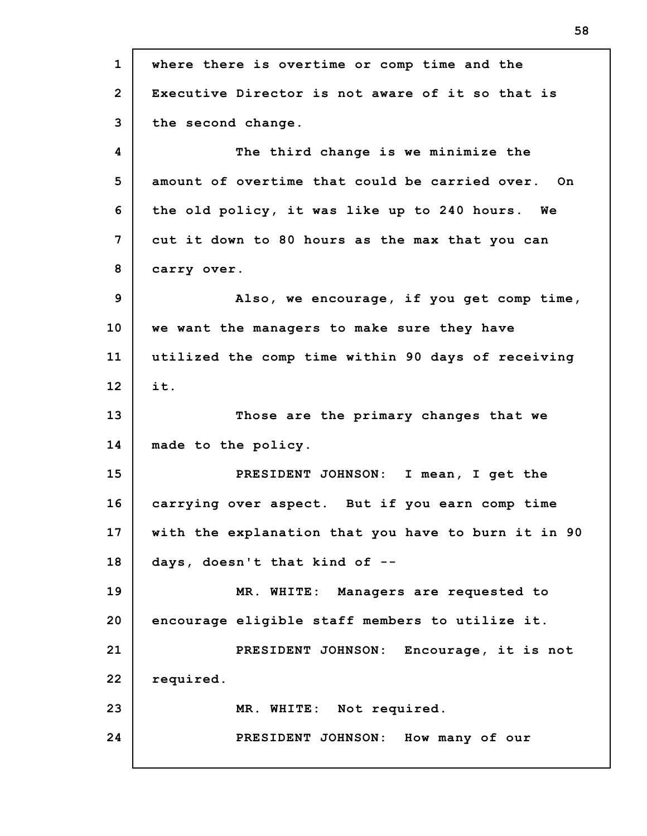**1 2 3 4 5 6 7 8 9 10 11 12 13 14 15 16 17 18 19 20 21 22 23 24 where there is overtime or comp time and the Executive Director is not aware of it so that is the second change. The third change is we minimize the amount of overtime that could be carried over. On the old policy, it was like up to 240 hours. We cut it down to 80 hours as the max that you can carry over. Also, we encourage, if you get comp time, we want the managers to make sure they have utilized the comp time within 90 days of receiving it. Those are the primary changes that we made to the policy. PRESIDENT JOHNSON: I mean, I get the carrying over aspect. But if you earn comp time with the explanation that you have to burn it in 90 days, doesn't that kind of -- MR. WHITE: Managers are requested to encourage eligible staff members to utilize it. PRESIDENT JOHNSON: Encourage, it is not required. MR. WHITE: Not required. PRESIDENT JOHNSON: How many of our**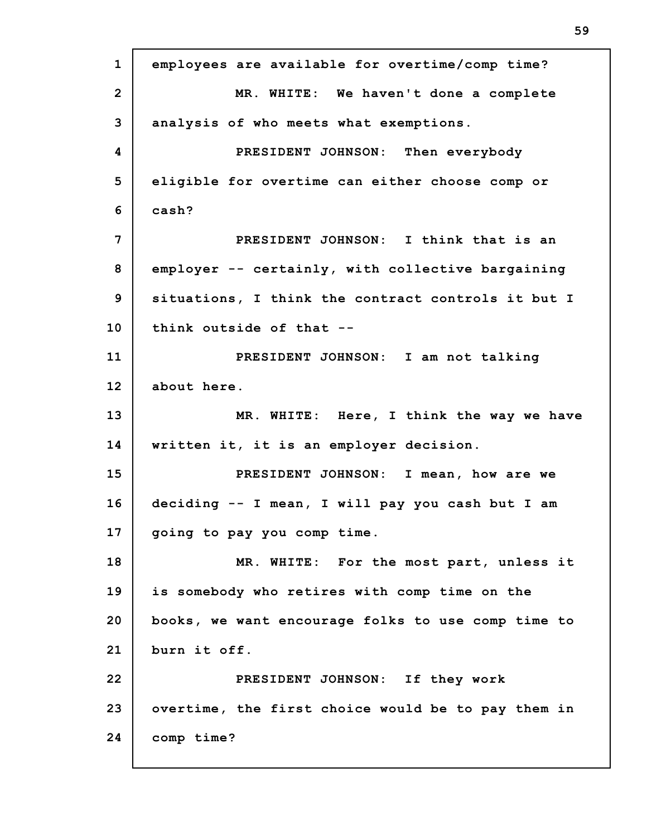**1 2 3 4 5 6 7 8 9 10 11 12 13 14 15 16 17 18 19 20 21 22 23 24 employees are available for overtime/comp time? MR. WHITE: We haven't done a complete analysis of who meets what exemptions. PRESIDENT JOHNSON: Then everybody eligible for overtime can either choose comp or cash? PRESIDENT JOHNSON: I think that is an employer -- certainly, with collective bargaining situations, I think the contract controls it but I think outside of that -- PRESIDENT JOHNSON: I am not talking about here. MR. WHITE: Here, I think the way we have written it, it is an employer decision. PRESIDENT JOHNSON: I mean, how are we deciding -- I mean, I will pay you cash but I am going to pay you comp time. MR. WHITE: For the most part, unless it is somebody who retires with comp time on the books, we want encourage folks to use comp time to burn it off. PRESIDENT JOHNSON: If they work overtime, the first choice would be to pay them in comp time?**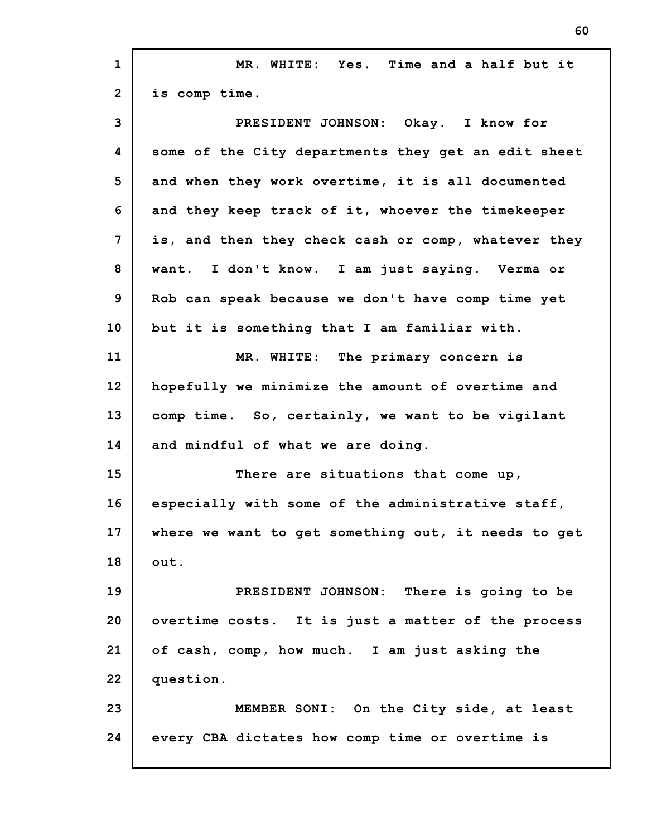| $\mathbf{1}$   | MR. WHITE: Yes. Time and a half but it              |
|----------------|-----------------------------------------------------|
| $\overline{2}$ | is comp time.                                       |
| 3              | PRESIDENT JOHNSON: Okay. I know for                 |
| 4              | some of the City departments they get an edit sheet |
| 5              | and when they work overtime, it is all documented   |
| 6              | and they keep track of it, whoever the timekeeper   |
| 7              | is, and then they check cash or comp, whatever they |
| 8              | want. I don't know. I am just saying. Verma or      |
| 9              | Rob can speak because we don't have comp time yet   |
| 10             | but it is something that I am familiar with.        |
| 11             | MR. WHITE: The primary concern is                   |
| 12             | hopefully we minimize the amount of overtime and    |
| 13             | comp time. So, certainly, we want to be vigilant    |
| 14             | and mindful of what we are doing.                   |
| 15             | There are situations that come up,                  |
| 16             | especially with some of the administrative staff,   |
| 17             | where we want to get something out, it needs to get |
| 18             | out.                                                |
| 19             | PRESIDENT JOHNSON: There is going to be             |
| 20             | overtime costs. It is just a matter of the process  |
| 21             | of cash, comp, how much. I am just asking the       |
| 22             | question.                                           |
| 23             | MEMBER SONI: On the City side, at least             |
| 24             | every CBA dictates how comp time or overtime is     |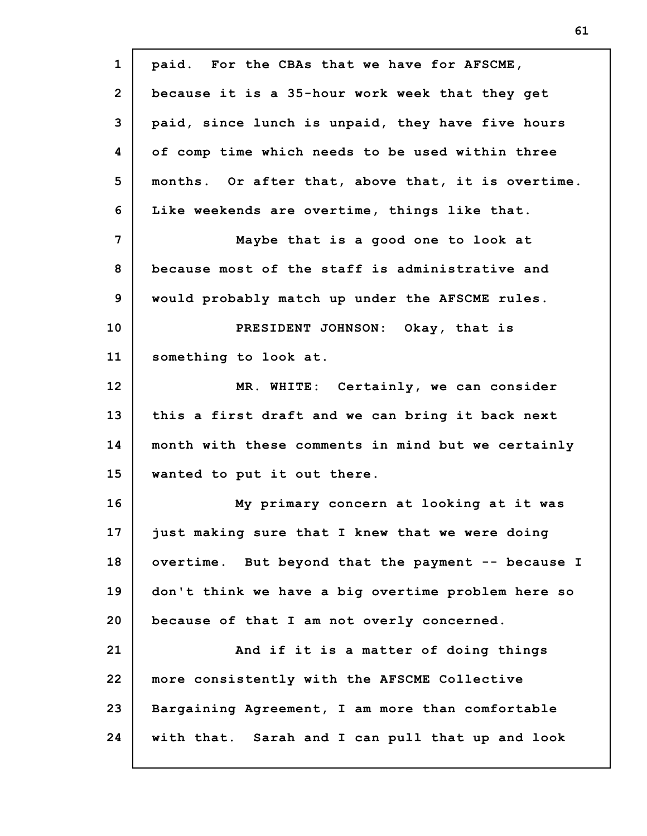| $\mathbf{1}$    | paid. For the CBAs that we have for AFSCME,        |
|-----------------|----------------------------------------------------|
| $\overline{2}$  | because it is a 35-hour work week that they get    |
| 3               | paid, since lunch is unpaid, they have five hours  |
| 4               | of comp time which needs to be used within three   |
| 5               | months. Or after that, above that, it is overtime. |
| 6               | Like weekends are overtime, things like that.      |
| 7               | Maybe that is a good one to look at                |
| 8               | because most of the staff is administrative and    |
| 9               | would probably match up under the AFSCME rules.    |
| 10 <sub>1</sub> | PRESIDENT JOHNSON: Okay, that is                   |
| 11              | something to look at.                              |
| 12              | MR. WHITE: Certainly, we can consider              |
| 13              | this a first draft and we can bring it back next   |
| 14              | month with these comments in mind but we certainly |
| 15              | wanted to put it out there.                        |
| 16              | My primary concern at looking at it was            |
| 17              | just making sure that I knew that we were doing    |
| 18              | overtime. But beyond that the payment -- because I |
| 19              | don't think we have a big overtime problem here so |
| 20              | because of that I am not overly concerned.         |
| 21              | And if it is a matter of doing things              |
| 22              | more consistently with the AFSCME Collective       |
| 23              | Bargaining Agreement, I am more than comfortable   |
| 24              | with that. Sarah and I can pull that up and look   |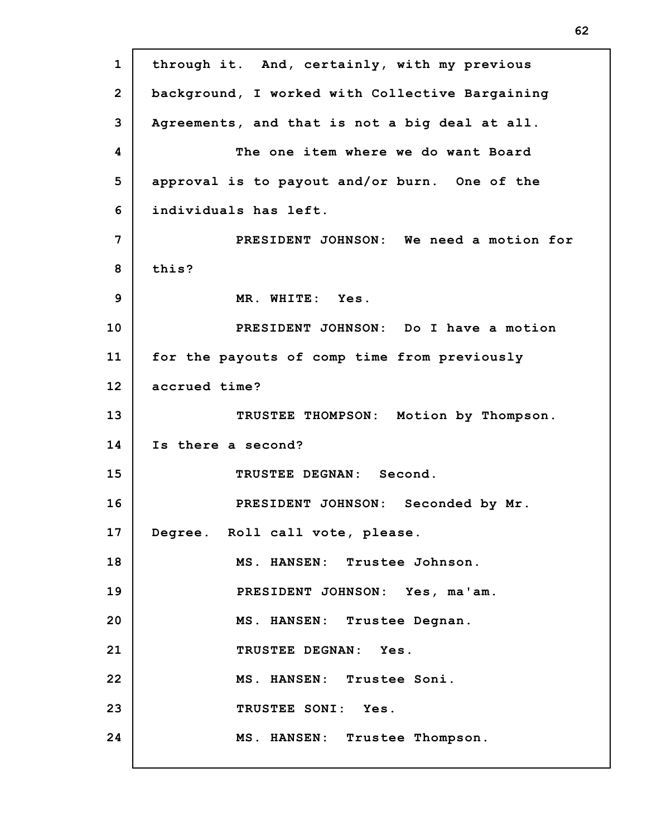**1 2 3 4 5 6 7 8 9 10 11 12 13 14 15 16 17 18 19 20 21 22 23 24 through it. And, certainly, with my previous background, I worked with Collective Bargaining Agreements, and that is not a big deal at all. The one item where we do want Board approval is to payout and/or burn. One of the individuals has left. PRESIDENT JOHNSON: We need a motion for this? MR. WHITE: Yes. PRESIDENT JOHNSON: Do I have a motion for the payouts of comp time from previously accrued time? TRUSTEE THOMPSON: Motion by Thompson. Is there a second? TRUSTEE DEGNAN: Second. PRESIDENT JOHNSON: Seconded by Mr. Degree. Roll call vote, please. MS. HANSEN: Trustee Johnson. PRESIDENT JOHNSON: Yes, ma'am. MS. HANSEN: Trustee Degnan. TRUSTEE DEGNAN: Yes. MS. HANSEN: Trustee Soni. TRUSTEE SONI: Yes. MS. HANSEN: Trustee Thompson.**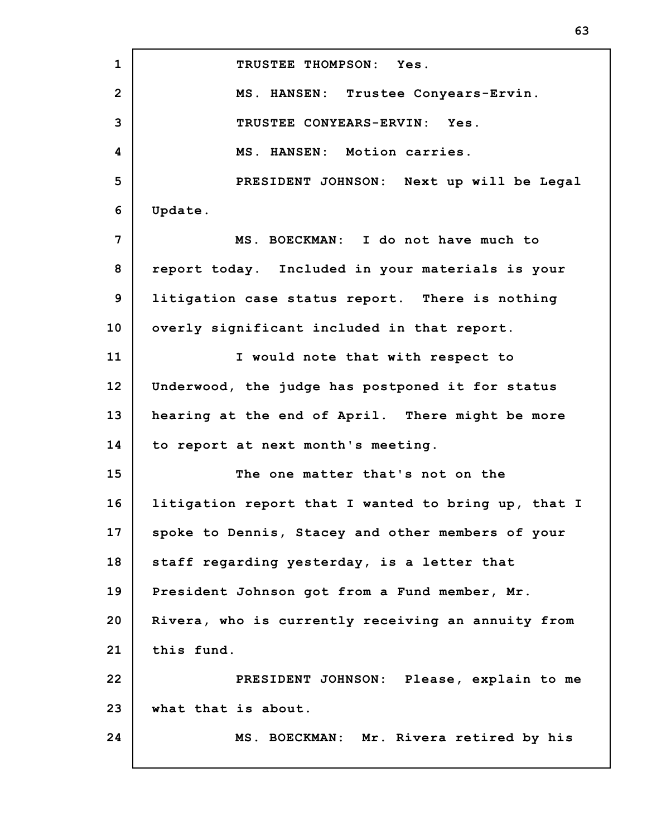**1 2 3 4 5 6 7 8 9 10 11 12 13 14 15 16 17 18 19 20 21 22 23 24 TRUSTEE THOMPSON: Yes. MS. HANSEN: Trustee Conyears-Ervin. TRUSTEE CONYEARS-ERVIN: Yes. MS. HANSEN: Motion carries. PRESIDENT JOHNSON: Next up will be Legal Update. MS. BOECKMAN: I do not have much to report today. Included in your materials is your litigation case status report. There is nothing overly significant included in that report. I would note that with respect to Underwood, the judge has postponed it for status hearing at the end of April. There might be more to report at next month's meeting. The one matter that's not on the litigation report that I wanted to bring up, that I spoke to Dennis, Stacey and other members of your staff regarding yesterday, is a letter that President Johnson got from a Fund member, Mr. Rivera, who is currently receiving an annuity from this fund. PRESIDENT JOHNSON: Please, explain to me what that is about. MS. BOECKMAN: Mr. Rivera retired by his**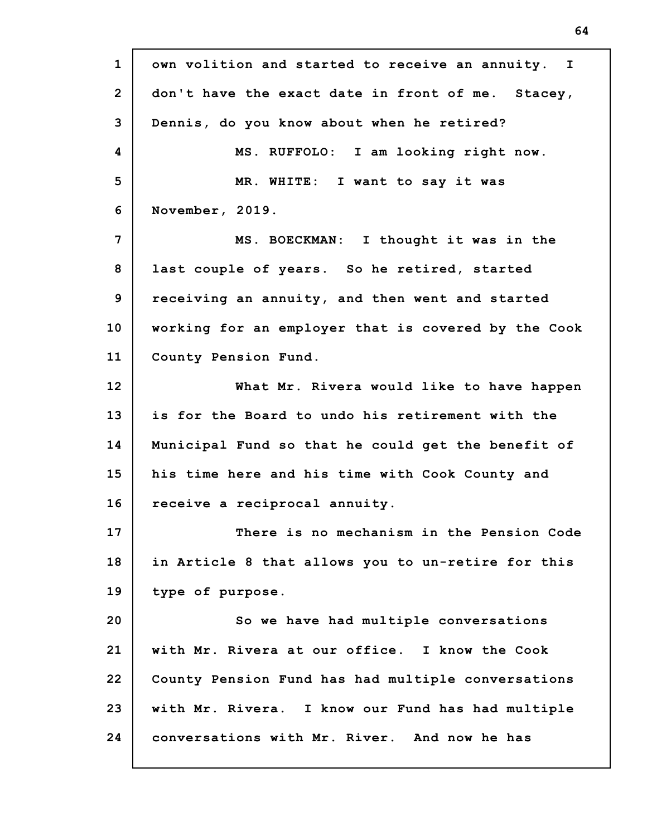**1 2 3 4 5 6 7 8 9 10 11 12 13 14 15 16 17 18 19 20 21 22 23 24 own volition and started to receive an annuity. I don't have the exact date in front of me. Stacey, Dennis, do you know about when he retired? MS. RUFFOLO: I am looking right now. MR. WHITE: I want to say it was November, 2019. MS. BOECKMAN: I thought it was in the last couple of years. So he retired, started receiving an annuity, and then went and started working for an employer that is covered by the Cook County Pension Fund. What Mr. Rivera would like to have happen is for the Board to undo his retirement with the Municipal Fund so that he could get the benefit of his time here and his time with Cook County and receive a reciprocal annuity. There is no mechanism in the Pension Code in Article 8 that allows you to un-retire for this type of purpose. So we have had multiple conversations with Mr. Rivera at our office. I know the Cook County Pension Fund has had multiple conversations with Mr. Rivera. I know our Fund has had multiple conversations with Mr. River. And now he has**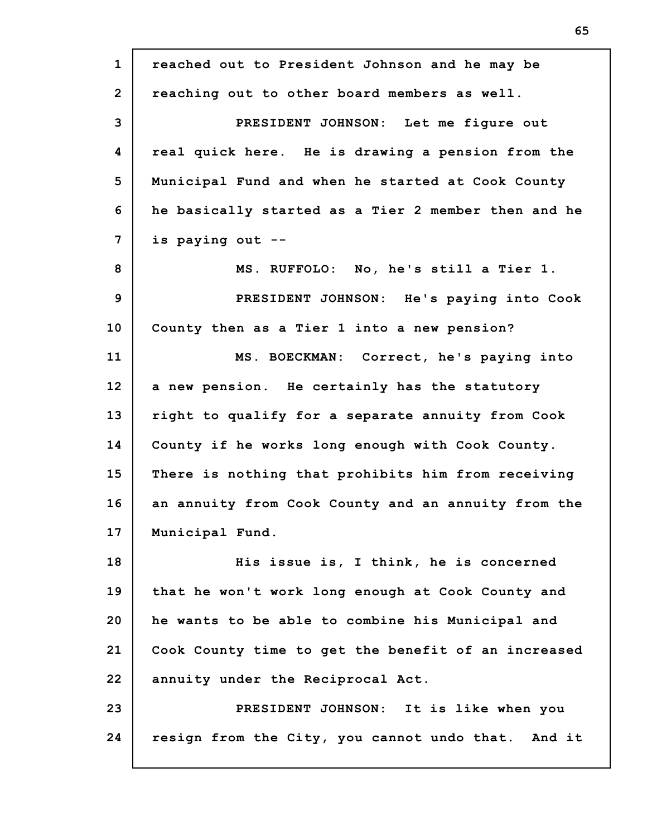| $\mathbf{1}$   | reached out to President Johnson and he may be      |
|----------------|-----------------------------------------------------|
| $\overline{2}$ | reaching out to other board members as well.        |
| 3              | PRESIDENT JOHNSON: Let me figure out                |
| 4              | real quick here. He is drawing a pension from the   |
| 5              | Municipal Fund and when he started at Cook County   |
| 6              | he basically started as a Tier 2 member then and he |
| $\overline{7}$ | is paying out --                                    |
| 8              | MS. RUFFOLO: No, he's still a Tier 1.               |
| 9              | PRESIDENT JOHNSON: He's paying into Cook            |
| 10             | County then as a Tier 1 into a new pension?         |
| 11             | MS. BOECKMAN: Correct, he's paying into             |
| 12             | a new pension. He certainly has the statutory       |
| 13             | right to qualify for a separate annuity from Cook   |
| 14             | County if he works long enough with Cook County.    |
| 15             | There is nothing that prohibits him from receiving  |
| 16             | an annuity from Cook County and an annuity from the |
| 17             | Municipal Fund.                                     |
| 18             | His issue is, I think, he is concerned              |
| 19             | that he won't work long enough at Cook County and   |
| 20             | he wants to be able to combine his Municipal and    |
| 21             | Cook County time to get the benefit of an increased |
| 22             | annuity under the Reciprocal Act.                   |
| 23             | PRESIDENT JOHNSON: It is like when you              |
| 24             | resign from the City, you cannot undo that. And it  |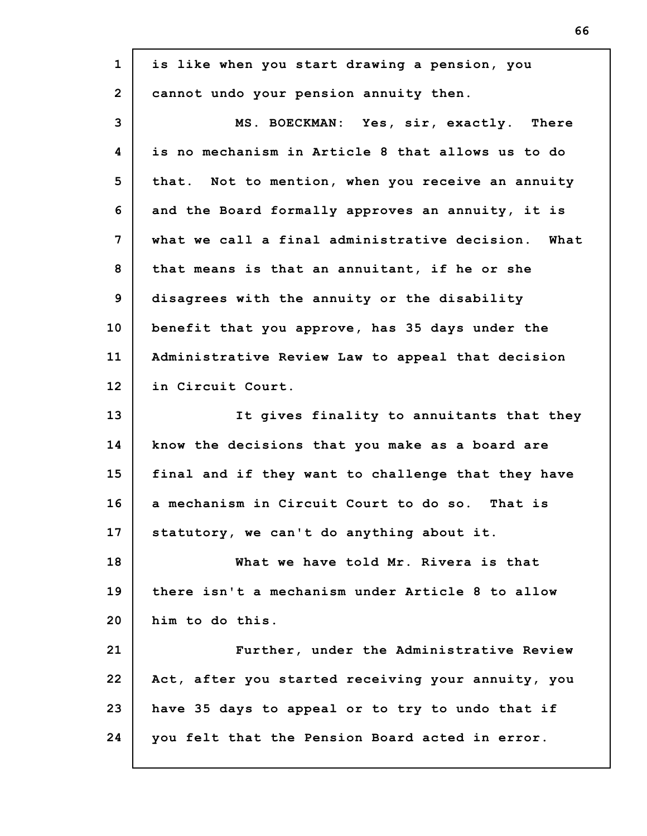| $\mathbf{1}$    | is like when you start drawing a pension, you      |
|-----------------|----------------------------------------------------|
| $\overline{2}$  | cannot undo your pension annuity then.             |
| 3               | MS. BOECKMAN: Yes, sir, exactly. There             |
| 4               | is no mechanism in Article 8 that allows us to do  |
| 5               | that. Not to mention, when you receive an annuity  |
| 6               | and the Board formally approves an annuity, it is  |
| 7               | what we call a final administrative decision. What |
| 8               | that means is that an annuitant, if he or she      |
| 9               | disagrees with the annuity or the disability       |
| 10 <sub>1</sub> | benefit that you approve, has 35 days under the    |
| 11              | Administrative Review Law to appeal that decision  |
| 12              | in Circuit Court.                                  |
| 13              | It gives finality to annuitants that they          |
| 14              | know the decisions that you make as a board are    |
| 15              | final and if they want to challenge that they have |
| 16              | a mechanism in Circuit Court to do so. That is     |
| 17              | statutory, we can't do anything about it.          |
| 18              | What we have told Mr. Rivera is that               |
| 19              | there isn't a mechanism under Article 8 to allow   |
| 20              | him to do this.                                    |
| 21              | Further, under the Administrative Review           |
| 22              | Act, after you started receiving your annuity, you |
| 23              | have 35 days to appeal or to try to undo that if   |
| 24              | you felt that the Pension Board acted in error.    |
|                 |                                                    |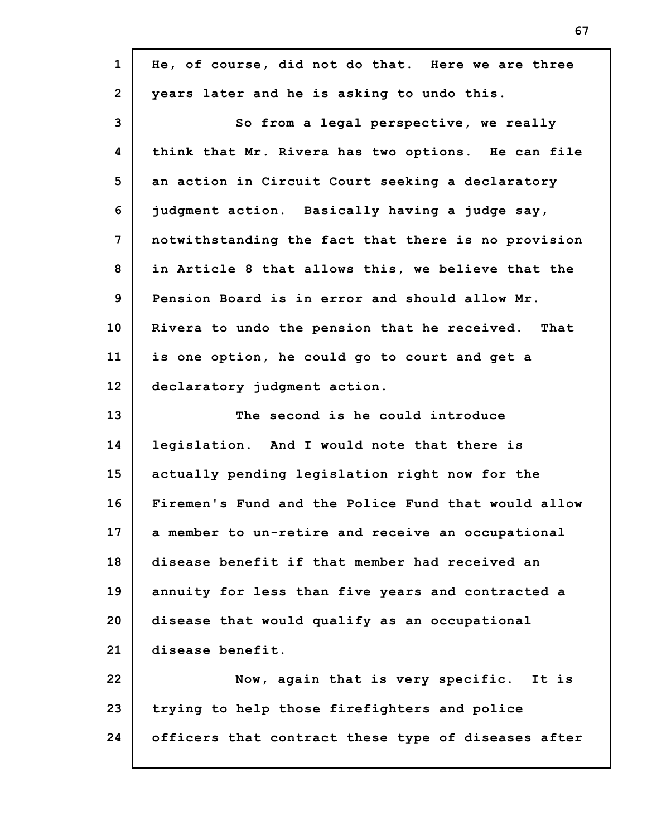| $\mathbf{1}$   | He, of course, did not do that. Here we are three   |  |  |  |  |  |
|----------------|-----------------------------------------------------|--|--|--|--|--|
| $\overline{2}$ | years later and he is asking to undo this.          |  |  |  |  |  |
| 3              | So from a legal perspective, we really              |  |  |  |  |  |
| 4              | think that Mr. Rivera has two options. He can file  |  |  |  |  |  |
| 5              | an action in Circuit Court seeking a declaratory    |  |  |  |  |  |
| 6              | judgment action. Basically having a judge say,      |  |  |  |  |  |
| $\overline{7}$ | notwithstanding the fact that there is no provision |  |  |  |  |  |
| 8              | in Article 8 that allows this, we believe that the  |  |  |  |  |  |
| 9              | Pension Board is in error and should allow Mr.      |  |  |  |  |  |
| 10             | Rivera to undo the pension that he received. That   |  |  |  |  |  |
| 11             | is one option, he could go to court and get a       |  |  |  |  |  |
| 12             | declaratory judgment action.                        |  |  |  |  |  |
| 13             | The second is he could introduce                    |  |  |  |  |  |
| 14             | legislation. And I would note that there is         |  |  |  |  |  |
| 15             | actually pending legislation right now for the      |  |  |  |  |  |
| 16             | Firemen's Fund and the Police Fund that would allow |  |  |  |  |  |
| 17             | a member to un-retire and receive an occupational   |  |  |  |  |  |
| 18             | disease benefit if that member had received an      |  |  |  |  |  |
| 19             | annuity for less than five years and contracted a   |  |  |  |  |  |
| 20             |                                                     |  |  |  |  |  |
|                | disease that would qualify as an occupational       |  |  |  |  |  |
| 21             | disease benefit.                                    |  |  |  |  |  |
| 22             | Now, again that is very specific. It is             |  |  |  |  |  |
| 23             | trying to help those firefighters and police        |  |  |  |  |  |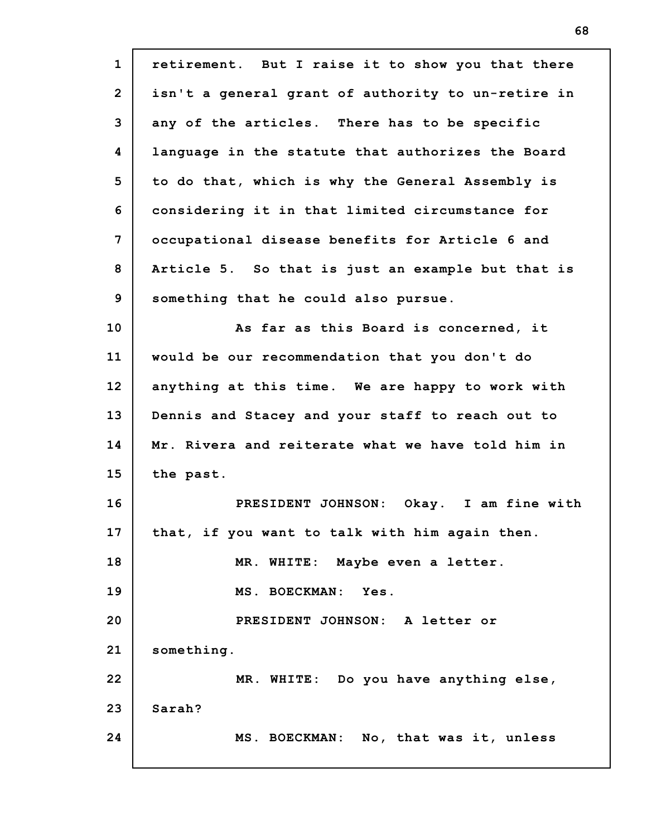| $\mathbf{1}$   | retirement. But I raise it to show you that there  |  |  |  |  |  |  |
|----------------|----------------------------------------------------|--|--|--|--|--|--|
| $\overline{2}$ | isn't a general grant of authority to un-retire in |  |  |  |  |  |  |
| 3              | any of the articles. There has to be specific      |  |  |  |  |  |  |
| 4              | language in the statute that authorizes the Board  |  |  |  |  |  |  |
| 5              | to do that, which is why the General Assembly is   |  |  |  |  |  |  |
| 6              | considering it in that limited circumstance for    |  |  |  |  |  |  |
| 7              | occupational disease benefits for Article 6 and    |  |  |  |  |  |  |
| 8              | Article 5. So that is just an example but that is  |  |  |  |  |  |  |
| $\mathbf{9}$   | something that he could also pursue.               |  |  |  |  |  |  |
| 10             | As far as this Board is concerned, it              |  |  |  |  |  |  |
| 11             | would be our recommendation that you don't do      |  |  |  |  |  |  |
| 12             | anything at this time. We are happy to work with   |  |  |  |  |  |  |
| 13             | Dennis and Stacey and your staff to reach out to   |  |  |  |  |  |  |
| 14             | Mr. Rivera and reiterate what we have told him in  |  |  |  |  |  |  |
| 15             | the past.                                          |  |  |  |  |  |  |
| 16             | PRESIDENT JOHNSON:<br>Okay. I am fine with         |  |  |  |  |  |  |
| 17             | that, if you want to talk with him again then.     |  |  |  |  |  |  |
| 18             | MR. WHITE: Maybe even a letter.                    |  |  |  |  |  |  |
| 19             | MS. BOECKMAN: Yes.                                 |  |  |  |  |  |  |
| 20             | PRESIDENT JOHNSON: A letter or                     |  |  |  |  |  |  |
| 21             | something.                                         |  |  |  |  |  |  |
| 22             | MR. WHITE: Do you have anything else,              |  |  |  |  |  |  |
| 23             | Sarah?                                             |  |  |  |  |  |  |
| 24             | MS. BOECKMAN: No, that was it, unless              |  |  |  |  |  |  |
|                |                                                    |  |  |  |  |  |  |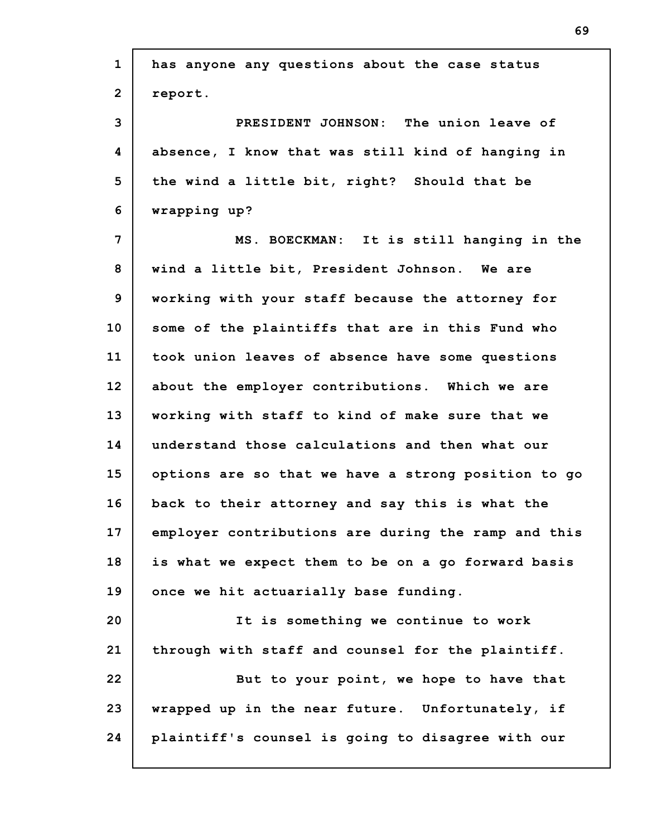| $\mathbf{1}$   | has anyone any questions about the case status      |  |  |  |  |  |
|----------------|-----------------------------------------------------|--|--|--|--|--|
| $\overline{2}$ | report.                                             |  |  |  |  |  |
| 3              | PRESIDENT JOHNSON: The union leave of               |  |  |  |  |  |
| 4              | absence, I know that was still kind of hanging in   |  |  |  |  |  |
| 5              | the wind a little bit, right? Should that be        |  |  |  |  |  |
| 6              | wrapping up?                                        |  |  |  |  |  |
| 7              | MS. BOECKMAN: It is still hanging in the            |  |  |  |  |  |
| 8              | wind a little bit, President Johnson. We are        |  |  |  |  |  |
| 9              | working with your staff because the attorney for    |  |  |  |  |  |
| 10             | some of the plaintiffs that are in this Fund who    |  |  |  |  |  |
| 11             | took union leaves of absence have some questions    |  |  |  |  |  |
| 12             | about the employer contributions. Which we are      |  |  |  |  |  |
| 13             | working with staff to kind of make sure that we     |  |  |  |  |  |
| 14             | understand those calculations and then what our     |  |  |  |  |  |
| 15             | options are so that we have a strong position to go |  |  |  |  |  |
| 16             | back to their attorney and say this is what the     |  |  |  |  |  |
| 17             | employer contributions are during the ramp and this |  |  |  |  |  |
| 18             | is what we expect them to be on a go forward basis  |  |  |  |  |  |
| 19             | once we hit actuarially base funding.               |  |  |  |  |  |
| 20             | It is something we continue to work                 |  |  |  |  |  |
| 21             | through with staff and counsel for the plaintiff.   |  |  |  |  |  |
| 22             | But to your point, we hope to have that             |  |  |  |  |  |
| 23             | wrapped up in the near future. Unfortunately, if    |  |  |  |  |  |
| 24             | plaintiff's counsel is going to disagree with our   |  |  |  |  |  |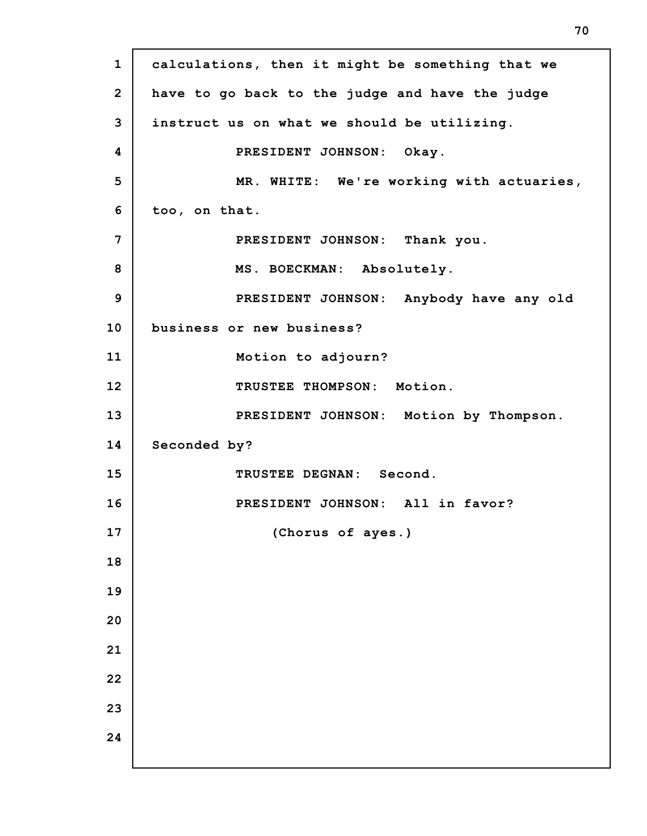| $\mathbf{1}$   | calculations, then it might be something that we |  |  |  |  |  |
|----------------|--------------------------------------------------|--|--|--|--|--|
| $\overline{2}$ | have to go back to the judge and have the judge  |  |  |  |  |  |
| 3              | instruct us on what we should be utilizing.      |  |  |  |  |  |
| 4              | PRESIDENT JOHNSON: Okay.                         |  |  |  |  |  |
| 5              | MR. WHITE: We're working with actuaries,         |  |  |  |  |  |
| 6              | too, on that.                                    |  |  |  |  |  |
| 7              | PRESIDENT JOHNSON: Thank you.                    |  |  |  |  |  |
| 8              | MS. BOECKMAN: Absolutely.                        |  |  |  |  |  |
| $\overline{9}$ | PRESIDENT JOHNSON: Anybody have any old          |  |  |  |  |  |
| 10             | business or new business?                        |  |  |  |  |  |
| 11             | Motion to adjourn?                               |  |  |  |  |  |
| 12             | TRUSTEE THOMPSON: Motion.                        |  |  |  |  |  |
| 13             | PRESIDENT JOHNSON: Motion by Thompson.           |  |  |  |  |  |
| 14             | Seconded by?                                     |  |  |  |  |  |
| 15             | TRUSTEE DEGNAN: Second.                          |  |  |  |  |  |
| 16             | PRESIDENT JOHNSON: All in favor?                 |  |  |  |  |  |
| 17             | (Chorus of ayes.)                                |  |  |  |  |  |
| 18             |                                                  |  |  |  |  |  |
| 19             |                                                  |  |  |  |  |  |
| 20             |                                                  |  |  |  |  |  |
| 21             |                                                  |  |  |  |  |  |
| 22             |                                                  |  |  |  |  |  |
| 23             |                                                  |  |  |  |  |  |
| 24             |                                                  |  |  |  |  |  |
|                |                                                  |  |  |  |  |  |

H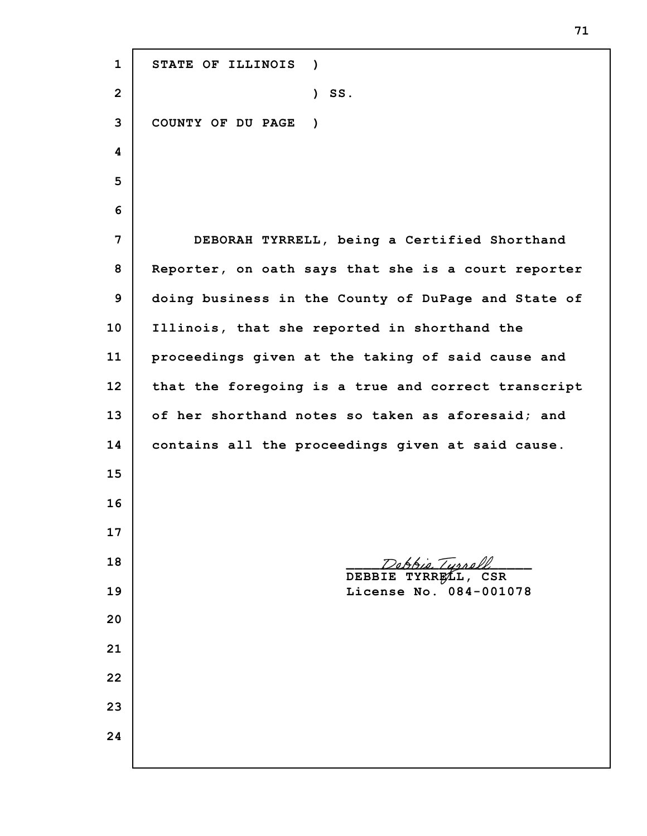**STATE OF ILLINOIS ) ) SS. COUNTY OF DU PAGE ) DEBORAH TYRRELL, being a Certified Shorthand Reporter, on oath says that she is a court reporter doing business in the County of DuPage and State of Illinois, that she reported in shorthand the proceedings given at the taking of said cause and that the foregoing is a true and correct transcript of her shorthand notes so taken as aforesaid; and contains all the proceedings given at said cause.** re<u>bbie Tyrrel</u> **DEBBIE TYRRELL, CSR License No. 084-001078**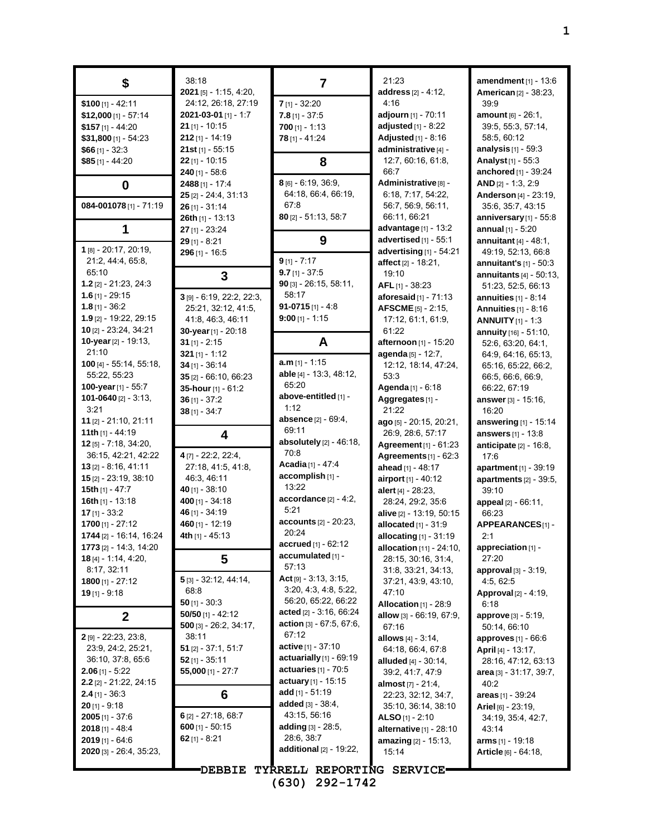| \$                             | 38:18<br>2021 [5] - 1:15, 4:20, | 7                                          | 21:23<br>address [2] - 4:12,    | amendment $[1]$ - 13:6<br><b>American [2] - 38:23,</b> |
|--------------------------------|---------------------------------|--------------------------------------------|---------------------------------|--------------------------------------------------------|
| $$100$ [1] - 42:11             | 24:12, 26:18, 27:19             | $7$ [1] - 32:20                            | 4:16                            | 39.9                                                   |
| $$12,000$ [1] - 57:14          | 2021-03-01 [1] - 1:7            | $7.8$ [1] - 37:5                           | adjourn [1] - 70:11             | <b>amount</b> $[6] - 26:1$ ,                           |
| $$157$ [1] - 44:20             | 21 [1] - 10:15                  | $700$ [1] - 1:13                           | adjusted [1] - 8:22             | 39:5, 55:3, 57:14,                                     |
| $$31,800$ [1] - 54:23          | $212$ [1] - 14:19               | 78 [1] - 41:24                             | Adjusted [1] - 8:16             | 58:5, 60:12                                            |
| $$66$ [1] - 32:3               | 21st $[1] - 55:15$              |                                            | administrative [4] -            | analysis $[1]$ - 59:3                                  |
| $$85$ [1] - 44:20              | $22$ [1] - 10:15                | 8                                          | 12:7, 60:16, 61:8,              | Analyst <sub>[1]</sub> - 55:3                          |
|                                | $240$ [1] - 58:6                |                                            | 66.7                            | <b>anchored</b> $[1]$ - 39:24                          |
| $\bf{0}$                       | $2488$ [1] - 17:4               | 8 [6] - 6:19, 36:9,                        | Administrative <sup>[8]</sup> - | $AND [2] - 1:3, 2:9$                                   |
|                                | $25$ [2] - 24:4, 31:13          | 64:18, 66:4, 66:19,                        | 6:18, 7:17, 54:22,              | Anderson [4] - 23:19,                                  |
| 084-001078 [1] - 71:19         | $26$ [1] - 31:14                | 67:8                                       | 56:7, 56:9, 56:11,              | 35:6, 35:7, 43:15                                      |
|                                | 26th $[1]$ - 13:13              | $80$ [2] - 51:13, 58:7                     | 66:11, 66:21                    | anniversary [1] - 55:8                                 |
| 1                              | $27$ [1] - 23:24                |                                            | advantage [1] - 13:2            | annual $[1] - 5:20$                                    |
|                                | $29$ [1] - 8:21                 | 9                                          | advertised [1] - 55:1           | annuitant $[4] - 48.1$ ,                               |
| $1$ [8] - 20:17, 20:19,        | $296$ [1] - 16:5                |                                            | advertising [1] - 54:21         | 49:19, 52:13, 66:8                                     |
| 21:2, 44:4, 65:8,              |                                 | $9$ [1] - 7:17                             | affect $[2] - 18.21$ ,          | annuitant's $[1]$ - 50:3                               |
| 65:10                          | 3                               | $9.7$ [1] - 37:5                           | 19:10                           | annuitants $[4] - 50:13$ ,                             |
| 1.2 $[2] - 21:23$ , 24:3       |                                 | $90$ [3] - 26:15, 58:11,                   | AFL [1] - 38:23                 | 51:23, 52:5, 66:13                                     |
| $1.6$ [1] - 29:15              | 3 [9] - 6:19, 22:2, 22:3,       | 58:17                                      | <b>aforesaid</b> $[1] - 71:13$  | annuities $[1] - 8:14$                                 |
| $1.8$ [1] - 36:2               | 25:21, 32:12, 41:5,             | $91-0715$ [1] - 4:8                        | $AFSCME$ [5] - 2:15,            | Annuities $[1]$ - 8:16                                 |
| 1.9 [2] - 19:22, 29:15         | 41.8, 46.3, 46.11               | $9:00$ [1] - 1:15                          | 17:12, 61:1, 61:9,              | <b>ANNUITY</b> $[1] - 1:3$                             |
| 10 [2] - 23:24, 34:21          | 30-year [1] - 20:18             |                                            | 61:22                           | annuity [16] - 51:10,                                  |
| 10-year [2] - 19:13,           | $31$ [1] - 2:15                 | A                                          | afternoon [1] - 15:20           | 52.6, 63.20, 64.1,                                     |
| 21:10                          | $321$ [1] - 1:12                |                                            | agenda [5] - 12:7,              | 64.9, 64.16, 65:13,                                    |
| $100$ [4] - 55:14, 55:18,      | $34$ [1] - 36:14                | $a.m$ <sub>[1]</sub> - 1:15                | 12:12, 18:14, 47:24,            | 65:16, 65:22, 66:2,                                    |
| 55:22, 55:23                   | 35 [2] - 66:10, 66:23           | able [4] - 13:3, 48:12,                    | 53:3                            | 66:5, 66:6, 66:9,                                      |
| 100-year [1] - 55:7            | 35-hour [1] - 61:2              | 65:20                                      | Agenda [1] - 6:18               | 66.22, 67:19                                           |
| 101-0640 $[2] - 3:13$ ,        | $36$ [1] - 37:2                 | above-entitled [1] -                       | Aggregates [1] -                | answer [3] - 15:16,                                    |
| 3:21                           | $38$ [1] - 34:7                 | 1:12                                       | 21:22                           | 16:20                                                  |
| 11 $[2] - 21:10, 21:11$        |                                 | absence [2] - 69:4,                        | ago [5] - 20:15, 20:21,         | answering [1] - 15:14                                  |
| 11th $[1] - 44:19$             | 4                               | 69:11                                      | 26:9, 28:6, 57:17               | answers [1] - 13:8                                     |
| $12$ [5] - 7:18, 34:20,        |                                 | absolutely $[2] - 46:18$ ,                 | Agreement [1] - 61:23           | anticipate $[2] - 16.8$ ,                              |
| 36:15, 42:21, 42:22            | 4 [7] - 22:2, 22:4,             | 70:8                                       | Agreements $[1] - 62:3$         | 17:6                                                   |
| $13$ [2] - 8:16, 41:11         | 27:18, 41:5, 41:8,              | Acadia [1] - 47:4                          | ahead [1] - 48:17               | apartment [1] - 39:19                                  |
| $15$ [2] - 23:19, 38:10        | 46:3, 46:11                     | accomplish [1] -                           | airport [1] - 40:12             | apartments [2] - 39:5,                                 |
| 15th [1] - 47:7                | 40 [1] - 38:10                  | 13:22                                      | alert [4] - 28:23,              | 39:10                                                  |
| 16th $[1]$ - 13:18             | 400 $[1] - 34:18$               | $accordance_{[2]} - 4:2,$                  | 28:24, 29:2, 35:6               | appeal [2] - 66:11,                                    |
| $17$ [1] - 33:2                | 46 [1] - 34:19                  | 5:21                                       | alive [2] - 13:19, 50:15        | 66:23                                                  |
| $1700$ [1] - 27:12             | 460 [1] - 12:19                 | accounts [2] - 20:23,<br>20:24             | allocated [1] - 31:9            | APPEARANCES[1] -                                       |
| 1744 [2] - 16:14, 16:24        | 4th [1] - 45:13                 |                                            | allocating [1] - 31:19          | 2:1                                                    |
| <b>1773</b> [2] - 14:3, 14:20  |                                 | $accrued$ [1] - 62:12<br>accumulated [1] - | <b>allocation</b> [11] - 24:10, | appreciation [1] -                                     |
| <b>18</b> [4] - 1:14, 4:20,    | 5                               | 57:13                                      | 28:15, 30:16, 31:4,             | 27:20                                                  |
| 8:17, 32:11                    | $5$ [3] - 32.12, 44.14,         | $Act[9] - 3.13, 3.15,$                     | 31.8, 33.21, 34.13,             | <b>approval</b> $[3] - 3:19$ ,                         |
| $1800$ [1] - 27:12             | 68:8                            | 3:20, 4:3, 4:8, 5:22,                      | 37:21, 43:9, 43:10,             | 4:5, 62:5                                              |
| $19$ [1] - 9:18                | $50$ [1] - 30:3                 | 56:20, 65:22, 66:22                        | 47:10<br>Allocation [1] - 28:9  | Approval [2] - 4:19,                                   |
|                                | $50/50$ [1] - 42:12             | acted [2] - 3:16, 66:24                    | allow [3] - 66:19, 67:9,        | 6:18<br><b>approve</b> [3] - 5:19,                     |
| $\mathbf{2}$                   | $500$ [3] - 26:2, 34:17,        | <b>action</b> $[3] - 67:5, 67:6,$          | 67:16                           | 50.14, 66:10                                           |
| 2 [9] - 22:23, 23:8,           | 38:11                           | 67:12                                      | allows $[4] - 3.14$ ,           | <b>approves</b> $[1]$ - 66:6                           |
| 23.9, 24.2, 25.21,             | $51$ [2] - 37:1, 51:7           | <b>active</b> $[1] - 37:10$                | 64:18, 66:4, 67:8               | <b>April</b> [4] - 13:17,                              |
| 36:10, 37:8, 65:6              | $52$ [1] - 35:11                | actuarially $[1]$ - 69:19                  | <b>alluded</b> $[4] - 30:14$ ,  | 28:16, 47:12, 63:13                                    |
| <b>2.06</b> [1] - 5:22         | $55,000$ [1] - 27:7             | actuaries $[1]$ - 70:5                     | 39:2, 41:7, 47:9                | area [3] - 31:17, 39:7,                                |
| $2.2$ [2] - 21:22, 24:15       |                                 | actuary $[1]$ - 15:15                      | <b>almost</b> $[7] - 21.4$ ,    | 40:2                                                   |
| $2.4$ [1] - 36:3               | 6                               | add $[1] - 51.19$                          | 22:23, 32:12, 34:7,             | areas $[1] - 39.24$                                    |
| $20$ [1] - 9:18                |                                 | <b>added</b> $[3] - 38:4$ ,                | 35:10, 36:14, 38:10             | Ariel $[6] - 23:19$ ,                                  |
| <b>2005</b> [1] - 37:6         | $6$ [2] - 27:18, 68:7           | 43:15, 56:16                               | <b>ALSO</b> [1] - 2:10          | 34:19, 35:4, 42:7,                                     |
| <b>2018</b> [1] - 48:4         | 600 $[1] - 50:15$               | <b>adding</b> $[3] - 28:5$ ,               | alternative $[1]$ - 28:10       | 43:14                                                  |
| $2019$ [1] - 64:6              | 62 $[1] - 8:21$                 | 28:6, 38:7                                 | amazing [2] - 15:13,            | <b>arms</b> $[1]$ - 19:18                              |
| <b>2020</b> [3] - 26:4, 35:23, |                                 | additional [2] - 19:22,                    | 15:14                           | Article [6] - 64:18,                                   |
|                                |                                 |                                            |                                 |                                                        |
|                                | <b>"DEBBIE</b>                  | TYRRELL REPORTING SERVICE                  |                                 |                                                        |

**(630) 292-1742**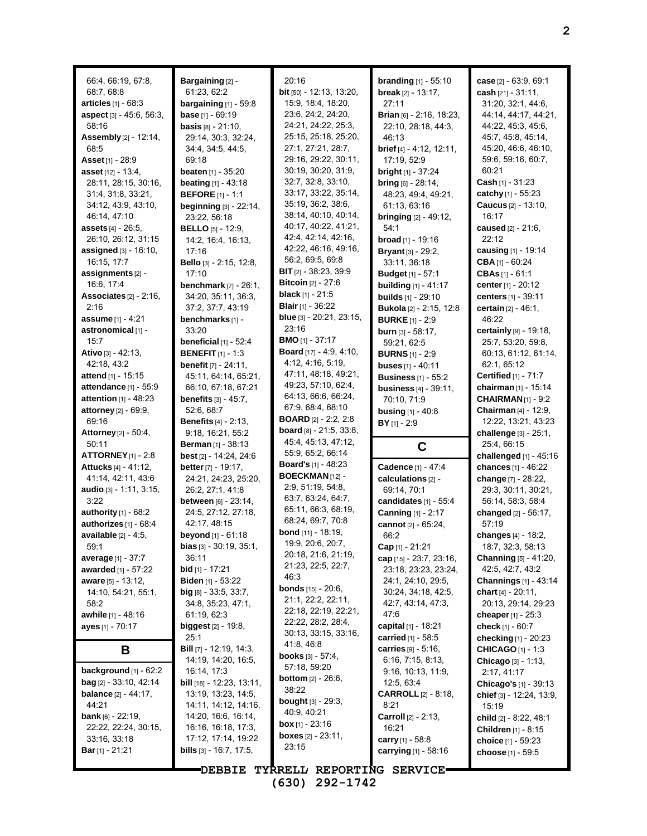66:4, 66:19, 67:8, 68:7, 68:8 **articles** [1] - 68:3 **aspect** [3] - 45:6, 56:3, 58:16 **Assembly**[2] - 12:14, 68:5 **Asset**[1] - 28:9 **asset** [12] - 13:4, 28:11, 28:15, 30:16, 31:4, 31:8, 33:21, 34:12, 43:9, 43:10, 46:14, 47:10 **assets** [4] - 26:5, 26:10, 26:12, 31:15 **assigned** [3] - 16:10, 16:15, 17:7 **assignments** [2] - 16:6, 17:4 **Associates** [2] - 2:16,  $2.16$ **assume** [1] - 4:21 **astronomical** [1] - 15:7 **Ativo** [3] - 42:13, 42:18, 43:2 **attend** [1] - 15:15 **attendance** [1] - 55:9 **attention** [1] - 48:23 **attorney** [2] - 69:9, 69:16 **Attorney**[2] - 50:4, 50:11 **ATTORNEY**[1] - 2:8 **Attucks** [4] - 41:12, 41:14, 42:11, 43:6 **audio** [3] - 1:11, 3:15, 3:22 **authority** [1] - 68:2 **authorizes** [1] - 68:4 **available** [2] - 4:5, 59:1 **average** [1] - 37:7 **awarded** [1] - 57:22 **aware** [5] - 13:12, 14:10, 54:21, 55:1, 58:2 **awhile** [1] - 48:16 **ayes** [1] - 70:17 **B background** [1] - 62:2 **bag** [2] - 33:10, 42:14 **balance** [2] - 44:17, 44:21 **bank** [6] - 22:19, 22:22, 22:24, 30:15, 33:16, 33:18 **Bar**[1] - 21:21

**Bargaining** [2] - 61:23, 62:2 **bargaining** [1] - 59:8 **base** [1] - 69:19 **basis** [8] - 21:10, 29:14, 30:3, 32:24, 34:4, 34:5, 44:5, 69:18 **beaten** [1] - 35:20 **beating** [1] - 43:18 **BEFORE** [1] - 1:1 **beginning** [3] - 22:14, 23:22, 56:18 **BELLO** [5] - 12:9, 14:2, 16:4, 16:13, 17:16 **Bello** [3] - 2:15, 12:8, 17:10 **benchmark** [7] - 26:1, 34:20, 35:11, 36:3, 37:2, 37:7, 43:19 **benchmarks** [1] - 33:20 **beneficial** [1] - 52:4 **BENEFIT** [1] - 1:3 **benefit** [7] - 24:11, 45:11, 64:14, 65:21, 66:10, 67:18, 67:21 **benefits** [3] - 45:7, 52:6, 68:7 **Benefits** [4] - 2:13, 9:18, 16:21, 55:2 **Berman** [1] - 38:13 **best** [2] - 14:24, 24:6 **better**[7] - 19:17, 24:21, 24:23, 25:20, 26:2, 27:1, 41:8 **between** [6] - 23:14, 24:5, 27:12, 27:18, 42:17, 48:15 **beyond** [1] - 61:18 **bias** [3] - 30:19, 35:1, 36:11 **bid** [1] - 17:21 **Biden** [1] - 53:22 **big** [8] - 33:5, 33:7, 34:8, 35:23, 47:1, 61:19, 62:3 **biggest** [2] - 19:8, 25:1 **Bill** [7] - 12:19, 14:3, 14:19, 14:20, 16:5, 16:14, 17:3 **bill** [18] - 12:23, 13:11, 13:19, 13:23, 14:5, 14:11, 14:12, 14:16, 14:20, 16:6, 16:14, 16:16, 16:18, 17:3, 17:12, 17:14, 19:22 **bills** [3] - 16:7, 17:5,

20:16 **bit** [50] - 12:13, 13:20, 15:9, 18:4, 18:20, 23:6, 24:2, 24:20, 24:21, 24:22, 25:3, 25:15, 25:18, 25:20, 27:1, 27:21, 28:7, 29:16, 29:22, 30:11, 30:19, 30:20, 31:9, 32:7, 32:8, 33:10, 33:17, 33:22, 35:14, 35:19, 36:2, 38:6, 38:14, 40:10, 40:14, 40:17, 40:22, 41:21, 42:4, 42:14, 42:16, 42:22, 46:16, 49:16, 56:2, 69:5, 69:8 **BIT** [2] - 38:23, 39:9 **Bitcoin** [2] - 27:6 **black** [1] - 21:5 **Blair** [1] - 36:22 **blue** [3] - 20:21, 23:15, 23:16 **BMO** [1] - 37:17 **Board** [17] - 4:9, 4:10, 4:12, 4:16, 5:19, 47:11, 48:18, 49:21, 49:23, 57:10, 62:4, 64:13, 66:6, 66:24, 67:9, 68:4, 68:10 **BOARD** [2] - 2:2, 2:8 **board** [8] - 21:5, 33:8, 45:4, 45:13, 47:12, 55:9, 65:2, 66:14 **Board's** [1] - 48:23 **BOECKMAN** [12] - 2:9, 51:19, 54:8, 63:7, 63:24, 64:7, 65:11, 66:3, 68:19, 68:24, 69:7, 70:8 **bond** [11] - 18:19, 19:9, 20:6, 20:7, 20:18, 21:6, 21:19, 21:23, 22:5, 22:7, 46:3 **bonds** [15] - 20:6, 21:1, 22:2, 22:11, 22:18, 22:19, 22:21, 22:22, 28:2, 28:4, 30:13, 33:15, 33:16, 41:8, 46:8 **books** [3] - 57:4, 57:18, 59:20 **bottom** [2] - 26:6, 38:22 **bought** [3] - 29:3, 40:9, 40:21 **box** [1] - 23:16 **boxes** [2] - 23:11, 23:15

**DEBBIE TYRRELL REPORTING SERVICE (630) 292-1742**

**branding** [1] - 55:10 **break** [2] - 13:17, 27:11 **Brian** [6] - 2:16, 18:23, 22:10, 28:18, 44:3, 46:13 **brief** [4] - 4:12, 12:11, 17:19, 52:9 **bright** [1] - 37:24 **bring** [6] - 28:14, 48:23, 49:4, 49:21, 61:13, 63:16 **bringing** [2] - 49:12, 54:1 **broad** [1] - 19:16 **Bryant**[3] - 29:2, 33:11, 36:18 **Budget** [1] - 57:1 **building** [1] - 41:17 **builds** [1] - 29:10 **Bukola** [2] - 2:15, 12:8 **BURKE** [1] - 2:9 **burn** [3] - 58:17, 59:21, 62:5 **BURNS** [1] - 2:9 **buses** [1] - 40:11 **Business** [1] - 55:2 **business** [4] - 39:11, 70:10, 71:9 **busing** [1] - 40:8 **BY** [1] - 2:9 **C Cadence** [1] - 47:4 **calculations** [2] - 69:14, 70:1 **candidates** [1] - 55:4 **Canning** [1] - 2:17 **cannot** [2] - 65:24, 66:2 **Cap** [1] - 21:21 **cap** [15] - 23:7, 23:16, 23:18, 23:23, 23:24, 24:1, 24:10, 29:5, 30:24, 34:18, 42:5, 42:7, 43:14, 47:3, 47:6 **capital** [1] - 18:21 **carried** [1] - 58:5 **carries** [9] - 5:16, 6:16, 7:15, 8:13, 9:16, 10:13, 11:9, 12:5, 63:4 **CARROLL** [2] - 8:18, 8:21 **Carroll** [2] - 2:13, 16:21 **carry** [1] - 58:8 **carrying** [1] - 58:16

**case** [2] - 63:9, 69:1 **cash** [21] - 31:11, 31:20, 32:1, 44:6, 44:14, 44:17, 44:21, 44:22, 45:3, 45:6, 45:7, 45:8, 45:14, 45:20, 46:6, 46:10, 59:6, 59:16, 60:7, 60:21 **Cash** [1] - 31:23 **catchy** [1] - 55:23 **Caucus** [2] - 13:10, 16:17 **caused** [2] - 21:6, 22:12 **causing** [1] - 19:14 **CBA** [1] - 60:24 **CBAs** [1] - 61:1 **center**[1] - 20:12 **centers** [1] - 39:11 **certain** [2] - 46:1, 46:22 **certainly** [9] - 19:18, 25:7, 53:20, 59:8, 60:13, 61:12, 61:14, 62:1, 65:12 **Certified** [1] - 71:7 **chairman** [1] - 15:14 **CHAIRMAN**[1] - 9:2 **Chairman** [4] - 12:9, 12:22, 13:21, 43:23 **challenge** [3] - 25:1, 25:4, 66:15 **challenged** [1] - 45:16 **chances** [1] - 46:22 **change** [7] - 28:22, 29:3, 30:11, 30:21, 56:14, 58:3, 58:4 **changed** [2] - 56:17, 57:19 **changes** [4] - 18:2, 18:7, 32:3, 58:13 **Channing** [5] - 41:20, 42:5, 42:7, 43:2 **Channings** [1] - 43:14 **chart** [4] - 20:11, 20:13, 29:14, 29:23 **cheaper**[1] - 25:3 **check** [1] - 60:7 **checking** [1] - 20:23 **CHICAGO** [1] - 1:3 **Chicago** [3] - 1:13, 2:17, 41:17 **Chicago's** [1] - 39:13 **chief** [3] - 12:24, 13:9, 15:19 **child** [2] - 8:22, 48:1 **Children** [1] - 8:15 **choice** [1] - 59:23 **choose** [1] - 59:5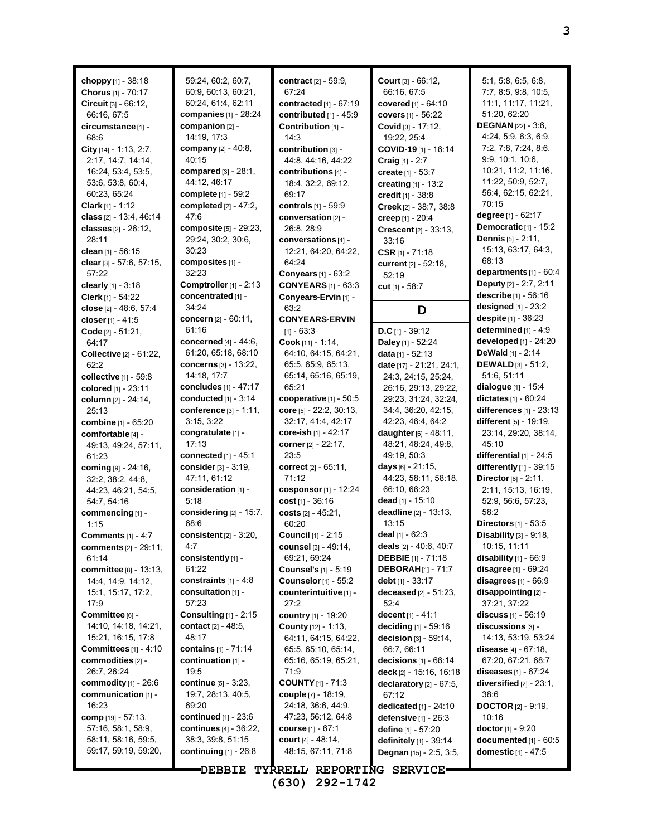| choppy [1] - 38:18               | 59:24, 60:2, 60:7,                         | <b>contract</b> [2] - 59:9,   | <b>Court</b> $[3] - 66:12$ ,               | 5.1, 5.8, 6.5, 6.8,                                 |
|----------------------------------|--------------------------------------------|-------------------------------|--------------------------------------------|-----------------------------------------------------|
| Chorus [1] - 70:17               | 60.9, 60.13, 60.21,                        | 67:24                         | 66:16, 67:5                                | 7:7, 8:5, 9:8, 10:5,                                |
| Circuit [3] - 66:12,             | 60:24, 61:4, 62:11                         | contracted [1] - 67:19        | covered [1] - 64:10                        | 11:1, 11:17, 11:21,                                 |
| 66:16, 67:5                      | companies $[1]$ - 28:24                    | contributed [1] - 45:9        | covers [1] - 56:22                         | 51:20, 62:20                                        |
| circumstance [1] -               | companion [2] -                            | Contribution [1] -            | Covid [3] - 17:12,                         | <b>DEGNAN</b> $[22] - 3.6$ ,                        |
| 68.6                             | 14:19, 17:3                                | 14:3                          | 19:22, 25:4                                | 4:24, 5:9, 6:3, 6:9,                                |
| City $[14] - 1.13, 2.7$ ,        | <b>company</b> [2] - 40:8,                 | contribution [3] -            | COVID-19 [1] - 16:14                       | 7:2, 7:8, 7:24, 8:6,                                |
| 2:17, 14:7, 14:14,               | 40:15                                      | 44:8, 44:16, 44:22            |                                            | 9.9, 10.1, 10.6,                                    |
| 16:24, 53:4, 53:5,               | compared $[3] - 28:1$ ,                    | contributions [4] -           | Craig [1] - 2:7                            | 10:21, 11:2, 11:16,                                 |
| 53.6, 53.8, 60.4,                | 44:12, 46:17                               | 18:4, 32:2, 69:12,            | create [1] - 53:7                          | 11:22, 50:9, 52:7,                                  |
| 60:23, 65:24                     | <b>complete</b> $[1]$ - 59:2               | 69:17                         | creating [1] - 13:2<br>credit [1] - 38:8   | 56:4, 62:15, 62:21,                                 |
| <b>Clark</b> [1] - 1:12          | completed $[2] - 47:2$ ,                   | <b>controls</b> [1] - 59:9    |                                            | 70:15                                               |
| class [2] - 13:4, 46:14          | 47:6                                       | conversation [2] -            | Creek [2] - 38:7, 38:8<br>creep [1] - 20:4 | degree [1] - 62:17                                  |
| classes [2] - 26:12,             | composite [5] - 29:23,                     | 26:8, 28:9                    | Crescent [2] - 33:13,                      | Democratic [1] - 15:2                               |
| 28:11                            | 29:24, 30:2, 30:6,                         | conversations [4] -           | 33:16                                      | <b>Dennis</b> $[5] - 2:11$ ,                        |
| <b>clean</b> [1] - 56:15         | 30:23                                      | 12:21, 64:20, 64:22,          | CSR $[1] - 71:18$                          | 15:13, 63:17, 64:3,                                 |
| clear [3] - 57:6, 57:15,         | composites [1] -                           | 64:24                         | current [2] - 52:18,                       | 68:13                                               |
| 57:22                            | 32:23                                      | Conyears $[1]$ - $63.2$       | 52:19                                      | departments [1] - 60:4                              |
| clearly $[1] - 3.18$             | Comptroller [1] - 2:13                     | <b>CONYEARS</b> [1] - 63:3    | cut [1] - 58:7                             | Deputy [2] - 2:7, 2:11                              |
| Clerk [1] - 54:22                | concentrated [1] -                         | Conyears-Ervin [1] -          |                                            | describe [1] - 56:16                                |
| close [2] - 48:6, 57:4           | 34:24                                      | 63:2                          | D                                          | designed $[1]$ - 23:2                               |
| closer [1] - 41:5                | concern [2] - 60:11,                       | <b>CONYEARS-ERVIN</b>         |                                            | despite [1] - 36:23                                 |
| Code [2] - 51:21,                | 61:16                                      | $[1] - 63:3$                  | D.C $[1] - 39:12$                          | determined $[1] - 4.9$                              |
| 64:17                            | concerned $[4] - 44:6$ ,                   | Cook [11] - 1:14,             | Daley [1] - 52:24                          | developed [1] - 24:20                               |
| Collective [2] - 61:22,          | 61:20, 65:18, 68:10                        | 64:10, 64:15, 64:21,          | data [1] - 52:13                           | DeWald $[1] - 2:14$                                 |
| 62:2                             | concerns [3] - 13:22,                      | 65.5, 65.9, 65.13,            | date [17] - 21:21, 24:1,                   | <b>DEWALD</b> [3] - 51:2,                           |
| collective [1] - 59:8            | 14:18, 17:7                                | 65:14, 65:16, 65:19,          | 24:3, 24:15, 25:24,                        | 51:6, 51:11                                         |
| colored [1] - 23:11              | concludes $[1] - 47:17$                    | 65:21                         | 26:16, 29:13, 29:22,                       | <b>dialogue</b> [1] - 15:4                          |
| column [2] - 24:14,              | conducted $[1]$ - 3:14                     | cooperative $[1]$ - 50:5      | 29:23, 31:24, 32.24,                       | <b>dictates</b> $[1] - 60:24$                       |
| 25:13                            | conference [3] - 1:11,                     | core $[5]$ - 22:2, 30:13,     | 34.4, 36.20, 42.15,                        | differences $[1]$ - 23:13                           |
| combine [1] - 65:20              | 3:15, 3:22                                 | 32:17, 41:4, 42:17            | 42:23, 46:4, 64:2                          | different [5] - 19:19,                              |
| comfortable [4] -                | congratulate [1] -                         | core-ish [1] - 42:17          | daughter [6] - 48:11,                      | 23:14, 29:20, 38:14,                                |
| 49:13, 49:24, 57:11,             | 17:13                                      | corner [2] - 22:17,           | 48:21, 48:24, 49:8,                        | 45:10                                               |
| 61:23                            | connected $[1] - 45:1$                     | 23:5                          | 49:19, 50:3                                | differential $[1]$ - 24:5                           |
| coming [9] - 24:16,              | <b>consider</b> [3] - 3:19,                | correct $[2] - 65.11$ ,       | <b>days</b> [6] - 21:15,                   | differently $[1]$ - 39:15                           |
| 32:2, 38:2, 44:8,                | 47:11, 61:12                               | 71:12                         | 44.23, 58:11, 58:18,                       | <b>Director</b> $[8] - 2:11$ ,                      |
| 44:23, 46:21, 54:5,              | consideration [1] -                        | cosponsor [1] - 12:24         | 66:10, 66:23                               | 2:11, 15:13, 16:19,                                 |
| 54:7, 54:16                      | 5:18                                       | $cost_{[1]} - 36:16$          | dead [1] - 15:10                           | 52:9, 56:6, 57:23,                                  |
| commencing [1] -                 | considering $[2]$ - 15:7,                  | costs $[2] - 45:21$ ,         | deadline [2] - 13:13,                      | 58:2                                                |
| 1:15                             | 68:6                                       | 60:20                         | 13:15                                      | Directors [1] - 53:5                                |
| <b>Comments</b> [1] - 4:7        | consistent $[2] - 3:20$ ,                  | <b>Council</b> $[1]$ - 2:15   | deal $[1] - 62:3$                          | Disability $[3]$ - $9:18$ ,                         |
| <b>comments</b> [2] - 29:11,     | 4.7                                        | <b>counsel</b> [3] - 49:14,   | deals $[2] - 40.6, 40.7$                   | 10:15, 11:11                                        |
| 61:14                            | consistently [1] -                         | 69:21, 69:24                  | <b>DEBBIE</b> $[1] - 71:18$                | disability $[1]$ - 66:9                             |
| committee [8] - 13:13,           | 61:22                                      | <b>Counsel's</b> $[1] - 5:19$ | <b>DEBORAH</b> [1] - 71:7                  | disagree [1] - 69:24                                |
| 14:4, 14:9, 14:12,               | constraints $[1] - 4.8$                    | <b>Counselor</b> [1] - 55:2   | debt $[1] - 33:17$                         | disagrees $[1]$ - 66:9                              |
| 15:1, 15:17, 17:2,               | consultation [1] -                         | counterintuitive [1] -        | <b>deceased</b> $[2] - 51:23$ ,            | $disappointing$ [2] -                               |
| 17:9                             | 57:23                                      | 27:2                          | 52:4                                       | 37:21, 37:22                                        |
| Committee [6] -                  | Consulting $[1]$ - 2:15                    | country [1] - 19:20           | decent $[1] - 41:1$                        | discuss [1] - 56:19                                 |
| 14:10, 14:18, 14:21,             | contact $[2] - 48.5$ ,                     | <b>County</b> [12] - 1:13,    | deciding $[1]$ - 59:16                     | discussions [3] -                                   |
| 15:21, 16:15, 17:8               | 48:17                                      | 64:11, 64:15, 64:22,          | decision $[3] - 59:14$ ,                   | 14:13, 53:19, 53:24                                 |
| <b>Committees</b> $[1] - 4:10$   | contains [1] - 71:14<br>continuation [1] - | 65:5, 65:10, 65:14,           | 66.7, 66.11                                | <b>disease</b> $[4] - 67:18$ ,                      |
| commodities [2] -<br>26:7, 26:24 | 19:5                                       | 65:16, 65:19, 65:21,<br>71:9  | decisions $[1] - 66.14$                    | 67.20, 67.21, 68.7<br><b>diseases</b> $[1] - 67:24$ |
| commodity [1] - 26:6             | <b>continue</b> [5] - 3:23,                | <b>COUNTY</b> [1] - 71:3      | deck [2] - 15:16, 16:18                    | diversified $[2]$ - $23:1$ ,                        |
| communication [1] -              | 19:7, 28:13, 40:5,                         | <b>couple</b> [7] - 18:19,    | declaratory [2] - 67:5,<br>67:12           | 38:6                                                |
| 16:23                            | 69:20                                      | 24:18, 36:6, 44:9,            | dedicated [1] - 24:10                      | <b>DOCTOR</b> $[2] - 9:19$ ,                        |
| <b>comp</b> $[19] - 57:13$ ,     | continued [1] - 23:6                       | 47:23, 56:12, 64:8            | defensive $[1]$ - $26:3$                   | 10:16                                               |
| 57:16, 58:1, 58:9,               | continues [4] - 36:22,                     | <b>course</b> $[1] - 67:1$    | define [1] - 57:20                         | doctor $[1] - 9:20$                                 |
| 58:11, 58:16, 59:5,              | 38.3, 39.8, 51.15                          | court [4] - 48:14,            | definitely [1] - 39:14                     | documented [1] - 60:5                               |
| 59:17, 59:19, 59:20,             | continuing $[1]$ - 26:8                    | 48:15, 67:11, 71:8            | Degnan [15] - 2:5, 3:5,                    | <b>domestic</b> $[1] - 47:5$                        |
|                                  |                                            |                               |                                            |                                                     |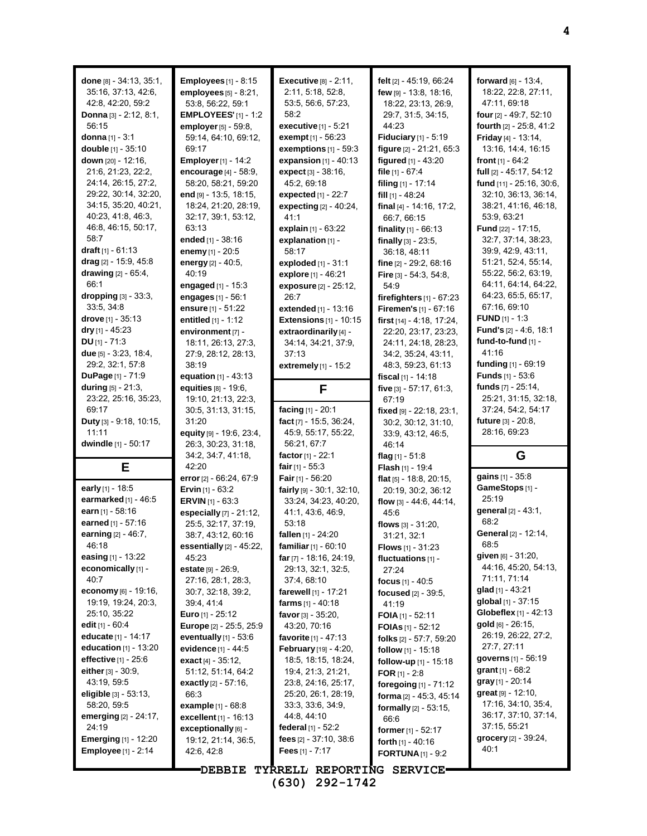| done $[8] - 34.13, 35.1,$       | Employees $[1]$ - $8:15$       | <b>Executive</b> [8] - 2:11,     | felt [2] - 45:19, 66:24         | forward $[6] - 13:4$ ,          |
|---------------------------------|--------------------------------|----------------------------------|---------------------------------|---------------------------------|
| 35:16, 37:13, 42:6,             | employees $[5] - 8.21$ ,       | 2:11, 5:18, 52:8,                | few [9] - 13:8, 18:16,          | 18:22, 22:8, 27:11,             |
| 42:8, 42:20, 59:2               | 53:8, 56:22, 59:1              | 53:5, 56:6, 57:23,               | 18.22, 23:13, 26.9,             | 47:11, 69:18                    |
| <b>Donna</b> $[3] - 2:12, 8:1,$ | <b>EMPLOYEES'</b> [1] - 1:2    | 58:2                             | 29:7, 31:5, 34:15,              | four [2] - 49:7, 52:10          |
| 56:15                           |                                | executive [1] - 5:21             | 44.23                           | fourth [2] - 25:8, 41:2         |
|                                 | employer [5] - 59:8,           |                                  |                                 |                                 |
| donna $[1] - 3:1$               | 59:14, 64:10, 69:12,           | exempt [1] - 56:23               | Fiduciary [1] - 5:19            | Friday [4] - 13:14,             |
| double [1] - 35:10              | 69:17                          | exemptions $[1]$ - 59:3          | figure [2] - 21:21, 65:3        | 13:16, 14:4, 16:15              |
| down [20] - 12:16,              | <b>Employer</b> [1] - 14:2     | expansion $[1] - 40.13$          | figured [1] - 43:20             | front $[1] - 64:2$              |
| 21:6, 21:23, 22:2,              | encourage [4] - 58:9,          | expect [3] - 38:16,              | file [1] - 67:4                 | full [2] - 45:17, 54:12         |
| 24:14, 26:15, 27:2,             | 58:20, 58:21, 59:20            | 45:2, 69:18                      | filing [1] - 17:14              | fund [11] - 25:16, 30:6,        |
| 29:22, 30:14, 32:20,            | end [9] - 13:5, 18:15,         | expected [1] - 22:7              | fill [1] - 48:24                | 32:10, 36:13, 36:14,            |
| 34:15, 35:20, 40:21,            | 18:24, 21:20, 28:19,           | <b>expecting</b> $[2] - 40.24$ , | final [4] - 14:16, 17:2,        | 38:21, 41:16, 46:18,            |
| 40:23, 41:8, 46:3,              | 32:17, 39:1, 53:12,            | 41:1                             | 66:7, 66:15                     | 53:9, 63:21                     |
| 46:8, 46:15, 50:17,             | 63:13                          | explain [1] - 63:22              | finality $[1] - 66:13$          | <b>Fund</b> [22] - 17:15,       |
| 58:7                            | ended [1] - 38:16              | explanation [1] -                | finally $[3] - 23.5$ ,          | 32:7, 37:14, 38:23,             |
| draft $[1] - 61:13$             | enemy [1] - 20:5               | 58:17                            | 36:18, 48:11                    | 39.9, 42.9, 43.11,              |
| drag $[2]$ - 15:9, 45:8         | energy [2] - 40:5,             | exploded [1] - 31:1              | fine [2] - 29:2, 68:16          | 51:21, 52:4, 55:14,             |
| drawing $[2] - 65.4$ ,          | 40:19                          | explore [1] - 46:21              | <b>Fire</b> $[3] - 54:3, 54:8,$ | 55:22, 56:2, 63:19,             |
| 66:1                            | engaged $[1] - 15.3$           | exposure [2] - 25:12,            | 54:9                            | 64:11, 64:14, 64:22,            |
| dropping [3] - 33:3,            |                                |                                  |                                 | 64.23, 65:5, 65:17,             |
| 33:5, 34:8                      | engages [1] - 56:1             | 26:7                             | firefighters $[1]$ - $67:23$    | 67:16, 69:10                    |
|                                 | ensure [1] - 51:22             | extended [1] - 13:16             | Firemen's [1] - 67:16           |                                 |
| drove $[1] - 35:13$             | entitled $[1] - 1:12$          | Extensions $[1]$ - 10:15         | first [14] - 4:18, 17:24,       | <b>FUND</b> $[1] - 1:3$         |
| dry $[1] - 45:23$               | environment [7] -              | extraordinarily [4] -            | 22:20, 23:17, 23:23,            | <b>Fund's</b> $[2] - 4:6, 18:1$ |
| $DU$ [1] - 71:3                 | 18:11, 26:13, 27:3,            | 34:14, 34:21, 37:9,              | 24:11, 24:18, 28:23,            | fund-to-fund [1] -              |
| due $[5] - 3.23, 18.4,$         | 27:9, 28:12, 28:13,            | 37:13                            | 34:2, 35:24, 43:11,             | 41:16                           |
| 29:2, 32:1, 57:8                | 38:19                          | extremely [1] - 15:2             | 48:3, 59:23, 61:13              | funding [1] - 69:19             |
| <b>DuPage</b> $[1] - 71.9$      | equation $[1] - 43.13$         |                                  | fiscal $[1]$ - 14:18            | <b>Funds</b> [1] - 53:6         |
| <b>during</b> $[5] - 21.3$ ,    | equities [8] - 19:6,           | F                                | five $[3] - 57:17, 61:3,$       | funds [7] - 25:14,              |
| 23:22, 25:16, 35:23,            | 19:10, 21:13, 22:3,            |                                  | 67:19                           | 25:21, 31:15, 32:18,            |
| 69:17                           | 30:5, 31:13, 31:15,            | facing [1] - 20:1                | fixed $[9] - 22:18, 23:1,$      | 37:24, 54:2, 54:17              |
| Duty [3] - 9:18, 10:15,         | 31:20                          | fact [7] - 15:5, 36:24,          | 30:2, 30:12, 31:10,             | future [3] - 20:8,              |
|                                 |                                |                                  |                                 |                                 |
| 11:11                           |                                | 45:9, 55:17, 55:22,              |                                 | 28:16, 69:23                    |
|                                 | equity [9] - 19.6, 23.4,       |                                  | 33.9, 43.12, 46.5,              |                                 |
| dwindle [1] - 50:17             | 26.3, 30.23, 31.18,            | 56:21, 67:7                      | 46:14                           |                                 |
|                                 | 34.2, 34.7, 41.18,             | factor $[1] - 22:1$              | flag $[1] - 51.8$               | G                               |
| Е                               | 42:20                          | fair $[1]$ - 55:3                | <b>Flash</b> $[1]$ - 19:4       | gains [1] - 35:8                |
|                                 | error [2] - 66:24, 67:9        | Fair $[1] - 56:20$               | flat [5] - 18:8, 20:15,         |                                 |
| early [1] - 18:5                | <b>Ervin</b> $[1] - 63:2$      | fairly $[9] - 30.1$ , 32.10,     | 20:19, 30:2, 36:12              | GameStops [1] -<br>25:19        |
| earmarked [1] - 46:5            | <b>ERVIN</b> $[1]$ - 63:3      | 33:24, 34:23, 40:20,             | flow [3] - 44:6, 44:14,         |                                 |
| earn [1] - 58:16                | especially [7] - 21:12,        | 41:1, 43:6, 46:9,                | 45.6                            | general [2] - 43:1,             |
| earned [1] - 57:16              | 25:5, 32:17, 37:19,            | 53:18                            | flows $[3] - 31:20$ ,           | 68:2                            |
| earning [2] - 46:7,             | 38:7, 43:12, 60:16             | fallen [1] - 24:20               | 31:21, 32:1                     | General [2] - 12:14,            |
| 46:18                           | essentially $[2] - 45:22$ ,    | familiar $[1] - 60:10$           | <b>Flows</b> $[1] - 31:23$      | 68:5                            |
| easing $[1] - 13.22$            | 45.23                          | far [7] - 18:16, 24:19,          | fluctuations [1] -              | given $[6] - 31:20$ ,           |
| economically [1] -              | estate [9] - 26:9,             | 29:13, 32:1, 32:5,               | 27:24                           | 44:16, 45:20, 54:13,            |
| 40:7                            | 27:16, 28:1, 28:3,             | 37:4, 68:10                      | focus $[1] - 40.5$              | 71:11, 71:14                    |
| economy $[6] - 19.16$ ,         | 30:7, 32:18, 39:2,             | <b>farewell</b> $[1]$ - 17:21    | focused [2] - 39:5,             | glad $[1]$ - 43:21              |
| 19:19, 19:24, 20:3,             | 39:4, 41:4                     | farms $[1] - 40:18$              | 41:19                           | global [1] - 37:15              |
| 25:10, 35:22                    | <b>Euro</b> $[1]$ - 25:12      | favor $[3] - 35:20$ ,            | FOIA $[1]$ - 52:11              | Globeflex [1] - 42:13           |
| edit $[1] - 60.4$               | <b>Europe</b> [2] - 25:5, 25:9 | 43:20, 70:16                     | <b>FOIAs</b> [1] - 52:12        | $gold [6] - 26:15,$             |
| educate $[1] - 14:17$           | eventually $[1]$ - 53:6        | favorite $[1] - 47:13$           | folks [2] - 57:7, 59:20         | 26:19, 26:22, 27:2,             |
| education $[1]$ - 13:20         | evidence [1] - 44:5            | February [19] - 4:20,            | follow [1] - 15:18              | 27:7, 27:11                     |
| effective $[1]$ - 25:6          | <b>exact</b> $[4] - 35:12$     | 18:5, 18:15, 18:24,              | follow-up [1] - 15:18           | governs [1] - 56:19             |
| either $[3] - 30.9$ ,           | 51:12, 51:14, 64:2             | 19:4, 21:3, 21:21,               | FOR $[1] - 2.8$                 | grant $[1] - 68:2$              |
| 43:19, 59:5                     | <b>exactly</b> $[2] - 57:16$ , | 23:8, 24:16, 25:17,              |                                 | gray [1] - 20:14                |
| eligible $[3] - 53:13$ ,        | 66:3                           | 25:20, 26:1, 28:19,              | foregoing [1] - 71:12           | great [9] - 12:10,              |
| 58:20, 59:5                     | <b>example</b> $[1] - 68.8$    | 33:3, 33:6, 34:9,                | forma [2] - 45:3, 45:14         | 17:16, 34:10, 35:4,             |
|                                 |                                | 44.8, 44.10                      | <b>formally</b> $[2] - 53:15$ , | 36:17, 37:10, 37:14,            |
| emerging [2] - 24:17,<br>24:19  | excellent $[1] - 16:13$        | federal $[1] - 52:2$             | 66.6                            | 37:15, 55:21                    |
|                                 | exceptionally [6] -            |                                  | former $[1] - 52:17$            | $grocery$ [2] - 39:24,          |
| <b>Emerging</b> $[1]$ - 12:20   | 19:12, 21:14, 36:5,            | fees $[2] - 37:10, 38:6$         | forth [1] - 40:16               | 40:1                            |
| <b>Employee</b> $[1] - 2:14$    | 42.6, 42.8                     | Fees $[1] - 7:17$                | <b>FORTUNA</b> $[1]$ - 9:2      |                                 |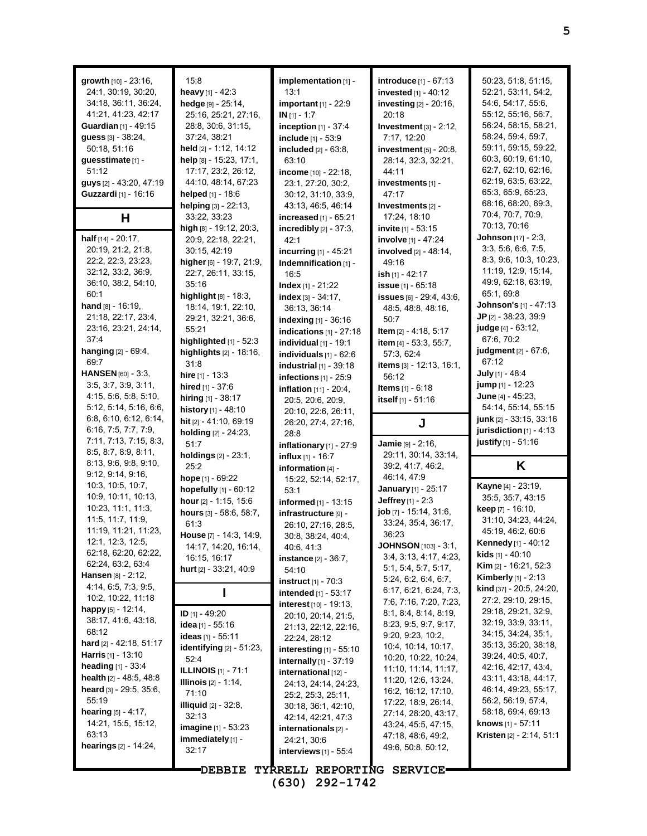| growth [10] - 23:16,                             | 15:8                                   | implementation [1] -                      | introduce [1] - 67:13                            | 50:23, 51:8, 51:15,                                       |
|--------------------------------------------------|----------------------------------------|-------------------------------------------|--------------------------------------------------|-----------------------------------------------------------|
| 24:1, 30:19, 30:20,                              | heavy [1] - 42:3                       | 13:1                                      | <b>invested</b> $[1] - 40:12$                    | 52:21, 53:11, 54:2,                                       |
| 34:18, 36:11, 36:24,                             | hedge [9] - 25:14,                     | <b>important</b> [1] - 22:9               | investing [2] - 20:16,                           | 54:6, 54:17, 55:6,                                        |
| 41:21, 41:23, 42:17                              | 25:16, 25:21, 27:16,                   | $IN [1] - 1:7$                            | 20:18                                            | 55:12, 55:16, 56:7,                                       |
| Guardian [1] - 49:15                             | 28.8, 30.6, 31.15,                     | inception $[1]$ - 37:4                    | Investment $[3]$ - 2:12,                         | 56:24, 58:15, 58:21,                                      |
| guess [3] - 38:24,                               | 37:24, 38:21                           | include [1] - 53:9                        | 7:17, 12:20                                      | 58:24, 59:4, 59:7,                                        |
| 50:18, 51:16                                     | held [2] - 1:12, 14:12                 | included [2] - 63:8,                      | investment $[5]$ - 20:8,                         | 59:11, 59:15, 59:22,                                      |
| guesstimate [1] -                                | help [8] - 15:23, 17:1,                | 63:10                                     | 28:14, 32:3, 32:21,                              | 60:3, 60:19, 61:10,                                       |
| 51:12                                            | 17:17, 23:2, 26:12,                    | income [10] - 22:18,                      | 44:11                                            | 62:7, 62:10, 62:16,                                       |
| guys [2] - 43:20, 47:19                          | 44:10, 48:14, 67:23                    | 23:1, 27:20, 30:2,                        | investments [1] -                                | 62:19, 63:5, 63:22,                                       |
| Guzzardi [1] - 16:16                             | helped [1] - 18:6                      | 30:12, 31:10, 33:9,                       | 47:17                                            | 65.3, 65.9, 65.23,                                        |
|                                                  | helping [3] - 22:13,                   | 43:13, 46:5, 46:14                        | Investments [2] -                                | 68:16, 68:20, 69:3,                                       |
| H                                                | 33:22, 33:23                           | increased [1] - 65:21                     | 17:24, 18:10                                     | 70:4, 70:7, 70:9,                                         |
|                                                  | high $[8] - 19:12$ , 20:3,             | incredibly $[2] - 37:3$ ,                 | invite $[1] - 53:15$                             | 70:13, 70:16                                              |
| half [14] - 20:17,                               | 20:9, 22:18, 22:21,                    | 42:1                                      | involve [1] - 47:24                              | Johnson [17] - 2:3,                                       |
| 20:19, 21:2, 21:8,                               | 30:15, 42:19                           | incurring [1] - 45:21                     | involved [2] - 48:14,                            | 3:3, 5:6, 6:6, 7:5,                                       |
| 22:2, 22:3, 23:23,                               | higher [6] - 19:7, 21:9,               | Indemnification [1] -                     | 49:16                                            | 8:3, 9:6, 10:3, 10:23,                                    |
| 32:12, 33:2, 36:9,                               | 22:7, 26:11, 33:15,                    | 16:5                                      | <b>ish</b> [1] - 42:17                           | 11:19, 12:9, 15:14,                                       |
| 36:10, 38:2, 54:10,                              | 35:16                                  | <b>Index</b> $[1] - 21:22$                | <b>issue</b> $[1] - 65:18$                       | 49.9, 62:18, 63:19,                                       |
| 60:1                                             | highlight [8] - 18:3,                  | index [3] - 34:17,                        | issues [6] - 29:4, 43:6,                         | 65:1, 69:8                                                |
| hand [8] - 16:19,                                | 18:14, 19:1, 22:10,                    | 36:13, 36:14                              | 48.5, 48.8, 48.16,                               | Johnson's [1] - 47:13                                     |
| 21:18, 22:17, 23:4,                              | 29:21, 32:21, 36:6,                    | indexing [1] - 36:16                      | 50:7                                             | JP [2] - 38:23, 39:9                                      |
| 23:16, 23:21, 24:14,                             | 55:21                                  | indications $[1]$ - 27:18                 | <b>Item</b> $[2] - 4:18, 5:17$                   | judge [4] - 63:12,                                        |
| 37:4                                             | highlighted $[1]$ - 52:3               | individual $[1]$ - 19:1                   | item [4] - 53:3, 55:7,                           | 67:6, 70:2                                                |
| hanging [2] - 69:4,                              | highlights [2] - 18:16,                | individuals $[1]$ - $62.6$                | 57:3, 62:4                                       | judgment [2] - 67:6,                                      |
| 69:7                                             | 31:8                                   | industrial $[1]$ - 39:18                  | items [3] - 12:13, 16:1,                         | 67:12                                                     |
| HANSEN [60] - 3:3,                               | hire [1] - 13:3                        | infections $[1]$ - 25:9                   | 56:12                                            | July [1] - 48:4                                           |
| 3.5, 3.7, 3.9, 3.11,                             | hired [1] - 37:6                       | <b>inflation</b> [11] - 20:4,             | <b>Items</b> $[1] - 6:18$                        | jump [1] - 12:23                                          |
| 4:15, 5:6, 5:8, 5:10,                            | hiring [1] - 38:17                     | 20:5, 20:6, 20:9,                         | itself [1] - 51:16                               | June [4] - 45:23,                                         |
| 5:12, 5:14, 5:16, 6:6,<br>6.8, 6.10, 6.12, 6.14, | history [1] - 48:10                    | 20:10, 22:6, 26:11,                       |                                                  | 54:14, 55:14, 55:15<br>junk [2] - 33:15, 33:16            |
| 6:16, 7:5, 7:7, 7:9,                             | hit [2] - 41:10, 69:19                 | 26:20, 27:4, 27:16,                       | J                                                |                                                           |
|                                                  |                                        |                                           |                                                  |                                                           |
|                                                  | holding [2] - 24:23,                   | 28:8                                      |                                                  | jurisdiction $[1]$ - 4:13                                 |
| 7:11, 7:13, 7:15, 8:3,                           | 51:7                                   | inflationary $[1]$ - 27:9                 | Jamie [9] - 2:16,                                | justify [1] - 51:16                                       |
| 8.5, 8.7, 8.9, 8.11,                             | holdings [2] - 23:1,                   | <b>influx</b> $[1]$ - 16:7                | 29:11, 30:14, 33:14,                             |                                                           |
| 8:13, 9:6, 9:8, 9:10,                            | 25:2                                   | information [4] -                         | 39:2, 41:7, 46:2,                                | Κ                                                         |
| 9.12, 9.14, 9.16,                                | hope [1] - 69:22                       | 15:22, 52:14, 52:17,                      | 46:14, 47:9                                      |                                                           |
| 10:3, 10:5, 10:7,                                | hopefully [1] - 60:12                  | 53:1                                      | <b>January</b> [1] - 25:17                       | <b>Kayne</b> [4] - 23:19,                                 |
| 10:9, 10:11, 10:13,                              | hour [2] - 1:15, 15:6                  | informed [1] - 13:15                      | <b>Jeffrey</b> [1] - $2.3$                       | 35:5, 35:7, 43:15                                         |
| 10:23, 11:1, 11:3,<br>11:5, 11:7, 11:9,          | hours [3] - 58:6, 58:7,                | infrastructure [9] -                      | job [7] - 15:14, 31:6,                           | keep [7] - 16:10,<br>31:10, 34:23, 44:24,                 |
| 11:19, 11:21, 11:23,                             | 61:3                                   | 26:10, 27:16, 28:5,                       | 33:24, 35:4, 36:17,                              | 45:19, 46:2, 60:6                                         |
| 12:1, 12:3, 12:5,                                | House [7] - 14:3, 14:9,                | 30:8, 38:24, 40:4,                        | 36:23                                            |                                                           |
| 62:18, 62:20, 62:22,                             | 14:17, 14:20, 16:14,                   | 40.6, 41:3                                | <b>JOHNSON</b> [103] - 3:1,                      | <b>Kennedy</b> [1] - $40:12$<br><b>kids</b> $[1] - 40:10$ |
| 62.24, 63.2, 63.4                                | 16:15, 16:17                           | <b>instance</b> $[2] - 36:7$ ,            | 3:4, 3:13, 4:17, 4:23,                           | Kim [2] - 16:21, 52:3                                     |
| <b>Hansen</b> $[8]$ - 2:12,                      | hurt [2] - 33:21, 40:9                 | 54:10                                     | 5.1, 5.4, 5.7, 5.17,                             | <b>Kimberly</b> [1] - 2:13                                |
| 4:14, 6:5, 7:3, 9:5,                             |                                        | <b>instruct</b> $[1] - 70.3$              | 5.24, 6.2, 6.4, 6.7,                             | <b>kind</b> [37] - 20:5, 24:20,                           |
| 10:2, 10:22, 11:18                               |                                        | intended [1] - 53:17                      | 6:17, 6:21, 6:24, 7:3,<br>7:6, 7:16, 7:20, 7:23, | 27:2, 29:10, 29:15,                                       |
| happy $[5] - 12.14$ ,                            |                                        | <b>interest</b> $[10] - 19:13$ ,          | 8.1, 8.4, 8.14, 8.19,                            | 29:18, 29:21, 32:9,                                       |
| 38:17, 41:6, 43:18,                              | ID $[1] - 49:20$<br>idea [1] - $55:16$ | 20:10, 20:14, 21:5,                       | 8:23, 9:5, 9:7, 9:17,                            | 32:19, 33:9, 33:11,                                       |
| 68:12                                            |                                        | 21:13, 22:12, 22:16,                      | 9:20, 9:23, 10:2,                                | 34:15, 34:24, 35:1,                                       |
| hard [2] - 42:18, 51:17                          | <b>ideas</b> [1] - 55:11               | 22:24, 28:12                              | 10:4, 10:14, 10:17,                              | 35:13, 35:20, 38:18,                                      |
| <b>Harris</b> [1] - 13:10                        | identifying $[2] - 51.23$ ,<br>52:4    | interesting $[1]$ - 55:10                 | 10:20, 10:22, 10:24,                             | 39.24, 40:5, 40:7,                                        |
| heading $[1] - 33.4$                             | <b>ILLINOIS</b> [1] - 71:1             | internally [1] - 37:19                    | 11:10, 11:14, 11:17,                             | 42:16, 42:17, 43:4,                                       |
| <b>health</b> $[2] - 48.5, 48.8$                 | <b>Illinois</b> [2] - 1:14,            | international [12] -                      | 11:20, 12:6, 13:24,                              | 43:11, 43:18, 44:17,                                      |
| <b>heard</b> [3] - 29:5, 35:6,                   | 71:10                                  | 24:13, 24:14, 24:23,                      | 16:2, 16:12, 17:10,                              | 46:14, 49:23, 55:17,                                      |
| 55:19                                            | <b>illiquid</b> $[2] - 32.8$ ,         | 25:2, 25:3, 25:11,<br>30:18, 36:1, 42:10, | 17:22, 18:9, 26:14,                              | 56:2, 56:19, 57:4,                                        |
| <b>hearing</b> $[5] - 4.17$ ,                    | 32:13                                  | 42:14, 42:21, 47:3                        | 27:14, 28:20, 43:17,                             | 58:18, 69:4, 69:13                                        |
| 14:21, 15:5, 15:12,                              | <b>imagine</b> [1] - 53:23             | internationals [2] -                      | 43:24, 45:5, 47:15,                              | knows [1] - 57:11                                         |
| 63:13                                            | immediately [1] -                      | 24:21, 30:6                               | 47:18, 48:6, 49:2,                               | <b>Kristen</b> $[2] - 2:14, 51:1$                         |
| <b>hearings</b> $[2] - 14.24$ ,                  | 32:17                                  | interviews $[1]$ - 55:4                   | 49.6, 50.8, 50.12,                               |                                                           |
|                                                  | <b>DEBBIE</b>                          | TYRRELL REPORTING SERVICE.                |                                                  |                                                           |

**(630) 292-1742**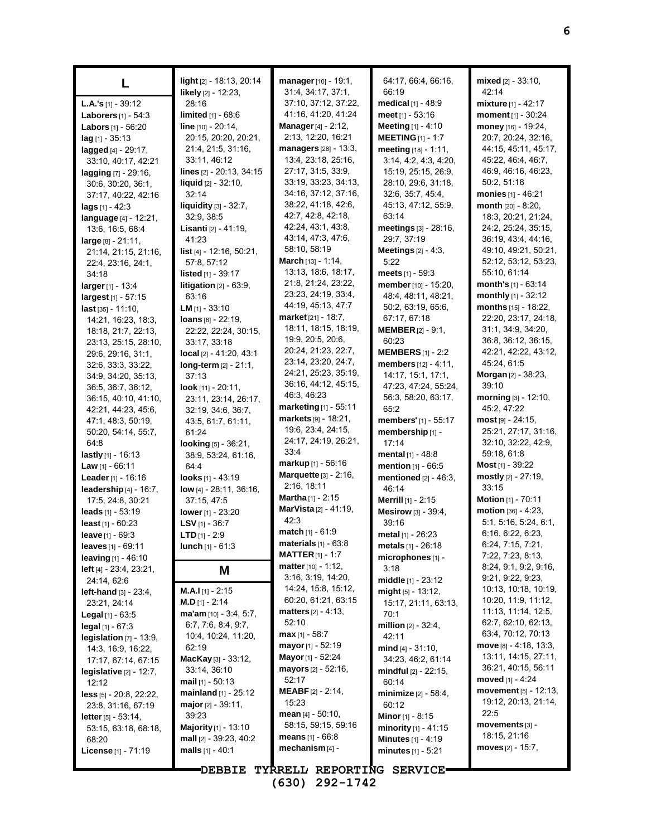| L                                                | light [2] - 18:13, 20:14<br>likely [2] - 12:23, | manager [10] - 19:1,<br>31:4, 34:17, 37:1, | 64:17, 66:4, 66:16,<br>66:19         | mixed [2] - 33:10,<br>42:14                 |
|--------------------------------------------------|-------------------------------------------------|--------------------------------------------|--------------------------------------|---------------------------------------------|
| <b>L.A.'s</b> [1] - 39:12                        | 28:16                                           | 37:10, 37:12, 37:22,                       | medical [1] - 48:9                   | <b>mixture</b> $[1] - 42:17$                |
| <b>Laborers</b> $[1] - 54:3$                     | <b>limited</b> $[1] - 68.6$                     | 41:16, 41:20, 41:24                        | <b>meet</b> [1] - 53:16              | moment [1] - 30:24                          |
| <b>Labors</b> $[1] - 56:20$                      | line [10] - 20:14,                              | Manager [4] - 2:12,                        | <b>Meeting</b> $[1] - 4:10$          | money [16] - 19:24,                         |
| $lag$ [1] - 35:13                                | 20:15, 20:20, 20:21,                            | 2:13, 12:20, 16:21                         | <b>MEETING</b> [1] - 1:7             | 20:7, 20:24, 32:16,                         |
| lagged [4] - 29:17,                              | 21:4, 21:5, 31:16,                              | managers [28] - 13:3,                      | meeting [18] - 1:11,                 | 44:15, 45:11, 45:17,                        |
| 33:10, 40:17, 42:21                              | 33:11, 46:12                                    | 13:4, 23:18, 25:16,                        | 3:14, 4:2, 4:3, 4:20,                | 45.22, 46.4, 46.7,                          |
| lagging [7] - 29:16,                             | lines [2] - 20:13, 34:15                        | 27:17, 31:5, 33:9,                         | 15:19, 25:15, 26:9,                  | 46.9, 46.16, 46.23,                         |
| 30:6, 30:20, 36:1,                               | liquid [2] - 32:10,                             | 33:19, 33:23, 34:13,                       | 28:10, 29:6, 31:18,                  | 50:2, 51:18                                 |
| 37:17, 40:22, 42:16                              | 32:14                                           | 34:16, 37:12, 37:16,                       | 32:6, 35:7, 45:4,                    | monies [1] - 46:21                          |
| <b>lags</b> $[1] - 42:3$                         | liquidity [3] - 32:7,                           | 38:22, 41:18, 42:6,                        | 45:13, 47:12, 55:9,                  | month [20] - 8:20,                          |
| language [4] - 12:21,                            | 32:9, 38:5                                      | 42:7, 42:8, 42:18,                         | 63:14                                | 18:3, 20:21, 21:24,                         |
| 13.6, 16.5, 68.4                                 | Lisanti [2] - 41:19,                            | 42:24, 43:1, 43:8,<br>43.14, 47.3, 47.6,   | meetings [3] - 28:16,<br>29:7, 37:19 | 24:2, 25:24, 35:15,<br>36.19, 43:4, 44:16,  |
| $large_{[8]} - 21:11,$                           | 41:23                                           | 58:10, 58:19                               | Meetings $[2] - 4:3$ ,               | 49:10, 49:21, 50:21,                        |
| 21:14, 21:15, 21:16,                             | list [4] - 12:16, 50:21,<br>57:8, 57:12         | <b>March</b> $[13] - 1.14$ ,               | 5:22                                 | 52:12, 53:12, 53:23,                        |
| 22.4, 23.16, 24.1,<br>34:18                      | <b>listed</b> $[1]$ - 39:17                     | 13:13, 18:6, 18:17,                        | meets $[1] - 59.3$                   | 55:10, 61:14                                |
| larger [1] - 13:4                                | <b>litigation</b> $[2] - 63.9$ ,                | 21:8, 21:24, 23:22,                        | member [10] - 15:20,                 | month's [1] - 63:14                         |
| largest [1] - 57:15                              | 63:16                                           | 23:23, 24:19, 33:4,                        | 48:4, 48:11, 48:21,                  | monthly [1] - 32:12                         |
| $last$ [35] - 11:10.                             | <b>LM</b> $[1] - 33:10$                         | 44:19, 45:13, 47:7                         | 50:2, 63:19, 65:6,                   | months [15] - 18:22,                        |
| 14:21, 16:23, 18:3,                              | $Ioans$ [6] - 22:19,                            | market [21] - 18:7,                        | 67:17, 67:18                         | 22:20, 23:17, 24:18,                        |
| 18:18, 21:7, 22:13,                              | 22:22, 22:24, 30:15,                            | 18:11, 18:15, 18:19,                       | <b>MEMBER</b> $[2] - 9:1$ ,          | 31:1, 34:9, 34:20,                          |
| 23:13, 25:15, 28:10,                             | 33:17, 33:18                                    | 19:9, 20:5, 20:6,                          | 60:23                                | 36.8, 36.12, 36.15,                         |
| 29.6, 29.16, 31.1,                               | $local$ [2] - 41:20, 43:1                       | 20:24, 21:23, 22:7,                        | <b>MEMBERS</b> $[1] - 2:2$           | 42:21, 42:22, 43:12,                        |
| 32:6, 33:3, 33:22,                               | long-term [2] - 21:1,                           | 23:14, 23:20, 24:7,                        | members [12] - 4:11,                 | 45:24, 61:5                                 |
| 34.9, 34.20, 35:13,                              | 37:13                                           | 24:21, 25:23, 35:19,                       | 14:17, 15:1, 17:1,                   | Morgan [2] - 38:23,                         |
| 36.5, 36.7, 36.12,                               | <b>look</b> $[11] - 20:11$ ,                    | 36:16, 44:12, 45:15,                       | 47:23, 47:24, 55:24,                 | 39:10                                       |
| 36:15, 40:10, 41:10,                             | 23:11, 23:14, 26:17,                            | 46:3, 46:23<br>marketing [1] - 55:11       | 56:3, 58:20, 63:17,                  | morning [3] - 12:10,                        |
| 42:21, 44:23, 45:6,                              | 32:19, 34:6, 36:7,                              | $markets$ [9] - 18:21,                     | 65:2                                 | 45:2, 47:22                                 |
| 47:1, 48:3, 50:19,                               | 43.5, 61.7, 61.11,                              | 19:6, 23:4, 24:15,                         | members' [1] - 55:17                 | $most$ [9] - 24:15,<br>25:21, 27:17, 31:16, |
| 50:20, 54:14, 55:7,<br>64:8                      | 61:24                                           | 24:17, 24:19, 26:21,                       | membership [1] -<br>17:14            | 32:10, 32:22, 42:9,                         |
| <b>lastly</b> $[1]$ - 16:13                      | <b>looking</b> $[5] - 36:21$ ,                  | 33:4                                       | mental [1] - 48:8                    | 59:18, 61:8                                 |
| Law $[1]$ - 66:11                                | 38:9, 53:24, 61:16,<br>64.4                     | $markup_{[1]} - 56:16$                     | mention [1] - 66:5                   | <b>Most</b> [1] - 39:22                     |
| Leader [1] - 16:16                               | looks $[1] - 43:19$                             | <b>Marquette</b> [3] - 2:16,               | mentioned [2] - 46:3,                | mostly [2] - 27:19,                         |
| leadership [4] - 16:7,                           | low [4] - 28:11, 36:16,                         | 2:16, 18:11                                | 46:14                                | 33:15                                       |
| 17:5, 24:8, 30:21                                | 37:15, 47:5                                     | <b>Martha</b> $[1]$ - 2:15                 | Merrill [1] - 2:15                   | Motion [1] - 70:11                          |
| leads [1] - 53:19                                | lower [1] - 23:20                               | MarVista [2] - 41:19,                      | Mesirow [3] - 39:4,                  | motion [36] - 4:23,                         |
| least [1] - 60:23                                | LSV $[1]$ - 36:7                                | 42:3                                       | 39:16                                | 5:1, 5:16, 5:24, 6:1,                       |
| leave [1] - 69:3                                 | <b>LTD</b> $[1] - 2.9$                          | match [1] - 61:9                           | metal $[1] - 26:23$                  | 6.16, 6.22, 6.23,                           |
| leaves $[1] - 69.11$                             | <b>lunch</b> $[1] - 61:3$                       | $\blacksquare$ materials $[1]$ - $63.8$    | <b>metals</b> $[1] - 26:18$          | 6.24, 7.15, 7.21,                           |
| <b>leaving</b> $[1] - 46:10$                     |                                                 | <b>MATTER</b> $[1] - 1:7$                  | microphones [1] -                    | 7:22, 7:23, 8:13,                           |
| <b>left</b> $[4]$ - 23:4, 23:21,                 | Μ                                               | matter [10] - 1:12,                        | 3:18                                 | 8:24, 9:1, 9:2, 9:16,                       |
| 24:14, 62:6                                      |                                                 | 3:16, 3:19, 14:20,<br>14:24, 15:8, 15:12,  | <b>middle</b> [1] - 23:12            | 9.21, 9.22, 9.23,                           |
| <b>left-hand</b> $[3] - 23.4$ ,                  | <b>M.A.I</b> $[1]$ - 2:15                       | 60:20, 61:21, 63:15                        | $might [5] - 13:12,$                 | 10:13, 10:18, 10:19,<br>10:20, 11:9, 11:12, |
| 23:21, 24:14                                     | <b>M.D</b> [1] - 2:14                           | <b>matters</b> $[2] - 4.13$ ,              | 15:17, 21:11, 63:13,                 | 11:13, 11:14, 12:5,                         |
| <b>Legal</b> $[1]$ - 63:5                        | $ma'am$ [10] - 3:4, 5:7,                        | 52:10                                      | 70:1                                 | 62:7, 62:10, 62:13,                         |
| $\text{legal } [1] - 67:3$                       | 6.7, 7.6, 8.4, 9.7,<br>10:4, 10:24, 11:20,      | $max$ [1] - 58:7                           | million $[2] - 32:4,$<br>42:11       | 63.4, 70.12, 70.13                          |
| legislation $[7] - 13.9$ ,<br>14:3, 16:9, 16:22, | 62:19                                           | mayor $[1] - 52.19$                        | <b>mind</b> [4] - $31:10$ ,          | <b>move</b> $[8] - 4:18$ , 13:3,            |
| 17:17, 67:14, 67:15                              | <b>MacKay</b> [3] - $33:12$ ,                   | <b>Mayor</b> [1] - 52:24                   | 34:23, 46:2, 61:14                   | 13:11, 14:15, 27:11,                        |
| legislative $[2] - 12:7$ ,                       | 33:14, 36:10                                    | <b>mayors</b> $[2] - 52:16$ ,              | <b>mindful</b> [2] - 22:15,          | 36:21, 40:15, 56:11                         |
| 12:12                                            | <b>mail</b> $[1]$ - 50:13                       | 52:17                                      | 60:14                                | moved $[1] - 4:24$                          |
| <b>less</b> $[5]$ - 20:8, 22:22,                 | mainland $[1]$ - 25:12                          | <b>MEABF</b> $[2] - 2.14$ ,                | minimize $[2] - 58.4$ ,              | movement $[5] - 12:13$ ,                    |
| 23.8, 31.16, 67:19                               | major [2] - 39:11,                              | 15:23                                      | 60:12                                | 19:12, 20:13, 21:14,                        |
| <b>letter</b> $[5] - 53:14$ ,                    | 39:23                                           | mean $[4] - 50:10$ ,                       | <b>Minor</b> $[1]$ - 8:15            | 22:5                                        |
| 53:15, 63:18, 68:18,                             | Majority [1] - 13:10                            | 58:15, 59:15, 59:16                        | minority [1] - 41:15                 | movements [3] -                             |
| 68:20                                            | mall [2] - 39:23, 40:2                          | <b>means</b> $[1] - 66.8$                  | <b>Minutes</b> [1] - 4:19            | 18:15, 21:16                                |
| License [1] - 71:19                              | malls $[1] - 40:1$                              | mechanism [4] -                            | minutes $[1] - 5:21$                 | moves $[2] - 15:7$ ,                        |
|                                                  |                                                 |                                            |                                      |                                             |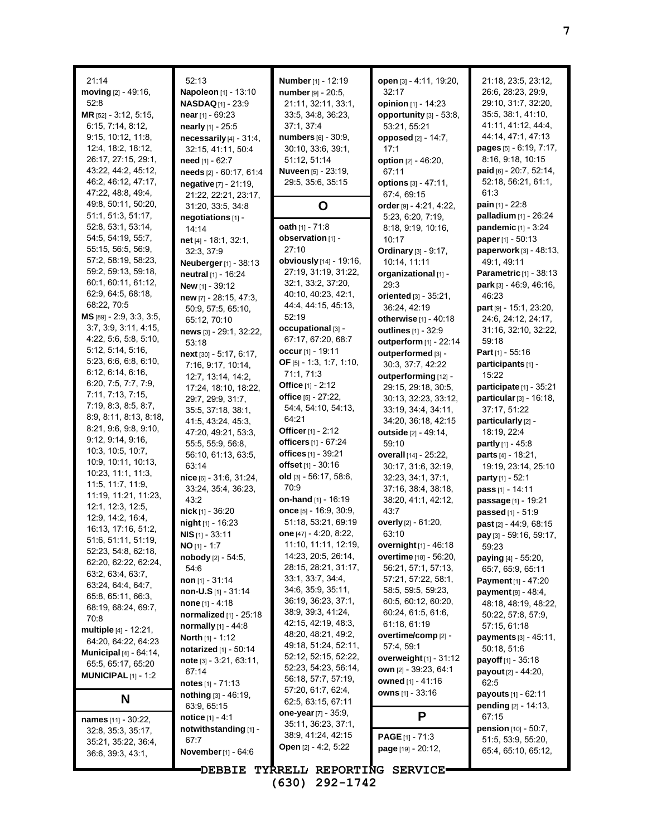| 21:14                                      | 52:13                                     | Number [1] - 12:19                           | open [3] - 4:11, 19:20,                      | 21:18, 23:5, 23:12,                         |
|--------------------------------------------|-------------------------------------------|----------------------------------------------|----------------------------------------------|---------------------------------------------|
| moving [2] - 49:16,                        | Napoleon [1] - 13:10                      | number [9] - 20:5,                           | 32:17                                        | 26.6, 28.23, 29.9,                          |
| 52:8                                       | <b>NASDAQ</b> [1] - 23:9                  | 21:11, 32:11, 33:1,                          | opinion [1] - 14:23                          | 29:10, 31:7, 32:20,                         |
| MR [52] - 3:12, 5:15,                      | near $[1]$ - 69:23                        | 33.5, 34.8, 36.23,                           | opportunity [3] - 53:8,                      | 35:5, 38:1, 41:10,                          |
| 6:15, 7:14, 8:12,                          | nearly [1] - 25:5                         | 37:1, 37:4                                   | 53:21, 55:21                                 | 41.11, 41.12, 44.4,                         |
| 9:15, 10:12, 11:8,                         | necessarily $[4]$ - 31:4,                 | numbers [6] - 30:9,                          | <b>opposed</b> [2] - 14:7,                   | 44.14, 47.1, 47.13                          |
| 12:4, 18:2, 18:12,                         | 32:15, 41:11, 50:4                        | 30:10, 33:6, 39:1,                           | 17:1                                         | pages [5] - 6:19, 7:17,                     |
| 26:17, 27:15, 29:1,                        | need [1] - 62:7                           | 51:12, 51:14                                 | option [2] - 46:20,                          | 8:16, 9:18, 10:15                           |
| 43:22, 44:2, 45:12,                        | needs [2] - 60:17, 61:4                   | <b>Nuveen</b> [5] - 23:19,                   | 67:11                                        | paid [6] - 20:7, 52:14,                     |
| 46:2, 46:12, 47:17,                        | negative [7] - 21:19,                     | 29:5, 35:6, 35:15                            | options [3] - 47:11,                         | 52:18, 56:21, 61:1,                         |
| 47:22, 48:8, 49:4,                         | 21:22, 22:21, 23:17,                      |                                              | 67:4, 69:15                                  | 61:3                                        |
| 49:8, 50:11, 50:20,                        | 31:20, 33:5, 34:8                         | O                                            | order [9] - 4:21, 4:22,                      | <b>pain</b> $[1]$ - 22:8                    |
| 51:1, 51:3, 51:17,                         | negotiations [1] -                        |                                              | 5:23, 6:20, 7:19,                            | palladium [1] - 26:24                       |
| 52.8, 53.1, 53.14,                         | 14:14                                     | oath [1] - 71:8                              | 8:18, 9:19, 10:16,                           | pandemic [1] - 3:24                         |
| 54:5, 54:19, 55:7,                         | net [4] - 18:1, 32:1,                     | observation [1] -                            | 10:17                                        | <b>paper</b> $[1] - 50:13$                  |
| 55:15, 56:5, 56:9,                         | 32:3, 37:9                                | 27:10                                        | Ordinary [3] - 9:17,                         | paperwork [3] - 48:13,                      |
| 57:2, 58:19, 58:23,<br>59:2, 59:13, 59:18, | Neuberger [1] - 38:13                     | obviously [14] - 19:16,                      | 10:14, 11:11                                 | 49.1, 49.11                                 |
| 60:1, 60:11, 61:12,                        | neutral [1] - 16:24                       | 27:19, 31:19, 31:22,                         | organizational [1] -                         | Parametric [1] - 38:13                      |
| 62.9, 64.5, 68.18,                         | New [1] - 39:12                           | 32:1, 33:2, 37:20,<br>40:10, 40:23, 42:1,    | 29:3                                         | park [3] - 46:9, 46:16,                     |
| 68:22, 70:5                                | new [7] - 28:15, 47:3,                    | 44:4, 44:15, 45:13,                          | oriented [3] - 35:21,                        | 46:23                                       |
| MS [89] - 2:9, 3:3, 3:5,                   | 50.9, 57:5, 65:10,                        | 52:19                                        | 36:24, 42:19                                 | part [9] - 15:1, 23:20,                     |
| 3.7, 3.9, 3.11, 4.15,                      | 65:12, 70:10                              | occupational [3] -                           | otherwise [1] - 40:18<br>outlines [1] - 32:9 | 24:6, 24:12, 24:17,<br>31:16, 32:10, 32:22, |
| 4:22, 5:6, 5:8, 5:10,                      | news [3] - 29:1, 32:22,                   | 67:17, 67:20, 68:7                           | outperform [1] - 22:14                       | 59:18                                       |
| 5:12, 5:14, 5:16,                          | 53:18                                     | occur [1] - 19:11                            |                                              | Part [1] - 55:16                            |
| 5:23, 6:6, 6:8, 6:10,                      | next [30] - 5:17, 6:17,                   | OF $[5] - 1:3, 1:7, 1:10,$                   | outperformed [3] -                           | participants [1] -                          |
| 6:12, 6:14, 6:16,                          | 7:16, 9:17, 10:14,                        | 71:1, 71:3                                   | 30:3, 37:7, 42:22<br>outperforming [12] -    | 15:22                                       |
| 6:20, 7:5, 7:7, 7:9,                       | 12:7, 13:14, 14:2,                        | Office $[1] - 2:12$                          | 29:15, 29:18, 30:5,                          | participate [1] - 35:21                     |
| 7:11, 7:13, 7:15,                          | 17:24, 18:10, 18:22,<br>29:7, 29:9, 31:7, | office [5] - 27:22,                          | 30:13, 32:23, 33:12,                         | particular [3] - 16:18,                     |
| 7:19, 8:3, 8:5, 8:7,                       | 35:5, 37:18, 38:1,                        | 54:4, 54:10, 54:13,                          | 33:19, 34:4, 34:11,                          | 37:17, 51:22                                |
| 8.9, 8.11, 8.13, 8.18,                     | 41:5, 43:24, 45:3,                        | 64:21                                        | 34:20, 36:18, 42:15                          | particularly [2] -                          |
| 8:21, 9:6, 9:8, 9:10,                      | 47:20, 49:21, 53:3,                       | Officer $[1] - 2:12$                         | outside [2] - 49:14,                         | 18:19, 22:4                                 |
| 9.12, 9.14, 9.16,                          | 55:5, 55:9, 56:8,                         | officers [1] - 67:24                         | 59:10                                        | <b>partly</b> $[1] - 45.8$                  |
| 10:3, 10:5, 10:7,                          | 56:10, 61:13, 63:5,                       | offices [1] - 39:21                          | overall [14] - 25:22,                        | <b>parts</b> $[4] - 18.21$ ,                |
| 10:9, 10:11, 10:13,                        | 63:14                                     | offset [1] - 30:16                           | 30:17, 31:6, 32:19,                          | 19:19, 23:14, 25:10                         |
| 10.23, 11.1, 11.3,                         | nice [6] - 31:6, 31:24,                   | old [3] - 56:17, 58:6,                       | 32:23, 34:1, 37:1,                           | party [1] - 52:1                            |
| 11:5, 11:7, 11:9,                          | 33:24, 35:4, 36:23,                       | 70:9                                         | 37:16, 38:4, 38:18,                          | pass [1] - 14:11                            |
| 11:19, 11:21, 11:23,                       | 43:2                                      | <b>on-hand</b> $[1]$ - 16:19                 | 38:20, 41:1, 42:12,                          | passage [1] - 19:21                         |
| 12:1, 12:3, 12:5,                          | $nick$ [1] - 36:20                        | once [5] - 16:9, 30:9,                       | 43:7                                         | passed [1] - 51:9                           |
| 12.9, 14.2, 16.4,                          | night [1] - 16:23                         | 51:18, 53:21, 69:19                          | overly [2] - 61:20,                          | past [2] - 44:9, 68:15                      |
| 16:13, 17:16, 51:2,                        | $NIS$ [1] - 33:11                         | one [47] - 4:20, 8:22,                       | 63:10                                        | pay [3] - 59:16, 59:17,                     |
| 51:6, 51:11, 51:19,                        | $NO [1] - 1:7$                            | 11:10, 11:11, 12:19,                         | overnight [1] - 46:18                        | 59:23                                       |
| 52:23, 54:8, 62:18,                        | nobody [2] - 54:5,                        | 14:23, 20:5, 26:14,                          | overtime [18] - 56:20,                       | <b>paying</b> [4] - 55:20,                  |
| 62:20, 62:22, 62:24,<br>63.2, 63.4, 63.7,  | 54:6                                      | 28:15, 28:21, 31:17,                         | 56:21, 57:1, 57:13,                          | 65:7, 65:9, 65:11                           |
| 63:24, 64:4, 64:7,                         | non [1] - 31:14                           | 33:1, 33:7, 34:4,                            | 57:21, 57:22, 58:1,                          | Payment [1] - 47:20                         |
| 65:8, 65:11, 66:3,                         | non-U.S $[1]$ - 31:14                     | 34.6, 35.9, 35.11,                           | 58.5, 59.5, 59.23,                           | $p$ ayment $[9] - 48.4$ ,                   |
| 68:19, 68:24, 69:7,                        | <b>none</b> $[1] - 4:18$                  | 36:19, 36:23, 37:1,                          | 60.5, 60.12, 60.20,                          | 48:18, 48:19, 48:22,                        |
| 70:8                                       | normalized [1] - 25:18                    | 38.9, 39.3, 41.24,                           | 60.24, 61.5, 61.6,                           | 50:22, 57:8, 57:9,                          |
| multiple [4] - 12:21,                      | normally [1] - 44:8                       | 42:15, 42:19, 48:3,                          | 61:18, 61:19                                 | 57:15, 61:18                                |
| 64.20, 64.22, 64.23                        | <b>North</b> [1] - 1:12                   | 48:20, 48:21, 49:2,                          | overtime/comp [2] -                          | payments [3] - 45:11,                       |
| <b>Municipal</b> [4] - 64:14,              | notarized [1] - 50:14                     | 49:18, 51:24, 52:11,<br>52:12, 52:15, 52:22, | 57:4, 59:1                                   | 50:18, 51:6                                 |
| 65:5, 65:17, 65:20                         | note [3] - 3:21, 63:11,                   | 52:23, 54:23, 56:14,                         | overweight $[1] - 31:12$                     | payoff [1] - 35:18                          |
| <b>MUNICIPAL</b> $[1]$ - 1:2               | 67:14                                     | 56:18, 57:7, 57:19,                          | own [2] - 39.23, 64:1                        | payout [2] - 44:20,                         |
|                                            | notes $[1] - 71.13$                       | 57:20, 61:7, 62:4,                           | owned [1] - 41:16                            | 62:5                                        |
| N                                          | nothing [3] - 46:19,                      | 62:5, 63:15, 67:11                           | owns [1] - 33:16                             | payouts [1] - 62:11                         |
|                                            | 63:9, 65:15                               | one-year [7] - 35:9,                         |                                              | pending [2] - 14:13,                        |
| names [11] - 30:22,                        | notice [1] - 4:1                          | 35:11, 36:23, 37:1,                          | P                                            | 67:15                                       |
| 32:8, 35:3, 35:17,                         | notwithstanding [1] -                     | 38:9, 41:24, 42:15                           | <b>PAGE</b> $[1]$ - 71:3                     | pension [10] - 50:7,                        |
| 35:21, 35:22, 36:4,                        | 67:7                                      | Open [2] - 4:2, 5:22                         | page [19] - 20:12,                           | 51:5, 53:9, 55:20,                          |
| 36.6, 39.3, 43.1,                          | <b>November</b> [1] - 64:6                |                                              |                                              | 65:4, 65:10, 65:12,                         |
|                                            | <b>DEBBIE</b>                             | TYRRELL REPORTING SERVICE                    |                                              |                                             |

**(630) 292-1742**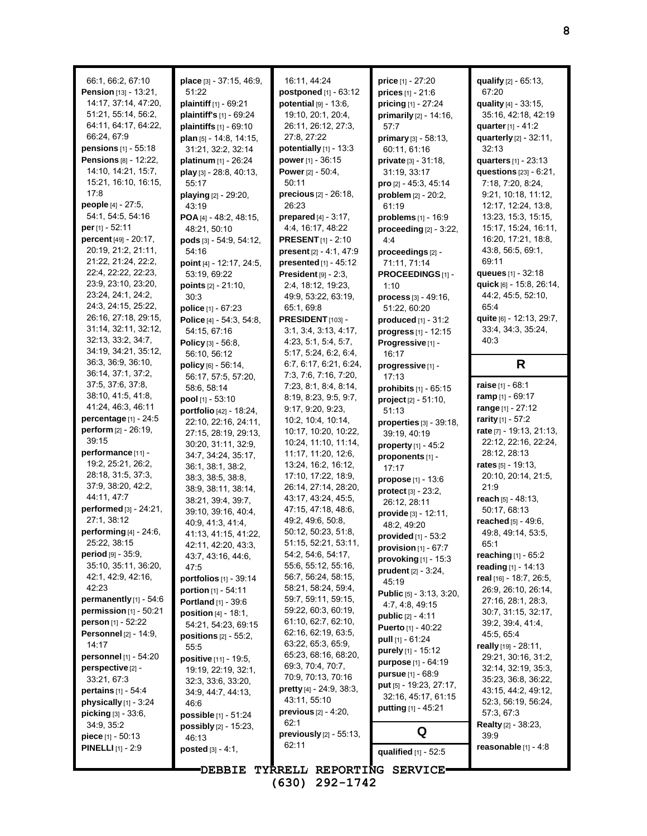| 66:1, 66:2, 67:10                            | place [3] - 37:15, 46:9,                             | 16:11, 44:24                              | <b>price</b> $[1] - 27:20$                         | qualify [2] - 65:13,                           |
|----------------------------------------------|------------------------------------------------------|-------------------------------------------|----------------------------------------------------|------------------------------------------------|
| Pension [13] - 13:21,                        | 51:22                                                | postponed [1] - 63:12                     | $prices$ [1] - 21:6                                | 67:20                                          |
| 14:17, 37:14, 47:20,                         | plaintiff [1] - 69:21                                | potential $[9] - 13.6$ ,                  | pricing [1] - 27:24                                | quality [4] - 33:15,                           |
| 51:21, 55:14, 56:2,                          | plaintiff's [1] - 69:24                              | 19:10, 20:1, 20:4,                        | primarily $[2] - 14:16$ ,                          | 35:16, 42:18, 42:19                            |
| 64:11, 64:17, 64:22,                         | plaintiffs $[1]$ - 69:10                             | 26:11, 26:12, 27:3,                       | 57:7                                               | <b>quarter</b> [1] - 41:2                      |
| 66:24, 67:9                                  | plan [5] - 14:8, 14:15,                              | 27:8, 27:22                               | primary [3] - 58:13,                               | quarterly [2] - 32:11,                         |
| pensions [1] - 55:18                         | 31:21, 32:2, 32:14                                   | potentially $[1]$ - 13:3                  | 60:11, 61:16                                       | 32:13                                          |
| <b>Pensions [8] - 12:22,</b>                 | platinum [1] - 26:24                                 | power [1] - 36:15                         | private [3] - 31:18,                               | quarters [1] - 23:13                           |
| 14:10, 14:21, 15:7,                          | play [3] - 28:8, 40:13,                              | <b>Power</b> $[2] - 50:4$ ,               | 31:19, 33:17                                       | questions [23] - 6:21,                         |
| 15:21, 16:10, 16:15,                         | 55:17                                                | 50:11                                     | pro [2] - 45:3, 45:14                              | 7:18, 7:20, 8:24,                              |
| 17:8                                         | playing [2] - 29:20,                                 | precious $[2] - 26:18$ ,                  | problem $[2] - 20:2$ ,                             | 9:21, 10:18, 11:12,                            |
| people [4] - 27:5,                           | 43:19                                                | 26:23                                     | 61:19                                              | 12:17, 12:24, 13:8,                            |
| 54:1, 54:5, 54:16                            | POA $[4] - 48:2, 48:15,$                             | <b>prepared</b> $[4] - 3:17$ .            | problems [1] - 16:9                                | 13:23, 15:3, 15:15,                            |
| per [1] - 52:11                              | 48:21, 50:10                                         | 4:4, 16:17, 48:22                         | proceeding $[2] - 3:22$ ,                          | 15:17, 15:24, 16:11,                           |
| percent [49] - 20:17,                        | pods $[3] - 54.9, 54.12,$                            | <b>PRESENT</b> $[1]$ - 2:10               | 4:4                                                | 16:20, 17:21, 18:8,                            |
| 20:19, 21:2, 21:11,                          | 54:16                                                | present [2] - 4:1, 47:9                   | proceedings [2] -                                  | 43.8, 56.5, 69.1,                              |
| 21:22, 21:24, 22:2,                          | point [4] - 12:17, 24:5,                             | presented [1] - 45:12                     | 71:11, 71:14                                       | 69:11                                          |
| 22:4, 22:22, 22:23,<br>23.9, 23.10, 23:20,   | 53:19, 69:22                                         | President [9] - 2:3.                      | PROCEEDINGS [1] -                                  | queues [1] - 32:18                             |
| 23:24, 24:1, 24:2,                           | points [2] - 21:10,                                  | 2:4, 18:12, 19:23,                        | 1:10                                               | quick [6] - 15:8, 26:14,                       |
| 24:3, 24:15, 25:22,                          | 30:3                                                 | 49.9, 53.22, 63.19,                       | <b>process</b> $[3] - 49:16$ ,                     | 44.2, 45.5, 52.10,<br>65:4                     |
| 26:16, 27:18, 29:15,                         | police $[1] - 67:23$                                 | 65:1, 69:8<br>PRESIDENT [103] -           | 51:22, 60:20                                       | quite [6] - 12:13, 29:7,                       |
| 31:14, 32:11, 32:12,                         | Police [4] - 54:3, 54:8,<br>54:15, 67:16             | 3.1, 3.4, 3.13, 4.17,                     | produced [1] - 31:2<br>progress $[1] - 12:15$      | 33:4, 34:3, 35:24,                             |
| 32:13, 33:2, 34:7,                           | Policy [3] - 56:8,                                   | 4:23, 5:1, 5:4, 5:7,                      | Progressive[1] -                                   | 40:3                                           |
| 34:19, 34:21, 35:12,                         | 56:10, 56:12                                         | 5:17, 5:24, 6:2, 6:4,                     | 16:17                                              |                                                |
| 36:3, 36:9, 36:10,                           | policy [6] - 56:14,                                  | 6.7, 6.17, 6.21, 6.24,                    | progressive [1] -                                  | R                                              |
| 36:14, 37:1, 37:2,                           | 56:17, 57:5, 57:20,                                  | 7:3, 7:6, 7:16, 7:20,                     | 17:13                                              |                                                |
| 37:5, 37:6, 37:8,                            | 58:6, 58:14                                          | 7:23, 8:1, 8:4, 8:14,                     | prohibits $[1] - 65:15$                            | raise [1] - 68:1                               |
| 38:10, 41:5, 41:8,                           | pool $[1] - 53:10$                                   | 8:19, 8:23, 9:5, 9:7,                     | $project [2] - 51:10,$                             | ramp $[1] - 69.17$                             |
| 41:24, 46:3, 46:11                           | portfolio [42] - 18:24,                              | 9:17, 9:20, 9:23,                         | 51:13                                              | range [1] - 27:12                              |
| percentage [1] - 24:5                        | 22:10, 22:16, 24:11,                                 | 10.2, 10.4, 10.14,                        | properties [3] - 39:18,                            | rarity [1] - 57:2                              |
|                                              |                                                      |                                           |                                                    |                                                |
| perform $[2] - 26:19$ ,                      | 27:15, 28:19, 29:13,                                 | 10:17, 10:20, 10:22,                      | 39:19, 40:19                                       | rate [7] - 19:13, 21:13,                       |
| 39:15                                        | 30:20, 31:11, 32:9,                                  | 10:24, 11:10, 11:14,                      | property [1] - 45:2                                | 22:12, 22:16, 22:24,                           |
| performance [11] -                           | 34:7, 34:24, 35:17,                                  | 11:17, 11:20, 12:6,                       | proponents [1] -                                   | 28:12, 28:13                                   |
| 19:2, 25:21, 26:2,                           | 36:1, 38:1, 38:2,                                    | 13:24, 16:2, 16:12,                       | 17:17                                              | rates $[5] - 19:13$ ,                          |
| 28:18, 31:5, 37:3,                           | 38:3, 38:5, 38:8,                                    | 17:10, 17:22, 18:9,                       | propose [1] - 13:6                                 | 20:10, 20:14, 21:5,                            |
| 37.9, 38.20, 42.2,                           | 38.9, 38.11, 38.14,                                  | 26:14, 27:14, 28:20,                      | protect [3] - 23:2,                                | 21:9                                           |
| 44:11, 47:7                                  | 38.21, 39.4, 39.7,                                   | 43:17, 43:24, 45:5,                       | 26:12, 28:11                                       | reach [5] - 48:13,                             |
| performed [3] - 24:21,                       | 39.10, 39:16, 40.4,                                  | 47:15, 47:18, 48:6,                       | provide [3] - 12:11,                               | 50:17, 68:13                                   |
| 27:1, 38:12                                  | 40:9, 41:3, 41:4,                                    | 49.2, 49.6, 50.8,                         | 48:2, 49:20                                        | reached $[5] - 49:6$ ,                         |
| performing [4] - 24:6,                       | 41:13, 41:15, 41:22,                                 | 50:12, 50:23, 51:8,                       | provided [1] - 53:2                                | 49.8, 49.14, 53.5,                             |
| 25:22, 38:15<br><b>period</b> $[9] - 35.9$ , | 42:11, 42:20, 43:3,                                  | 51:15, 52:21, 53:11,                      | provision $[1]$ - $67:7$                           | 65:1                                           |
| 35:10, 35:11, 36:20,                         | 43.7, 43.16, 44.6,                                   | 54.2, 54.6, 54.17,<br>55:6, 55:12, 55:16, | provoking [1] - 15:3                               | <b>reaching</b> $[1]$ - 65:2                   |
| 42:1, 42:9, 42:16,                           | 47:5                                                 | 56:7, 56:24, 58:15,                       | <b>prudent</b> $[2] - 3:24$ ,                      | reading $[1] - 14:13$                          |
| 42:23                                        | <b>portfolios</b> [1] - 39:14<br>portion [1] - 54:11 | 58:21, 58:24, 59:4,                       | 45:19                                              | real [16] - 18:7, 26:5,<br>26:9, 26:10, 26:14, |
| permanently $[1] - 54:6$                     | Portland [1] - 39:6                                  | 59:7, 59:11, 59:15,                       | Public [5] - 3:13, 3:20,                           | 27:16, 28:1, 28:3,                             |
| permission $[1]$ - 50:21                     | <b>position</b> $[4] - 18:1$ ,                       | 59:22, 60:3, 60:19,                       | 4.7, 4.8, 49.15                                    | 30:7, 31:15, 32:17,                            |
| person [1] - 52:22                           | 54:21, 54:23, 69:15                                  | 61:10, 62:7, 62:10,                       | <b>public</b> [2] - 4:11                           | 39.2, 39.4, 41.4,                              |
| <b>Personnel</b> [2] - 14:9,                 | positions $[2] - 55:2$ ,                             | 62:16, 62:19, 63:5,                       | <b>Puerto</b> $[1] - 40.22$                        | 45.5, 65.4                                     |
| 14:17                                        | 55:5                                                 | 63:22, 65:3, 65:9,                        | pull $[1] - 61.24$                                 | really [19] - 28:11,                           |
| personnel [1] - 54:20                        | positive [11] - 19:5,                                | 65:23, 68:16, 68:20,                      | purely [1] - 15:12<br><b>purpose</b> $[1] - 64:19$ | 29:21, 30:16, 31:2,                            |
| perspective [2] -                            | 19:19, 22:19, 32:1,                                  | 69:3, 70:4, 70:7,                         | <b>pursue</b> $[1] - 68.9$                         | 32.14, 32.19, 35.3,                            |
| 33:21, 67:3                                  | 32.3, 33.6, 33.20,                                   | 70:9, 70:13, 70:16                        | put [5] - 19:23, 27:17,                            | 35:23, 36:8, 36:22,                            |
| <b>pertains</b> $[1] - 54.4$                 | 34.9, 44.7, 44.13,                                   | <b>pretty</b> $[4] - 24.9, 38.3,$         | 32:16, 45:17, 61:15                                | 43:15, 44:2, 49:12,                            |
| physically $[1]$ - 3:24                      | 46:6                                                 | 43:11, 55:10                              | <b>putting</b> [1] - 45:21                         | 52:3, 56:19, 56:24,                            |
| <b>picking</b> $[3] - 33.6$ ,                | possible [1] - 51:24                                 | <b>previous</b> $[2] - 4:20$ ,<br>62:1    |                                                    | 57:3, 67:3                                     |
| 34.9, 35.2                                   | possibly [2] - 15:23,                                | previously [2] - 55:13,                   | Q                                                  | <b>Realty</b> [2] - 38:23,<br>39:9             |
| <b>piece</b> $[1] - 50.13$                   | 46:13                                                | 62:11                                     |                                                    | reasonable $[1] - 4:8$                         |
| <b>PINELLI</b> $[1] - 2.9$                   | posted [3] - 4:1,                                    |                                           | qualified [1] - 52:5                               |                                                |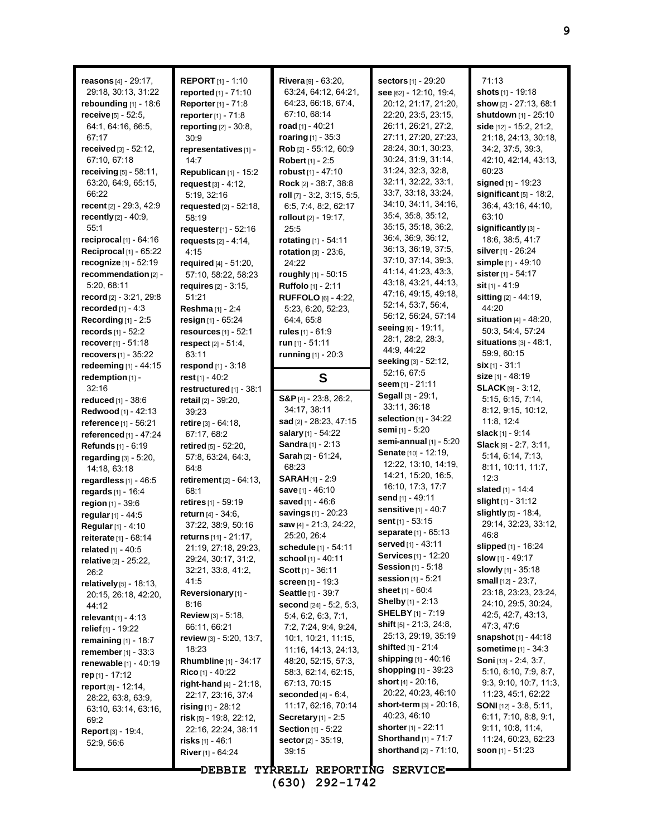| reasons $[4] - 29:17$ ,                       | <b>REPORT</b> $[1]$ - 1:10         | Rivera [9] - 63:20,                              | <b>sectors</b> [1] - 29:20                | 71:13                                      |
|-----------------------------------------------|------------------------------------|--------------------------------------------------|-------------------------------------------|--------------------------------------------|
| 29:18, 30:13, 31:22                           | reported [1] - 71:10               | 63:24, 64:12, 64:21,                             | see [62] - 12:10, 19:4,                   | shots [1] - 19:18                          |
| rebounding $[1]$ - 18:6                       | <b>Reporter</b> [1] - 71:8         | 64.23, 66.18, 67.4,                              | 20:12, 21:17, 21:20,                      | show [2] - 27:13, 68:1                     |
| receive [5] - 52:5,                           | reporter [1] - 71:8                | 67:10, 68:14                                     | 22:20, 23:5, 23:15,                       | shutdown [1] - 25:10                       |
| 64:1, 64:16, 66:5,                            | reporting [2] - 30:8,              | road [1] - 40:21                                 | 26:11, 26:21, 27:2,                       | side $[12] - 15:2, 21:2,$                  |
| 67:17                                         | 30:9                               | roaring [1] - 35:3                               | 27:11, 27:20, 27:23,                      | 21:18, 24:13, 30:18,                       |
| received $[3] - 52:12$ ,                      | representatives [1] -              | Rob [2] - 55:12, 60:9                            | 28:24, 30:1, 30:23,                       | 34:2, 37:5, 39:3,                          |
| 67:10, 67:18                                  | 14:7                               | Robert [1] - 2:5                                 | 30.24, 31.9, 31.14,                       | 42:10, 42:14, 43:13,                       |
| receiving $[5] - 58:11$ ,                     | Republican $[1]$ - 15:2            | robust $[1] - 47:10$                             | 31:24, 32:3, 32:8,                        | 60:23                                      |
| 63:20, 64:9, 65:15,                           | request [3] - 4:12,                | Rock $[2] - 38.7, 38.8$                          | 32:11, 32:22, 33:1,                       | signed [1] - 19:23                         |
| 66:22                                         | 5:19, 32:16                        | roll $[7]$ - 3:2, 3:15, 5:5,                     | 33:7, 33:18, 33:24,                       | significant $[5]$ - 18:2,                  |
| recent [2] - 29:3, 42:9                       | requested [2] - 52:18,             | 6:5, 7:4, 8:2, 62:17                             | 34:10, 34:11, 34:16,                      | 36.4, 43.16, 44.10,                        |
| recently [2] - 40:9,                          | 58:19                              | rollout [2] - 19:17.                             | 35:4, 35:8, 35:12,<br>35:15, 35:18, 36:2, | 63:10                                      |
| 55:1                                          | requester [1] - 52:16              | 25:5                                             | 36:4, 36:9, 36:12,                        | significantly [3] -                        |
| reciprocal $[1]$ - 64:16                      | requests $[2] - 4:14$ ,            | rotating [1] - 54:11                             | 36:13, 36:19, 37:5,                       | 18:6, 38:5, 41:7                           |
| Reciprocal [1] - 65:22                        | 4:15                               | rotation [3] - 23:6,                             | 37:10, 37:14, 39:3,                       | silver $[1]$ - 26:24                       |
| recognize $[1]$ - 52:19                       | required $[4] - 51:20$ ,           | 24:22                                            | 41:14, 41:23, 43:3,                       | simple [1] - 49:10                         |
| recommendation [2] -                          | 57:10, 58:22, 58:23                | roughly [1] - 50:15                              | 43:18, 43:21, 44:13,                      | sister [1] - 54:17                         |
| 5:20, 68:11                                   | requires $[2] - 3:15$ ,            | Ruffolo [1] - 2:11                               | 47:16, 49:15, 49:18,                      | sit [1] - 41:9                             |
| record [2] - 3:21, 29:8                       | 51:21                              | <b>RUFFOLO</b> [6] - 4:22,                       | 52:14, 53:7, 56:4,                        | sitting [2] - 44:19,                       |
| recorded $[1] - 4.3$                          | Reshma [1] - 2:4                   | 5:23, 6:20, 52:23,                               | 56:12, 56:24, 57:14                       | 44:20                                      |
| Recording $[1]$ - 2:5                         | resign [1] - 65:24                 | 64:4, 65:8                                       | seeing [6] - 19:11,                       | situation [4] - 48:20,                     |
| records $[1] - 52:2$                          | resources $[1] - 52:1$             | rules $[1] - 61:9$                               | 28:1, 28:2, 28:3,                         | 50:3, 54:4, 57:24                          |
| <b>recover</b> $[1] - 51:18$                  | respect $[2] - 51.4$ ,             | run $[1] - 51:11$                                | 44.9, 44.22                               | situations $[3] - 48:1$ ,                  |
| recovers [1] - 35:22                          | 63:11                              | running [1] - 20:3                               | seeking [3] - 52:12,                      | 59:9, 60:15                                |
| redeeming [1] - 44:15                         | respond [1] - 3:18                 |                                                  | 52:16, 67:5                               | $six$ [1] - 31:1                           |
| redemption $[1]$ -                            | rest $[1] - 40:2$                  | S                                                | seem $[1] - 21:11$                        | size [1] - 48:19                           |
| 32:16                                         | restructured [1] - 38:1            |                                                  | Segall [3] - 29:1,                        | <b>SLACK</b> [9] - $3:12$ ,                |
| <b>reduced</b> $[1] - 38.6$                   | retail [2] - 39:20,                | S&P $[4] - 23:8, 26:2,$<br>34:17, 38:11          | 33:11, 36:18                              | 5:15, 6:15, 7:14,                          |
| Redwood [1] - 42:13                           | 39:23                              |                                                  | selection [1] - 34:22                     | 8.12, 9.15, 10.12,                         |
| reference [1] - 56:21                         | retire [3] - 64:18,                | sad [2] - 28:23, 47:15                           | semi [1] - 5:20                           | 11:8, 12:4                                 |
| referenced [1] - 47:24                        | 67:17, 68:2                        | salary [1] - 54:22<br><b>Sandra</b> $[1]$ - 2:13 | semi-annual $[1]$ - $5:20$                | slack [1] - 9:14<br>Slack [9] - 2:7, 3:11, |
| Refunds [1] - 6:19                            | retired $[5] - 52:20$ ,            | Sarah [2] - 61:24,                               | Senate [10] - 12:19,                      | 5:14, 6:14, 7:13,                          |
| regarding [3] - 5:20,                         | 57:8, 63:24, 64:3,                 | 68:23                                            | 12:22, 13:10, 14:19,                      | 8.11, 10.11, 11.7,                         |
| 14:18, 63:18                                  | 64:8<br>retirement $[2] - 64:13$ , | <b>SARAH</b> [1] - 2:9                           | 14:21, 15:20, 16:5,                       | 12:3                                       |
| regardless $[1]$ - 46:5<br>regards [1] - 16:4 | 68:1                               | save [1] - 46:10                                 | 16:10, 17:3, 17:7                         | slated [1] - 14:4                          |
| region [1] - 39:6                             | retires [1] - 59:19                | saved [1] - 46:6                                 | send [1] - 49:11                          | slight $[1] - 31:12$                       |
| regular [1] - 44:5                            | return [4] - 34:6,                 | savings [1] - 20:23                              | <b>sensitive</b> [1] - 40:7               | slightly [5] - 18:4,                       |
| Regular [1] - 4:10                            | 37:22, 38.9, 50:16                 | saw [4] - 21:3, 24:22,                           | sent [1] - 53:15                          | 29:14, 32:23, 33:12,                       |
| reiterate [1] - 68:14                         | returns [11] - 21:17,              | 25:20, 26:4                                      | separate [1] - 65:13                      | 46:8                                       |
| <b>related</b> [1] - 40:5                     | 21:19, 27:18, 29:23,               | schedule [1] - 54:11                             | served [1] - 43:11                        | <b>slipped</b> $[1]$ - 16:24               |
| relative [2] - 25:22,                         | 29:24, 30:17, 31:2,                | school [1] - 40:11                               | <b>Services</b> [1] - 12:20               | slow $[1] - 49:17$                         |
| 26:2                                          | 32:21, 33:8, 41:2,                 | <b>Scott</b> $[1]$ - 36:11                       | <b>Session</b> $[1] - 5:18$               | <b>slowly</b> [1] - 35:18                  |
| relatively [5] - 18:13,                       | 41:5                               | <b>screen</b> [1] - 19:3                         | <b>session</b> $[1]$ - 5:21               | <b>small</b> $[12] - 23:7$ ,               |
| 20:15, 26:18, 42:20,                          | Reversionary [1] -                 | <b>Seattle</b> [1] - 39:7                        | <b>sheet</b> [1] - 60:4                   | 23:18, 23:23, 23:24,                       |
| 44:12                                         | 8:16                               | second [24] - 5:2, 5:3,                          | <b>Shelby</b> [1] - 2:13                  | 24:10, 29:5, 30:24,                        |
| <b>relevant</b> $[1] - 4:13$                  | <b>Review</b> $[3] - 5.18$ ,       | 5.4, 6.2, 6.3, 7.1,                              | <b>SHELBY</b> [1] - 7:19                  | 42.5, 42.7, 43.13,                         |
| relief $[1]$ - 19:22                          | 66:11, 66:21                       | 7:2, 7:24, 9:4, 9:24,                            | <b>shift</b> $[5]$ - 21:3, 24:8,          | 47.3, 47.6                                 |
| remaining $[1]$ - 18:7                        | <b>review</b> $[3] - 5.20, 13.7,$  | 10:1, 10:21, 11:15,                              | 25:13, 29:19, 35:19                       | snapshot [1] - 44:18                       |
| <b>remember</b> $[1] - 33:3$                  | 18:23                              | 11:16, 14:13, 24:13,                             | <b>shifted</b> [1] - 21:4                 | <b>sometime</b> $[1] - 34:3$               |
| <b>renewable</b> [1] - 40:19                  | Rhumbline [1] - 34:17              | 48.20, 52:15, 57:3,                              | <b>shipping</b> [1] - 40:16               | <b>Soni</b> [13] - 2:4, 3:7,               |
| rep [1] - 17:12                               | <b>Rico</b> [1] - 40:22            | 58:3, 62:14, 62:15,                              | <b>shopping</b> [1] - 39:23               | 5:10, 6:10, 7:9, 8:7,                      |
| report $[8] - 12.14$ ,                        | <b>right-hand</b> $[4]$ - 21:18,   | 67:13, 70:15                                     | short $[4] - 20.16$ ,                     | 9:3, 9:10, 10:7, 11:3,                     |
| 28:22, 63:8, 63:9,                            | 22:17, 23:16, 37:4                 | seconded $[4] - 6:4$ ,                           | 20:22, 40:23, 46:10                       | 11:23, 45:1, 62:22                         |
| 63:10, 63:14, 63:16,                          | <b>rising</b> $[1]$ - 28:12        | 11:17, 62:16, 70:14                              | <b>short-term</b> [3] - 20:16,            | <b>SONI</b> [12] - $3.8, 5.11,$            |
| 69:2                                          | $risk$ [5] - 19:8, 22:12,          | Secretary $[1]$ - 2:5                            | 40.23, 46:10                              | 6.11, 7.10, 8.8, 9.1,                      |
| <b>Report</b> [3] - 19:4,                     | 22:16, 22:24, 38:11                | <b>Section</b> $[1]$ - 5:22                      | <b>shorter</b> [1] - 22:11                | 9:11, 10:8, 11:4,                          |
| 52:9, 56:6                                    | <b>risks</b> [1] - 46:1            | <b>sector</b> $[2] - 35:19$ ,                    | Shorthand $[1]$ - $71:7$                  | 11:24, 60:23, 62:23                        |
|                                               | River [1] - 64:24                  | 39:15                                            | shorthand [2] - 71:10,                    | soon $[1] - 51.23$                         |
|                                               |                                    | DEBBIE TYRRELL REPORTING SERVICE                 |                                           |                                            |

**(630) 292-1742**

**9**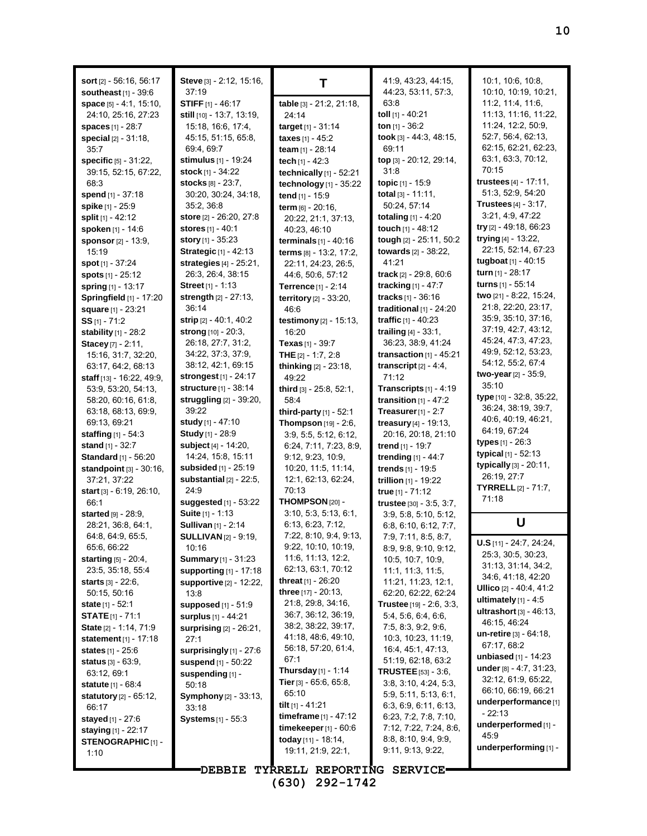| sort [2] - 56:16, 56:17<br>southeast $[1]$ - 39.6<br>space $[5] - 4:1, 15:10,$<br>24:10, 25:16, 27:23<br><b>spaces</b> [1] - 28:7<br><b>special</b> $[2] - 31:18$ ,<br>35:7<br><b>specific</b> $[5] - 31:22$ ,<br>39:15, 52:15, 67:22,<br>68:3<br>spend [1] - 37:18<br>spike [1] - 25:9<br><b>split</b> [1] - 42:12 | Steve [3] - 2:12, 15:16,<br>37:19<br><b>STIFF</b> $[1] - 46:17$<br>still [10] - 13:7, 13:19,<br>15:18, 16:6, 17:4,<br>45:15, 51:15, 65:8,<br>69:4, 69:7<br><b>stimulus</b> [1] - 19:24<br>stock $[1] - 34:22$<br><b>stocks</b> [8] - 23:7,<br>30:20, 30:24, 34:18,<br>35:2, 36:8<br>store [2] - 26:20, 27:8 | т<br>table [3] - 21:2, 21:18,<br>24:14<br>target [1] - 31:14<br>taxes $[1] - 45:2$<br><b>team</b> [1] - 28:14<br>tech $[1] - 42:3$<br>technically [1] - 52:21<br>technology $[1]$ - 35:22<br>tend [1] - 15:9<br>term $[6] - 20:16$ ,<br>20:22, 21:1, 37:13, | 41.9, 43.23, 44.15,<br>44:23, 53:11, 57:3,<br>63:8<br>toll $[1]$ - 40:21<br>ton $[1]$ - 36:2<br>took [3] - 44:3, 48:15,<br>69:11<br>top [3] - 20:12, 29:14,<br>31.8<br>topic [1] - 15:9<br>total $[3] - 11:11$ ,<br>50:24, 57:14<br><b>totaling</b> $[1] - 4.20$ | 10:1, 10:6, 10:8,<br>10:10, 10:19, 10:21,<br>11:2, 11:4, 11:6,<br>11:13, 11:16, 11:22,<br>11:24, 12:2, 50:9,<br>52:7, 56:4, 62:13,<br>62:15, 62:21, 62:23,<br>63.1, 63.3, 70.12,<br>70:15<br>trustees [4] - 17:11,<br>51:3, 52:9, 54:20<br><b>Trustees</b> $[4] - 3:17$ ,<br>3:21, 4:9, 47:22 |
|---------------------------------------------------------------------------------------------------------------------------------------------------------------------------------------------------------------------------------------------------------------------------------------------------------------------|-------------------------------------------------------------------------------------------------------------------------------------------------------------------------------------------------------------------------------------------------------------------------------------------------------------|-------------------------------------------------------------------------------------------------------------------------------------------------------------------------------------------------------------------------------------------------------------|------------------------------------------------------------------------------------------------------------------------------------------------------------------------------------------------------------------------------------------------------------------|-----------------------------------------------------------------------------------------------------------------------------------------------------------------------------------------------------------------------------------------------------------------------------------------------|
| spoken [1] - 14:6<br>sponsor [2] - 13:9,<br>15:19<br>spot [1] - 37:24<br><b>spots</b> $[1] - 25:12$                                                                                                                                                                                                                 | <b>stores</b> $[1] - 40.1$<br><b>story</b> $[1]$ - 35:23<br><b>Strategic [1] - 42:13</b><br>strategies [4] - 25:21,<br>26:3, 26:4, 38:15                                                                                                                                                                    | 40:23, 46:10<br><b>terminals</b> $[1] - 40:16$<br>terms [8] - 13.2, 17:2,<br>22:11, 24:23, 26:5,<br>44:6, 50:6, 57:12                                                                                                                                       | touch [1] - 48:12<br>tough [2] - 25:11, 50:2<br>towards [2] - 38:22,<br>41:21<br>track $[2] - 29.8, 60.6$                                                                                                                                                        | try $[2] - 49.18, 66.23$<br>trying $[4] - 13:22$ ,<br>22:15, 52:14, 67:23<br>tugboat [1] - 40:15<br><b>turn</b> $[1]$ - 28:17                                                                                                                                                                 |
| <b>spring</b> [1] - 13:17<br>Springfield [1] - 17:20<br>square [1] - 23:21<br><b>SS</b> [1] - 71:2<br><b>stability</b> $[1] - 28.2$<br>Stacey [7] - 2:11,                                                                                                                                                           | <b>Street</b> [1] - 1:13<br>strength [2] - 27:13,<br>36:14<br>strip $[2] - 40.1, 40.2$<br><b>strong</b> $[10] - 20:3$<br>26.18, 27:7, 31:2,                                                                                                                                                                 | <b>Terrence</b> $[1]$ - 2:14<br>territory [2] - 33:20,<br>46.6<br>testimony [2] - 15:13,<br>16:20<br>Texas [1] - 39:7                                                                                                                                       | tracking $[1] - 47:7$<br><b>tracks</b> $[1] - 36:16$<br>traditional $[1]$ - 24:20<br>traffic $[1] - 40:23$<br>trailing $[4] - 33:1$ ,<br>36:23, 38:9, 41:24                                                                                                      | turns $[1] - 55:14$<br>two [21] - 8:22, 15:24,<br>21:8, 22:20, 23:17,<br>35.9, 35.10, 37:16,<br>37:19, 42:7, 43:12,<br>45:24, 47:3, 47:23,                                                                                                                                                    |
| 15:16, 31:7, 32:20,<br>63:17, 64:2, 68:13<br>staff [13] - 16:22, 49:9,<br>53:9, 53:20, 54:13,<br>58:20, 60:16, 61:8,<br>63:18, 68:13, 69:9,                                                                                                                                                                         | 34:22, 37:3, 37:9,<br>38:12, 42:1, 69:15<br>strongest [1] - 24:17<br><b>structure</b> [1] - 38:14<br>struggling $[2]$ - 39:20,<br>39:22                                                                                                                                                                     | THE $[2] - 1.7, 2.8$<br>thinking [2] - 23:18,<br>49:22<br>third [3] - 25:8, 52:1,<br>58:4<br>third-party [1] - 52:1                                                                                                                                         | transaction $[1]$ - 45:21<br>transcript $[2] - 4.4$ ,<br>71:12<br><b>Transcripts</b> $[1] - 4:19$<br>transition $[1]$ - 47:2<br>Treasurer $[1] - 2:7$                                                                                                            | 49.9, 52.12, 53.23,<br>54:12, 55:2, 67:4<br>two-year [2] - 35:9,<br>35:10<br>type [10] - 32:8, 35:22,<br>36:24, 38:19, 39:7,                                                                                                                                                                  |
| 69.13, 69.21<br><b>staffing</b> $[1] - 54.3$<br><b>stand</b> $[1]$ - 32:7<br>Standard [1] - 56:20<br>standpoint [3] - 30:16,<br>37:21, 37:22                                                                                                                                                                        | study [1] - 47:10<br><b>Study</b> [1] - 28:9<br>subject $[4] - 14:20$ ,<br>14:24, 15:8, 15:11<br>subsided [1] - 25:19<br>substantial $[2]$ - 22:5,                                                                                                                                                          | Thompson [19] - 2:6,<br>3:9, 5:5, 5:12, 6:12,<br>6:24, 7:11, 7:23, 8:9,<br>9.12, 9.23, 10.9,<br>10:20, 11:5, 11:14,<br>12:1, 62:13, 62:24,                                                                                                                  | treasury [4] - 19:13,<br>20:16, 20:18, 21:10<br>trend $[1]$ - 19:7<br>trending [1] - 44:7<br>trends [1] - 19:5<br>trillion [1] - 19:22                                                                                                                           | 40.6, 40.19, 46.21,<br>64:19, 67:24<br><b>types</b> $[1] - 26:3$<br>typical [1] - 52:13<br>typically [3] - 20:11,<br>26:19, 27:7                                                                                                                                                              |
| start [3] - 6:19, 26:10,<br>66.1<br>started [9] - 28:9,<br>28:21, 36:8, 64:1,<br>64:8, 64:9, 65:5,                                                                                                                                                                                                                  | 24:9<br><b>suggested</b> [1] - 53:22<br><b>Suite</b> [1] - 1:13<br><b>Sullivan</b> [1] - 2:14<br><b>SULLIVAN</b> [2] - 9:19,                                                                                                                                                                                | 70:13<br>THOMPSON [20] -<br>3:10, 5:3, 5:13, 6:1,<br>6.13, 6.23, 7.12,<br>7:22, 8:10, 9:4, 9:13,                                                                                                                                                            | true $[1] - 71:12$<br>trustee [30] - 3:5, 3:7,<br>3:9, 5:8, 5:10, 5:12,<br>6:8, 6:10, 6:12, 7:7,<br>7.9, 7.11, 8.5, 8.7,                                                                                                                                         | <b>TYRRELL</b> [2] - 71:7,<br>71:18<br>U<br>$U.S$ [11] - 24:7, 24:24,                                                                                                                                                                                                                         |
| 65:6, 66:22<br><b>starting</b> $[5] - 20.4$ ,<br>23:5, 35:18, 55:4<br><b>starts</b> $[3] - 22:6$ ,<br>50:15, 50:16<br><b>state</b> $[1] - 52:1$                                                                                                                                                                     | 10:16<br><b>Summary</b> [1] - 31:23<br>supporting [1] - 17:18<br><b>supportive [2] - 12:22.</b><br>13:8<br>supposed [1] - 51:9                                                                                                                                                                              | 9:22, 10:10, 10:19,<br>11:6, 11:13, 12:2,<br>62:13, 63:1, 70:12<br>threat $[1]$ - 26:20<br><b>three</b> $[17] - 20.13$ ,<br>21:8, 29:8, 34:16,                                                                                                              | 8:9, 9:8, 9:10, 9:12,<br>10:5, 10:7, 10:9,<br>11:1, 11:3, 11:5,<br>11:21, 11:23, 12:1,<br>62:20, 62:22, 62:24<br>Trustee [19] - 2:6, 3:3,                                                                                                                        | 25:3, 30:5, 30:23,<br>31:13, 31:14, 34:2,<br>34:6, 41:18, 42:20<br><b>Ullico</b> $[2] - 40.4, 41.2$<br>ultimately $[1] - 4.5$                                                                                                                                                                 |
| <b>STATE</b> $[1]$ - 71:1<br>State [2] - 1:14, 71:9<br><b>statement</b> $[1]$ - 17:18<br><b>states</b> [1] - 25:6<br><b>status</b> $[3] - 63.9$ ,<br>63:12, 69:1                                                                                                                                                    | surplus [1] - 44:21<br>surprising [2] - 26:21,<br>27:1<br>surprisingly $[1]$ - 27:6<br><b>suspend</b> [1] - 50:22<br>suspending [1] -                                                                                                                                                                       | 36:7, 36:12, 36:19,<br>38:2, 38:22, 39:17,<br>41:18, 48:6, 49:10,<br>56:18, 57:20, 61:4,<br>67:1<br><b>Thursday</b> $[1] - 1:14$<br>Tier $[3]$ - 65:6, 65:8,                                                                                                | 5.4, 5.6, 6.4, 6.6,<br>7:5, 8:3, 9:2, 9:6,<br>10:3, 10:23, 11:19,<br>16:4, 45:1, 47:13,<br>51:19, 62:18, 63:2<br>TRUSTEE [53] - 3:6,                                                                                                                             | ultrashort [3] - 46:13,<br>46:15, 46:24<br>un-retire [3] - 64:18,<br>67:17, 68:2<br>unbiased [1] - 14:23<br><b>under</b> $[8] - 4.7, 31.23,$<br>32:12, 61:9, 65:22,                                                                                                                           |
| statute [1] - 68:4<br><b>statutory</b> [2] - 65:12,<br>66:17<br><b>stayed</b> [1] - 27:6<br>staying $[1]$ - 22:17<br><b>STENOGRAPHIC [1] -</b><br>1:10                                                                                                                                                              | 50:18<br>Symphony [2] - 33:13,<br>33:18<br><b>Systems</b> [1] - 55:3                                                                                                                                                                                                                                        | 65:10<br>tilt $[1] - 41.21$<br>timeframe [1] - 47:12<br>timekeeper $[1]$ - $60:6$<br>today [11] - 18:14,<br>19:11, 21:9, 22:1,                                                                                                                              | 3:8, 3:10, 4:24, 5:3,<br>5:9, 5:11, 5:13, 6:1,<br>6:3, 6:9, 6:11, 6:13,<br>6:23, 7:2, 7:8, 7:10,<br>7:12, 7:22, 7:24, 8:6,<br>8:8, 8:10, 9:4, 9:9,<br>9:11, 9:13, 9:22,                                                                                          | 66:10, 66:19, 66:21<br>underperformance <sup>[1]</sup><br>$-22:13$<br>underperformed [1] -<br>45.9<br>underperforming [1] -                                                                                                                                                                   |